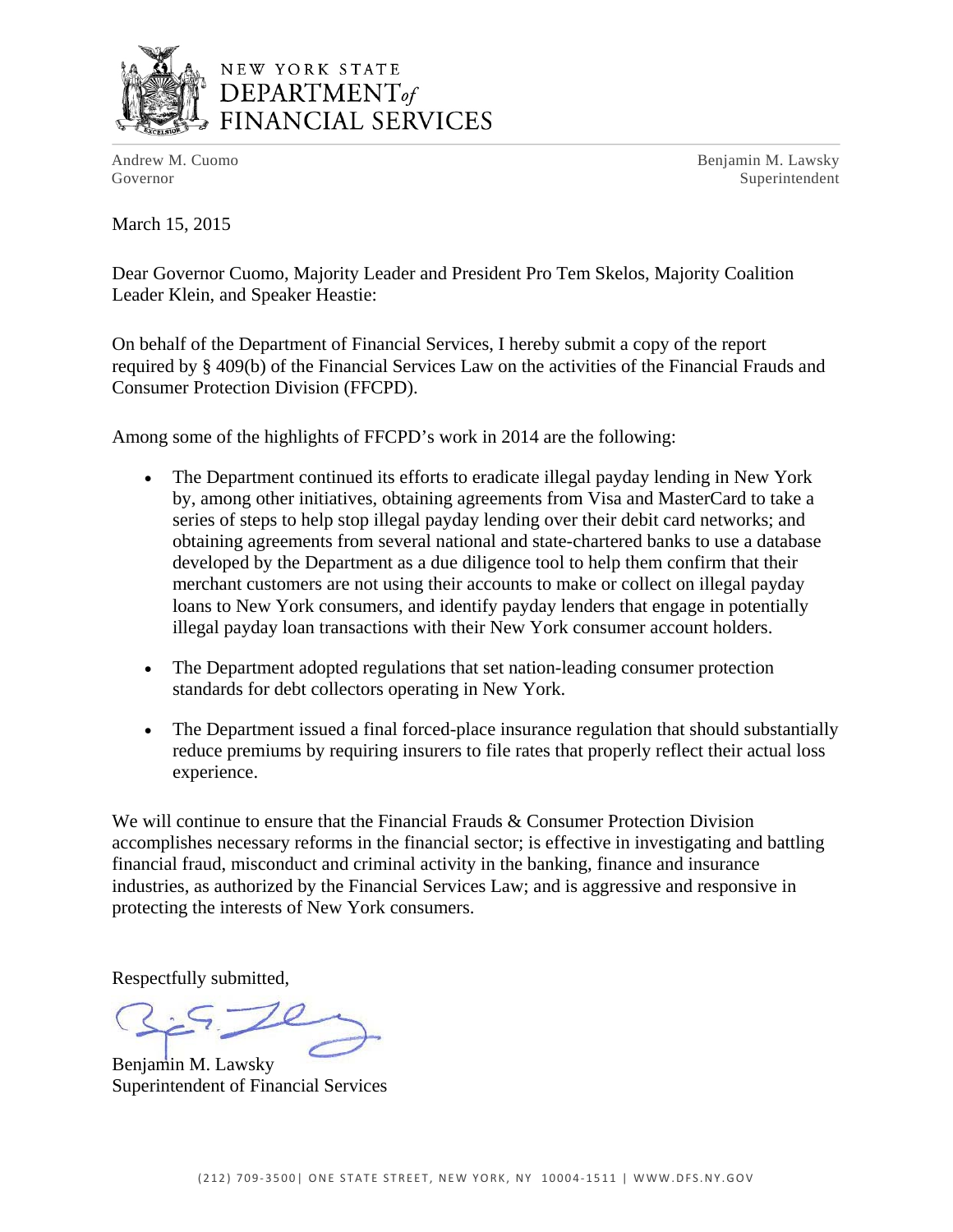

## NEW YORK STATE  $$ FINANCIAL SERVICES

Andrew M. Cuomo **Benjamin M. Lawsky** Governor Superintendent

March 15, 2015

Dear Governor Cuomo, Majority Leader and President Pro Tem Skelos, Majority Coalition Leader Klein, and Speaker Heastie:

On behalf of the Department of Financial Services, I hereby submit a copy of the report required by § 409(b) of the Financial Services Law on the activities of the Financial Frauds and Consumer Protection Division (FFCPD).

Among some of the highlights of FFCPD's work in 2014 are the following:

- The Department continued its efforts to eradicate illegal payday lending in New York by, among other initiatives, obtaining agreements from Visa and MasterCard to take a series of steps to help stop illegal payday lending over their debit card networks; and obtaining agreements from several national and state-chartered banks to use a database developed by the Department as a due diligence tool to help them confirm that their merchant customers are not using their accounts to make or collect on illegal payday loans to New York consumers, and identify payday lenders that engage in potentially illegal payday loan transactions with their New York consumer account holders.
- The Department adopted regulations that set nation-leading consumer protection standards for debt collectors operating in New York.
- The Department issued a final forced-place insurance regulation that should substantially reduce premiums by requiring insurers to file rates that properly reflect their actual loss experience.

We will continue to ensure that the Financial Frauds & Consumer Protection Division accomplishes necessary reforms in the financial sector; is effective in investigating and battling financial fraud, misconduct and criminal activity in the banking, finance and insurance industries, as authorized by the Financial Services Law; and is aggressive and responsive in protecting the interests of New York consumers.

Respectfully submitted,

Benjamin M. Lawsky Superintendent of Financial Services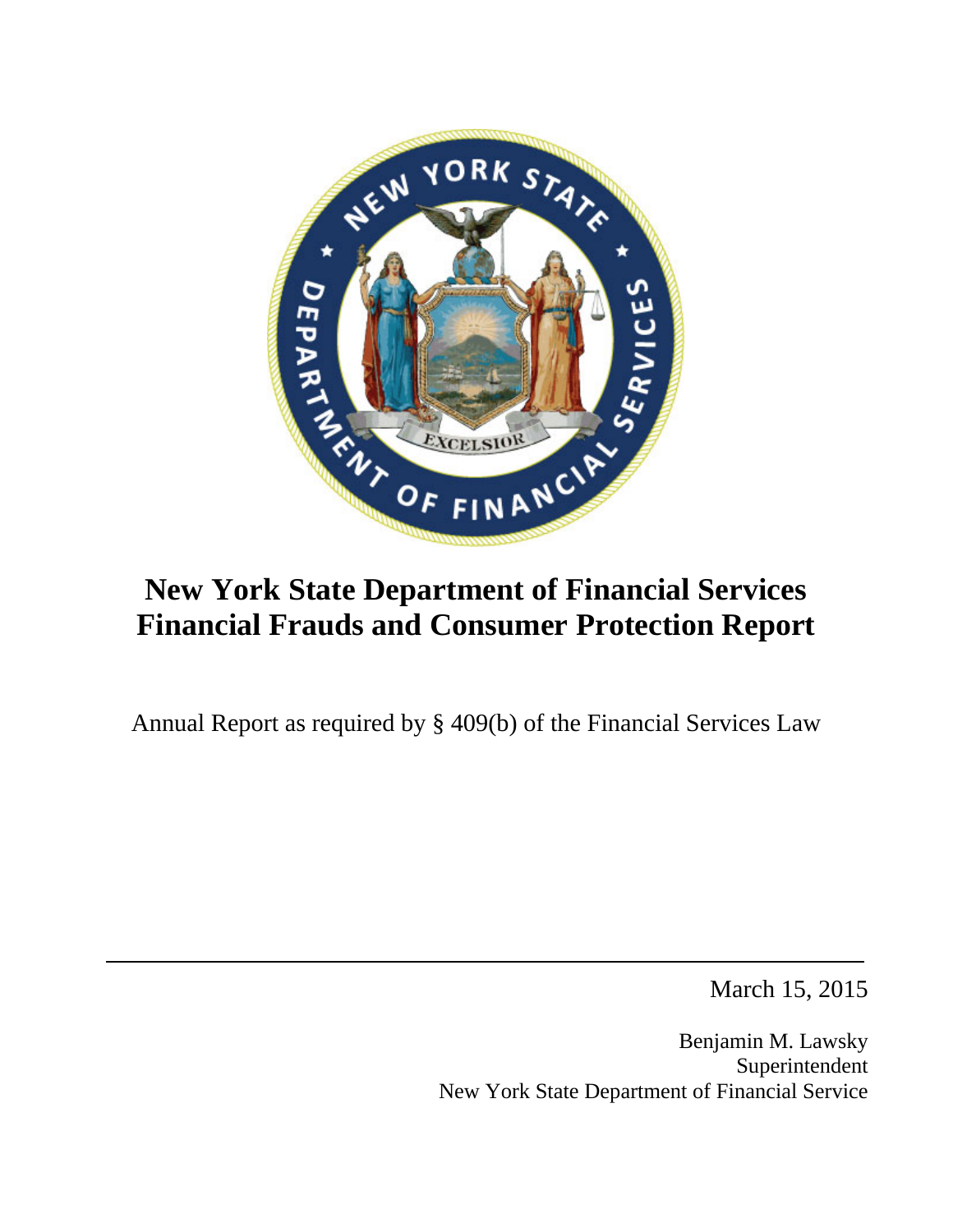

# **New York State Department of Financial Services Financial Frauds and Consumer Protection Report**

Annual Report as required by § 409(b) of the Financial Services Law

March 15, 2015

Benjamin M. Lawsky Superintendent New York State Department of Financial Service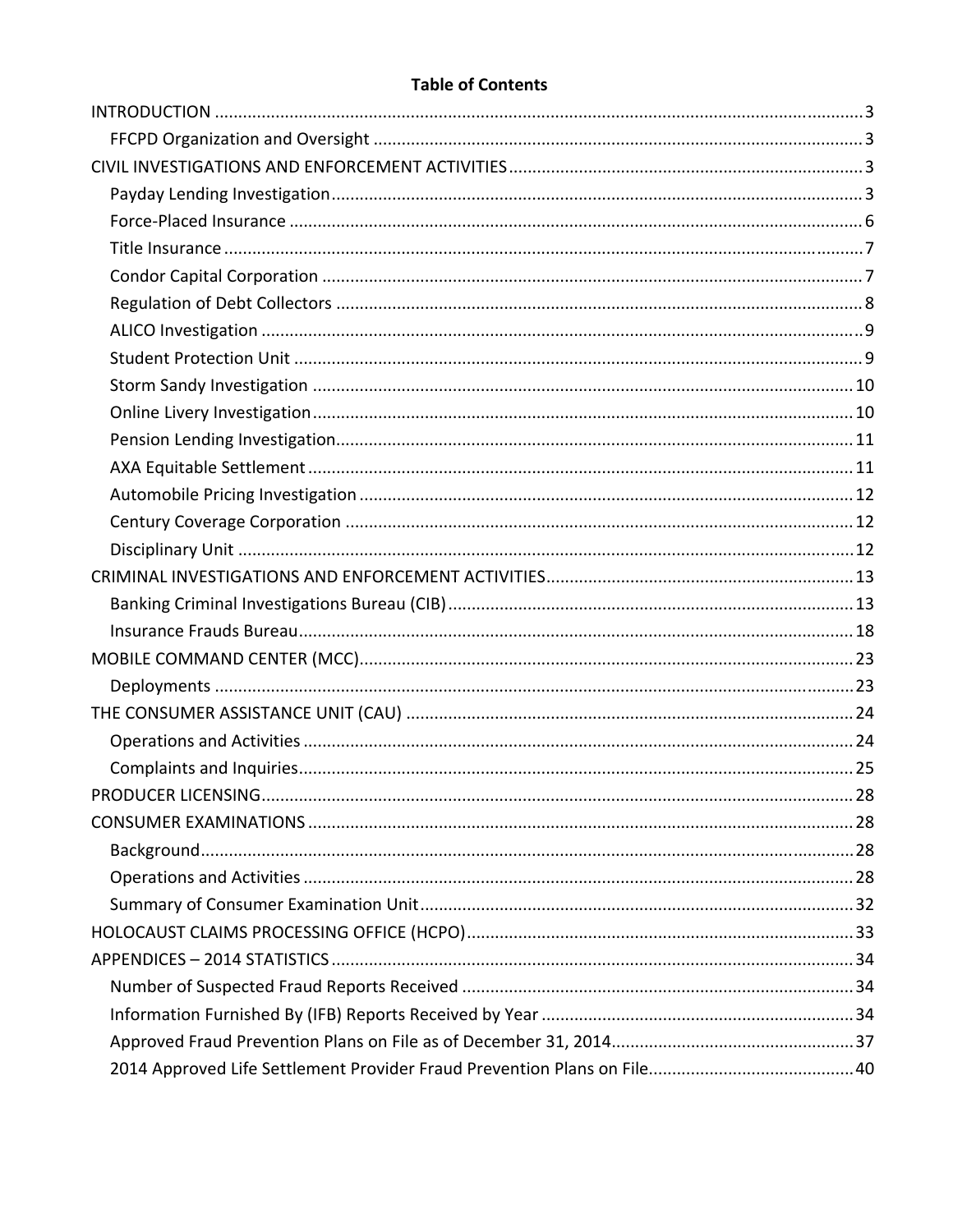#### **Table of Contents**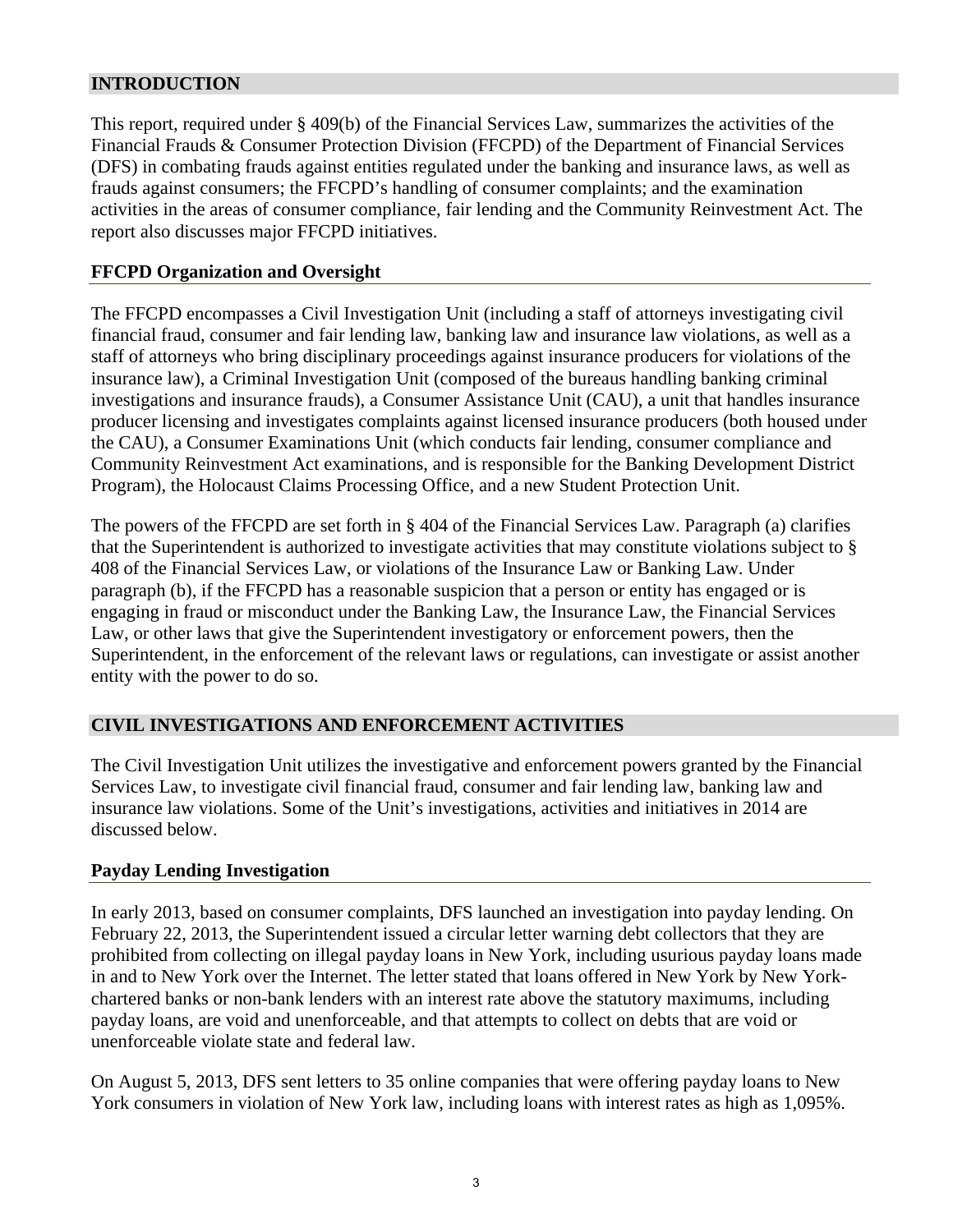#### **INTRODUCTION**

This report, required under § 409(b) of the Financial Services Law, summarizes the activities of the Financial Frauds & Consumer Protection Division (FFCPD) of the Department of Financial Services (DFS) in combating frauds against entities regulated under the banking and insurance laws, as well as frauds against consumers; the FFCPD's handling of consumer complaints; and the examination activities in the areas of consumer compliance, fair lending and the Community Reinvestment Act. The report also discusses major FFCPD initiatives.

#### **FFCPD Organization and Oversight**

The FFCPD encompasses a Civil Investigation Unit (including a staff of attorneys investigating civil financial fraud, consumer and fair lending law, banking law and insurance law violations, as well as a staff of attorneys who bring disciplinary proceedings against insurance producers for violations of the insurance law), a Criminal Investigation Unit (composed of the bureaus handling banking criminal investigations and insurance frauds), a Consumer Assistance Unit (CAU), a unit that handles insurance producer licensing and investigates complaints against licensed insurance producers (both housed under the CAU), a Consumer Examinations Unit (which conducts fair lending, consumer compliance and Community Reinvestment Act examinations, and is responsible for the Banking Development District Program), the Holocaust Claims Processing Office, and a new Student Protection Unit.

The powers of the FFCPD are set forth in § 404 of the Financial Services Law. Paragraph (a) clarifies that the Superintendent is authorized to investigate activities that may constitute violations subject to § 408 of the Financial Services Law, or violations of the Insurance Law or Banking Law. Under paragraph (b), if the FFCPD has a reasonable suspicion that a person or entity has engaged or is engaging in fraud or misconduct under the Banking Law, the Insurance Law, the Financial Services Law, or other laws that give the Superintendent investigatory or enforcement powers, then the Superintendent, in the enforcement of the relevant laws or regulations, can investigate or assist another entity with the power to do so.

## **CIVIL INVESTIGATIONS AND ENFORCEMENT ACTIVITIES**

The Civil Investigation Unit utilizes the investigative and enforcement powers granted by the Financial Services Law, to investigate civil financial fraud, consumer and fair lending law, banking law and insurance law violations. Some of the Unit's investigations, activities and initiatives in 2014 are discussed below.

#### **Payday Lending Investigation**

In early 2013, based on consumer complaints, DFS launched an investigation into payday lending. On February 22, 2013, the Superintendent issued a circular letter warning debt collectors that they are prohibited from collecting on illegal payday loans in New York, including usurious payday loans made in and to New York over the Internet. The letter stated that loans offered in New York by New Yorkchartered banks or non-bank lenders with an interest rate above the statutory maximums, including payday loans, are void and unenforceable, and that attempts to collect on debts that are void or unenforceable violate state and federal law.

On August 5, 2013, DFS sent letters to 35 online companies that were offering payday loans to New York consumers in violation of New York law, including loans with interest rates as high as 1,095%.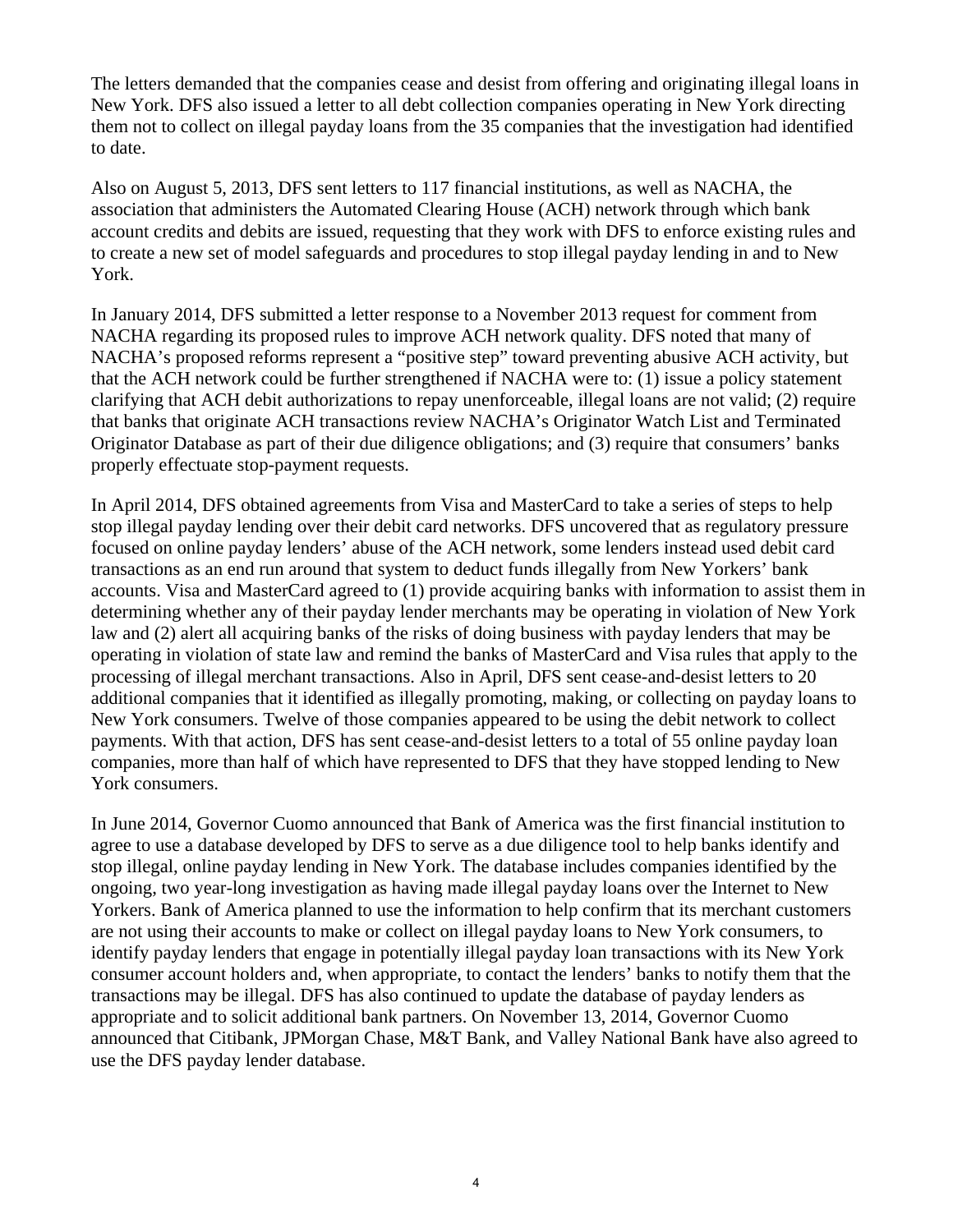The letters demanded that the companies cease and desist from offering and originating illegal loans in New York. DFS also issued a letter to all debt collection companies operating in New York directing them not to collect on illegal payday loans from the 35 companies that the investigation had identified to date.

Also on August 5, 2013, DFS sent letters to 117 financial institutions, as well as NACHA, the association that administers the Automated Clearing House (ACH) network through which bank account credits and debits are issued, requesting that they work with DFS to enforce existing rules and to create a new set of model safeguards and procedures to stop illegal payday lending in and to New York.

In January 2014, DFS submitted a letter response to a November 2013 request for comment from NACHA regarding its proposed rules to improve ACH network quality. DFS noted that many of NACHA's proposed reforms represent a "positive step" toward preventing abusive ACH activity, but that the ACH network could be further strengthened if NACHA were to: (1) issue a policy statement clarifying that ACH debit authorizations to repay unenforceable, illegal loans are not valid; (2) require that banks that originate ACH transactions review NACHA's Originator Watch List and Terminated Originator Database as part of their due diligence obligations; and (3) require that consumers' banks properly effectuate stop-payment requests.

In April 2014, DFS obtained agreements from Visa and MasterCard to take a series of steps to help stop illegal payday lending over their debit card networks. DFS uncovered that as regulatory pressure focused on online payday lenders' abuse of the ACH network, some lenders instead used debit card transactions as an end run around that system to deduct funds illegally from New Yorkers' bank accounts. Visa and MasterCard agreed to (1) provide acquiring banks with information to assist them in determining whether any of their payday lender merchants may be operating in violation of New York law and (2) alert all acquiring banks of the risks of doing business with payday lenders that may be operating in violation of state law and remind the banks of MasterCard and Visa rules that apply to the processing of illegal merchant transactions. Also in April, DFS sent cease-and-desist letters to 20 additional companies that it identified as illegally promoting, making, or collecting on payday loans to New York consumers. Twelve of those companies appeared to be using the debit network to collect payments. With that action, DFS has sent cease-and-desist letters to a total of 55 online payday loan companies, more than half of which have represented to DFS that they have stopped lending to New York consumers.

In June 2014, Governor Cuomo announced that Bank of America was the first financial institution to agree to use a database developed by DFS to serve as a due diligence tool to help banks identify and stop illegal, online payday lending in New York. The database includes companies identified by the ongoing, two year-long investigation as having made illegal payday loans over the Internet to New Yorkers. Bank of America planned to use the information to help confirm that its merchant customers are not using their accounts to make or collect on illegal payday loans to New York consumers, to identify payday lenders that engage in potentially illegal payday loan transactions with its New York consumer account holders and, when appropriate, to contact the lenders' banks to notify them that the transactions may be illegal. DFS has also continued to update the database of payday lenders as appropriate and to solicit additional bank partners. On November 13, 2014, Governor Cuomo announced that Citibank, JPMorgan Chase, M&T Bank, and Valley National Bank have also agreed to use the DFS payday lender database.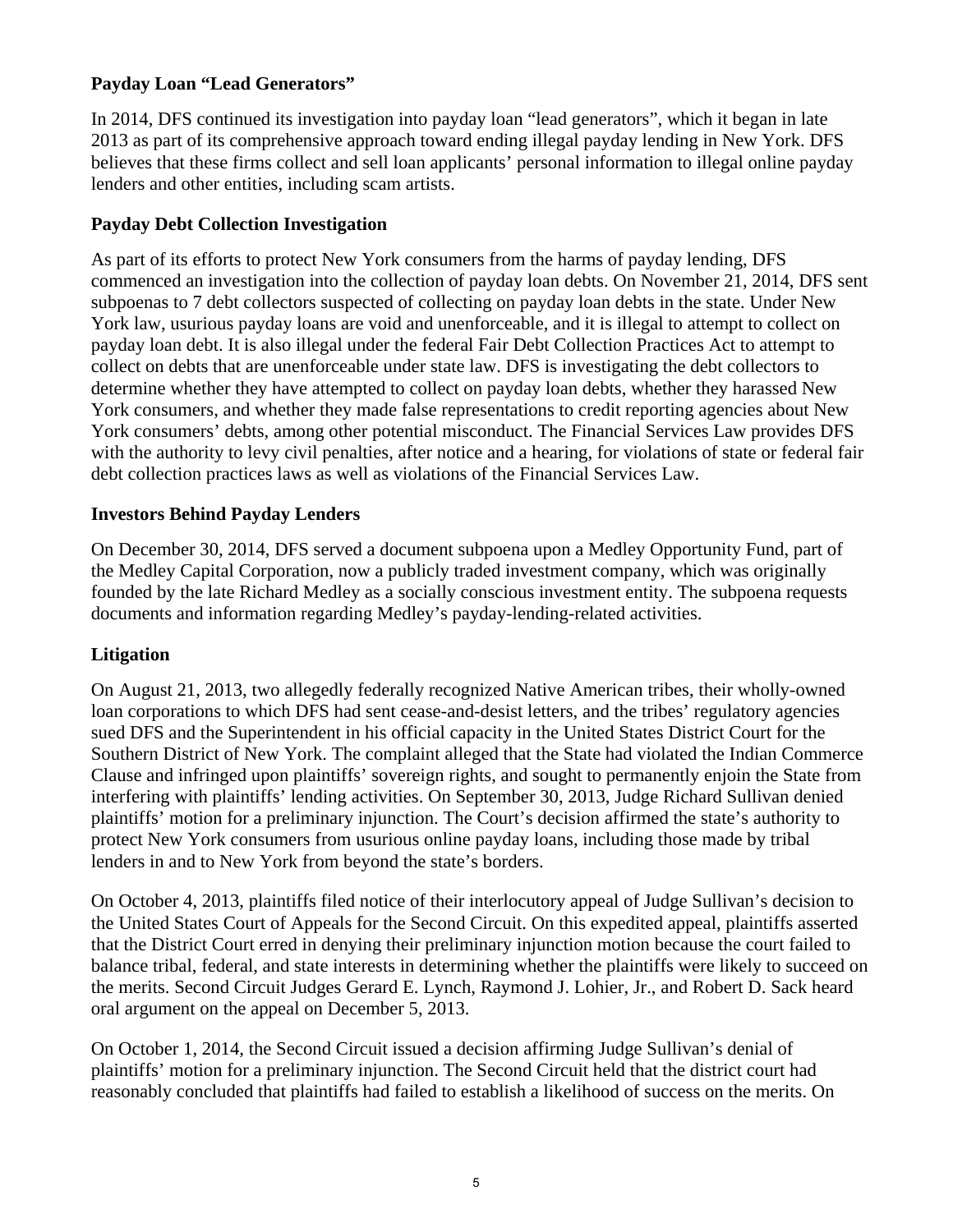## **Payday Loan "Lead Generators"**

 lenders and other entities, including scam artists. In 2014, DFS continued its investigation into payday loan "lead generators", which it began in late 2013 as part of its comprehensive approach toward ending illegal payday lending in New York. DFS believes that these firms collect and sell loan applicants' personal information to illegal online payday

## **Payday Debt Collection Investigation**

As part of its efforts to protect New York consumers from the harms of payday lending, DFS commenced an investigation into the collection of payday loan debts. On November 21, 2014, DFS sent subpoenas to 7 debt collectors suspected of collecting on payday loan debts in the state. Under New York law, usurious payday loans are void and unenforceable, and it is illegal to attempt to collect on payday loan debt. It is also illegal under the federal Fair Debt Collection Practices Act to attempt to collect on debts that are unenforceable under state law. DFS is investigating the debt collectors to determine whether they have attempted to collect on payday loan debts, whether they harassed New York consumers, and whether they made false representations to credit reporting agencies about New York consumers' debts, among other potential misconduct. The Financial Services Law provides DFS with the authority to levy civil penalties, after notice and a hearing, for violations of state or federal fair debt collection practices laws as well as violations of the Financial Services Law.

## **Investors Behind Payday Lenders**

On December 30, 2014, DFS served a document subpoena upon a Medley Opportunity Fund, part of the Medley Capital Corporation, now a publicly traded investment company, which was originally founded by the late Richard Medley as a socially conscious investment entity. The subpoena requests documents and information regarding Medley's payday-lending-related activities.

## **Litigation**

On August 21, 2013, two allegedly federally recognized Native American tribes, their wholly-owned loan corporations to which DFS had sent cease-and-desist letters, and the tribes' regulatory agencies sued DFS and the Superintendent in his official capacity in the United States District Court for the Southern District of New York. The complaint alleged that the State had violated the Indian Commerce Clause and infringed upon plaintiffs' sovereign rights, and sought to permanently enjoin the State from interfering with plaintiffs' lending activities. On September 30, 2013, Judge Richard Sullivan denied plaintiffs' motion for a preliminary injunction. The Court's decision affirmed the state's authority to protect New York consumers from usurious online payday loans, including those made by tribal lenders in and to New York from beyond the state's borders.

On October 4, 2013, plaintiffs filed notice of their interlocutory appeal of Judge Sullivan's decision to the United States Court of Appeals for the Second Circuit. On this expedited appeal, plaintiffs asserted that the District Court erred in denying their preliminary injunction motion because the court failed to balance tribal, federal, and state interests in determining whether the plaintiffs were likely to succeed on the merits. Second Circuit Judges Gerard E. Lynch, Raymond J. Lohier, Jr., and Robert D. Sack heard oral argument on the appeal on December 5, 2013.

On October 1, 2014, the Second Circuit issued a decision affirming Judge Sullivan's denial of plaintiffs' motion for a preliminary injunction. The Second Circuit held that the district court had reasonably concluded that plaintiffs had failed to establish a likelihood of success on the merits. On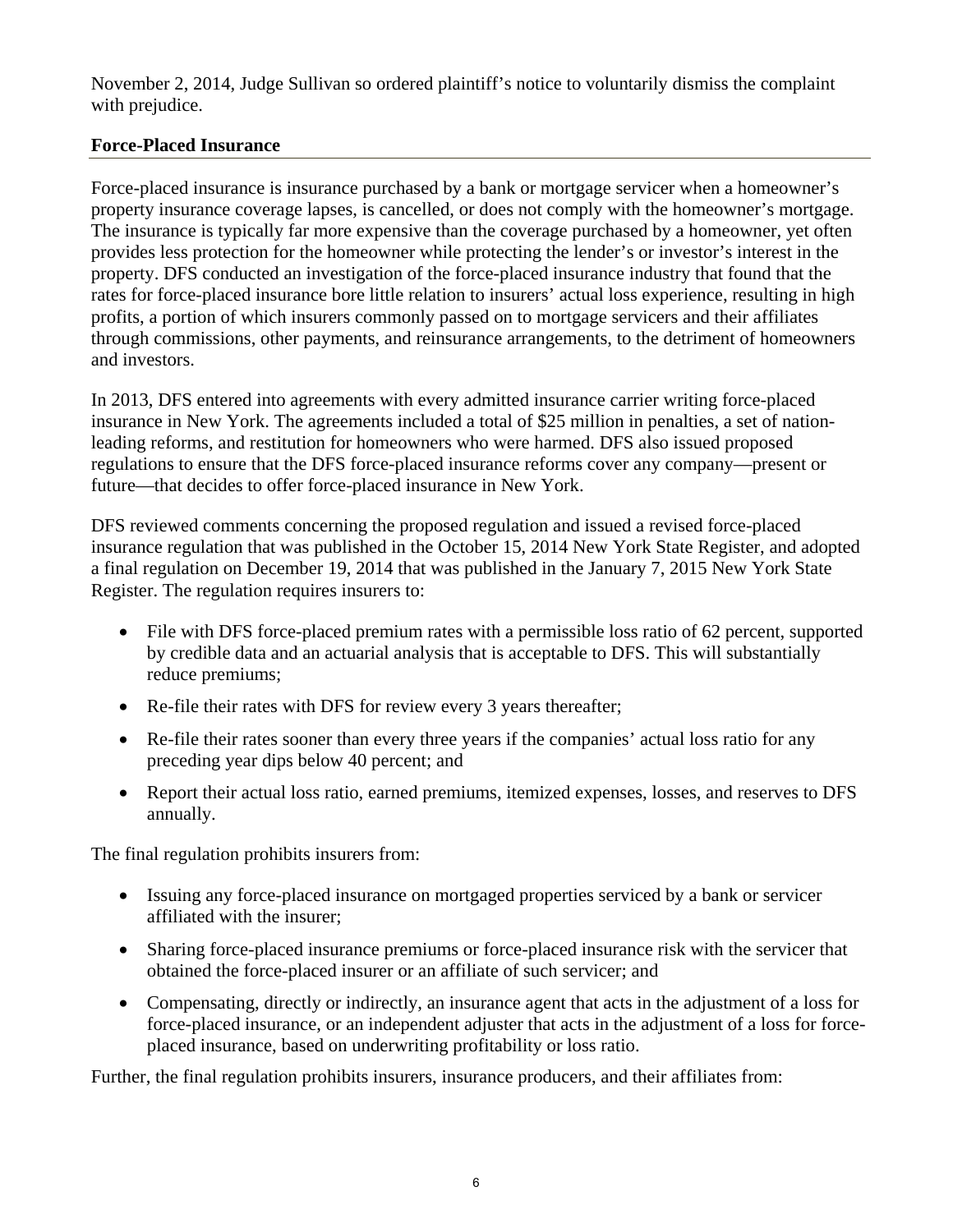November 2, 2014, Judge Sullivan so ordered plaintiff's notice to voluntarily dismiss the complaint with prejudice.

## **Force-Placed Insurance**

Force-placed insurance is insurance purchased by a bank or mortgage servicer when a homeowner's property insurance coverage lapses, is cancelled, or does not comply with the homeowner's mortgage. The insurance is typically far more expensive than the coverage purchased by a homeowner, yet often provides less protection for the homeowner while protecting the lender's or investor's interest in the property. DFS conducted an investigation of the force-placed insurance industry that found that the rates for force-placed insurance bore little relation to insurers' actual loss experience, resulting in high profits, a portion of which insurers commonly passed on to mortgage servicers and their affiliates through commissions, other payments, and reinsurance arrangements, to the detriment of homeowners and investors.

In 2013, DFS entered into agreements with every admitted insurance carrier writing force-placed insurance in New York. The agreements included a total of \$25 million in penalties, a set of nationleading reforms, and restitution for homeowners who were harmed. DFS also issued proposed regulations to ensure that the DFS force-placed insurance reforms cover any company—present or future—that decides to offer force-placed insurance in New York.

DFS reviewed comments concerning the proposed regulation and issued a revised force-placed insurance regulation that was published in the October 15, 2014 New York State Register, and adopted a final regulation on December 19, 2014 that was published in the January 7, 2015 New York State Register. The regulation requires insurers to:

- File with DFS force-placed premium rates with a permissible loss ratio of 62 percent, supported by credible data and an actuarial analysis that is acceptable to DFS. This will substantially reduce premiums;
- Re-file their rates with DFS for review every 3 years thereafter;
- Re-file their rates sooner than every three years if the companies' actual loss ratio for any preceding year dips below 40 percent; and
- Report their actual loss ratio, earned premiums, itemized expenses, losses, and reserves to DFS annually.

The final regulation prohibits insurers from:

- Issuing any force-placed insurance on mortgaged properties serviced by a bank or servicer affiliated with the insurer;
- Sharing force-placed insurance premiums or force-placed insurance risk with the servicer that obtained the force-placed insurer or an affiliate of such servicer; and
- Compensating, directly or indirectly, an insurance agent that acts in the adjustment of a loss for force-placed insurance, or an independent adjuster that acts in the adjustment of a loss for forceplaced insurance, based on underwriting profitability or loss ratio.

Further, the final regulation prohibits insurers, insurance producers, and their affiliates from: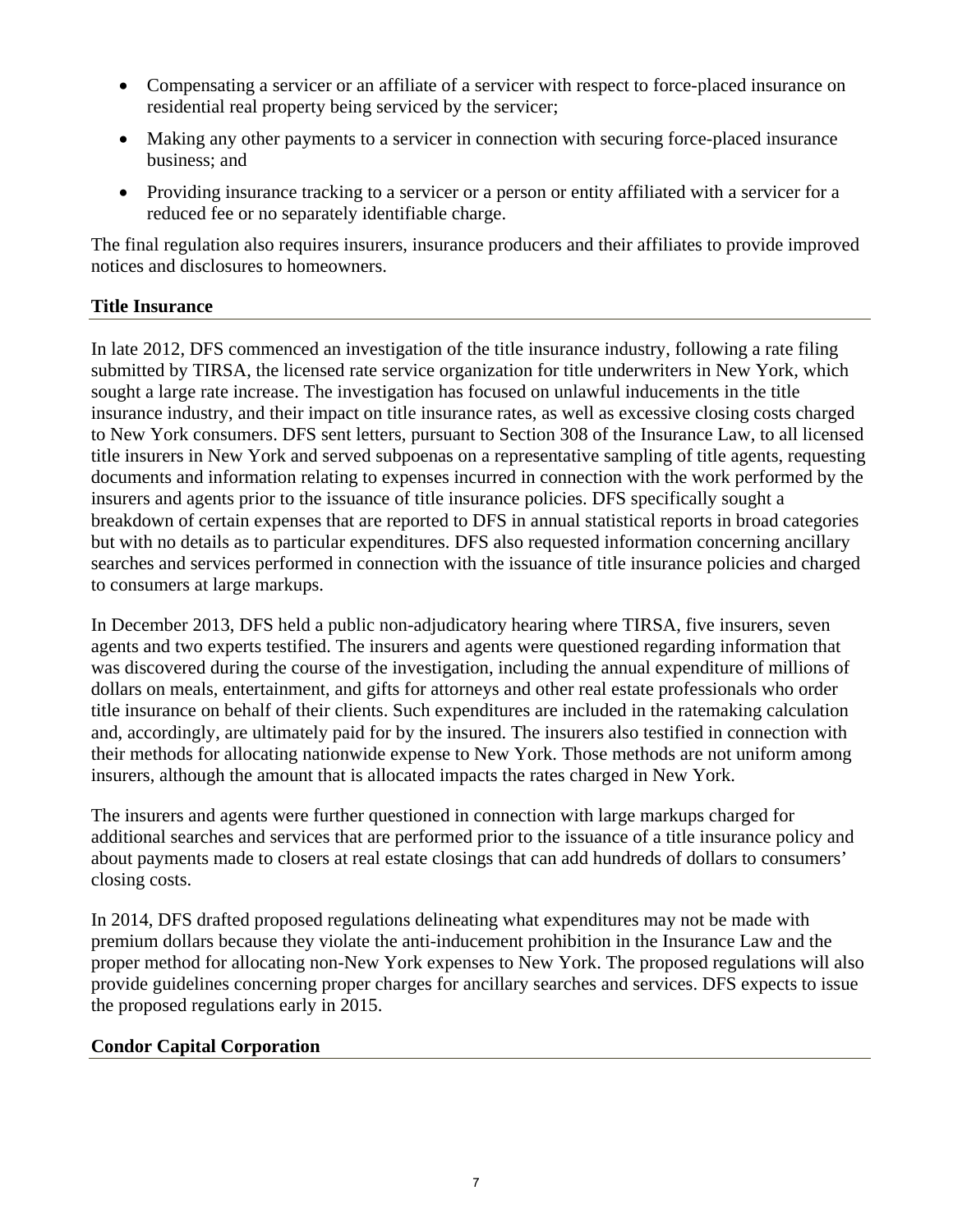- Compensating a servicer or an affiliate of a servicer with respect to force-placed insurance on residential real property being serviced by the servicer;
- Making any other payments to a servicer in connection with securing force-placed insurance business; and
- Providing insurance tracking to a servicer or a person or entity affiliated with a servicer for a reduced fee or no separately identifiable charge.

The final regulation also requires insurers, insurance producers and their affiliates to provide improved notices and disclosures to homeowners.

## **Title Insurance**

In late 2012, DFS commenced an investigation of the title insurance industry, following a rate filing submitted by TIRSA, the licensed rate service organization for title underwriters in New York, which sought a large rate increase. The investigation has focused on unlawful inducements in the title insurance industry, and their impact on title insurance rates, as well as excessive closing costs charged to New York consumers. DFS sent letters, pursuant to Section 308 of the Insurance Law, to all licensed title insurers in New York and served subpoenas on a representative sampling of title agents, requesting documents and information relating to expenses incurred in connection with the work performed by the insurers and agents prior to the issuance of title insurance policies. DFS specifically sought a breakdown of certain expenses that are reported to DFS in annual statistical reports in broad categories but with no details as to particular expenditures. DFS also requested information concerning ancillary searches and services performed in connection with the issuance of title insurance policies and charged to consumers at large markups.

In December 2013, DFS held a public non-adjudicatory hearing where TIRSA, five insurers, seven agents and two experts testified. The insurers and agents were questioned regarding information that was discovered during the course of the investigation, including the annual expenditure of millions of dollars on meals, entertainment, and gifts for attorneys and other real estate professionals who order title insurance on behalf of their clients. Such expenditures are included in the ratemaking calculation and, accordingly, are ultimately paid for by the insured. The insurers also testified in connection with their methods for allocating nationwide expense to New York. Those methods are not uniform among insurers, although the amount that is allocated impacts the rates charged in New York.

The insurers and agents were further questioned in connection with large markups charged for additional searches and services that are performed prior to the issuance of a title insurance policy and about payments made to closers at real estate closings that can add hundreds of dollars to consumers' closing costs.

In 2014, DFS drafted proposed regulations delineating what expenditures may not be made with premium dollars because they violate the anti-inducement prohibition in the Insurance Law and the proper method for allocating non-New York expenses to New York. The proposed regulations will also provide guidelines concerning proper charges for ancillary searches and services. DFS expects to issue the proposed regulations early in 2015.

#### **Condor Capital Corporation**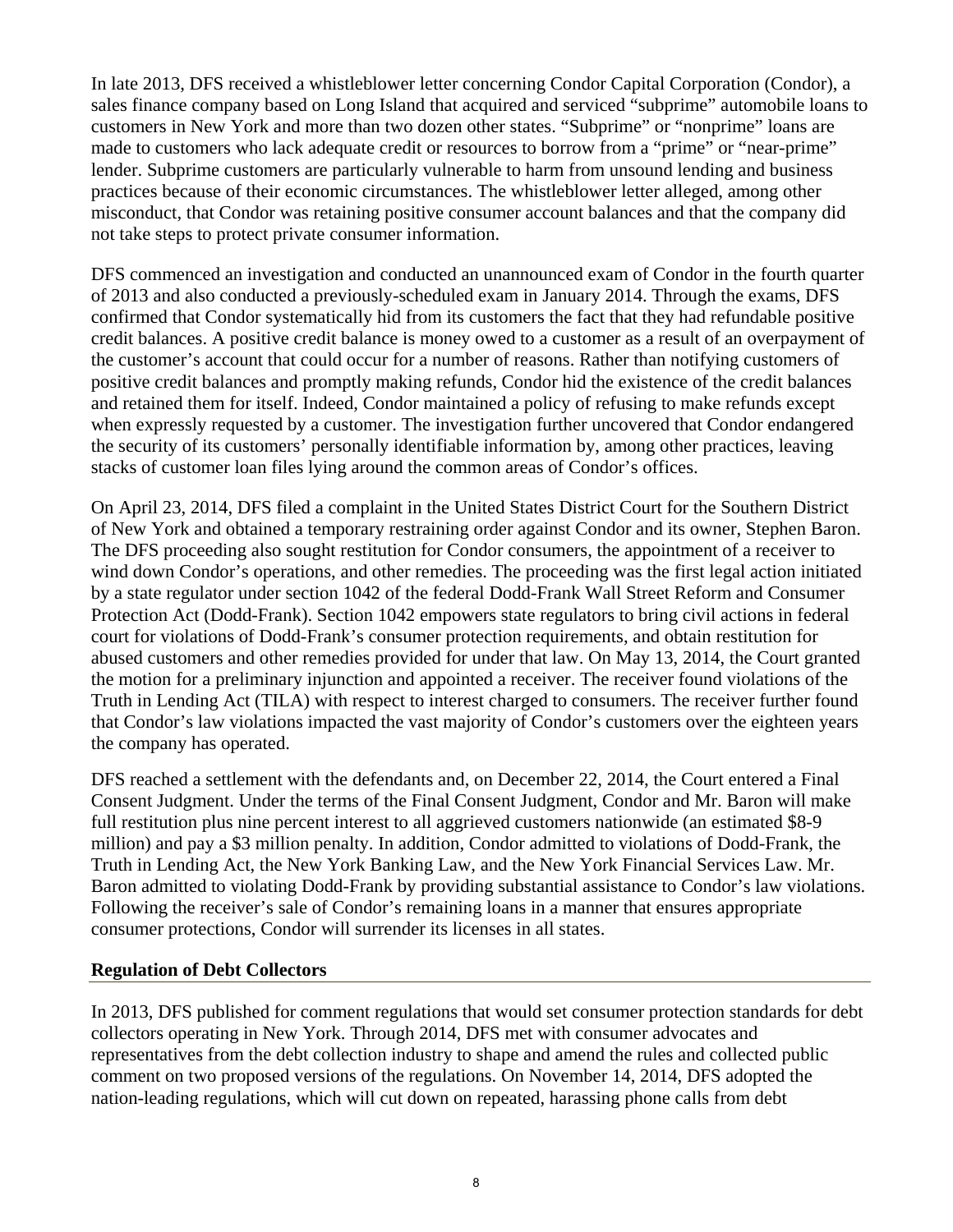In late 2013, DFS received a whistleblower letter concerning Condor Capital Corporation (Condor), a sales finance company based on Long Island that acquired and serviced "subprime" automobile loans to customers in New York and more than two dozen other states. "Subprime" or "nonprime" loans are made to customers who lack adequate credit or resources to borrow from a "prime" or "near-prime" lender. Subprime customers are particularly vulnerable to harm from unsound lending and business practices because of their economic circumstances. The whistleblower letter alleged, among other misconduct, that Condor was retaining positive consumer account balances and that the company did not take steps to protect private consumer information.

DFS commenced an investigation and conducted an unannounced exam of Condor in the fourth quarter of 2013 and also conducted a previously-scheduled exam in January 2014. Through the exams, DFS confirmed that Condor systematically hid from its customers the fact that they had refundable positive credit balances. A positive credit balance is money owed to a customer as a result of an overpayment of the customer's account that could occur for a number of reasons. Rather than notifying customers of positive credit balances and promptly making refunds, Condor hid the existence of the credit balances and retained them for itself. Indeed, Condor maintained a policy of refusing to make refunds except when expressly requested by a customer. The investigation further uncovered that Condor endangered the security of its customers' personally identifiable information by, among other practices, leaving stacks of customer loan files lying around the common areas of Condor's offices.

On April 23, 2014, DFS filed a complaint in the United States District Court for the Southern District of New York and obtained a temporary restraining order against Condor and its owner, Stephen Baron. The DFS proceeding also sought restitution for Condor consumers, the appointment of a receiver to wind down Condor's operations, and other remedies. The proceeding was the first legal action initiated by a state regulator under section 1042 of the federal Dodd-Frank Wall Street Reform and Consumer Protection Act (Dodd-Frank). Section 1042 empowers state regulators to bring civil actions in federal court for violations of Dodd-Frank's consumer protection requirements, and obtain restitution for abused customers and other remedies provided for under that law. On May 13, 2014, the Court granted the motion for a preliminary injunction and appointed a receiver. The receiver found violations of the Truth in Lending Act (TILA) with respect to interest charged to consumers. The receiver further found that Condor's law violations impacted the vast majority of Condor's customers over the eighteen years the company has operated.

DFS reached a settlement with the defendants and, on December 22, 2014, the Court entered a Final Consent Judgment. Under the terms of the Final Consent Judgment, Condor and Mr. Baron will make full restitution plus nine percent interest to all aggrieved customers nationwide (an estimated \$8-9 million) and pay a \$3 million penalty. In addition, Condor admitted to violations of Dodd-Frank, the Truth in Lending Act, the New York Banking Law, and the New York Financial Services Law. Mr. Baron admitted to violating Dodd-Frank by providing substantial assistance to Condor's law violations. Following the receiver's sale of Condor's remaining loans in a manner that ensures appropriate consumer protections, Condor will surrender its licenses in all states.

#### **Regulation of Debt Collectors**

In 2013, DFS published for comment regulations that would set consumer protection standards for debt collectors operating in New York. Through 2014, DFS met with consumer advocates and representatives from the debt collection industry to shape and amend the rules and collected public comment on two proposed versions of the regulations. On November 14, 2014, DFS adopted the nation-leading regulations, which will cut down on repeated, harassing phone calls from debt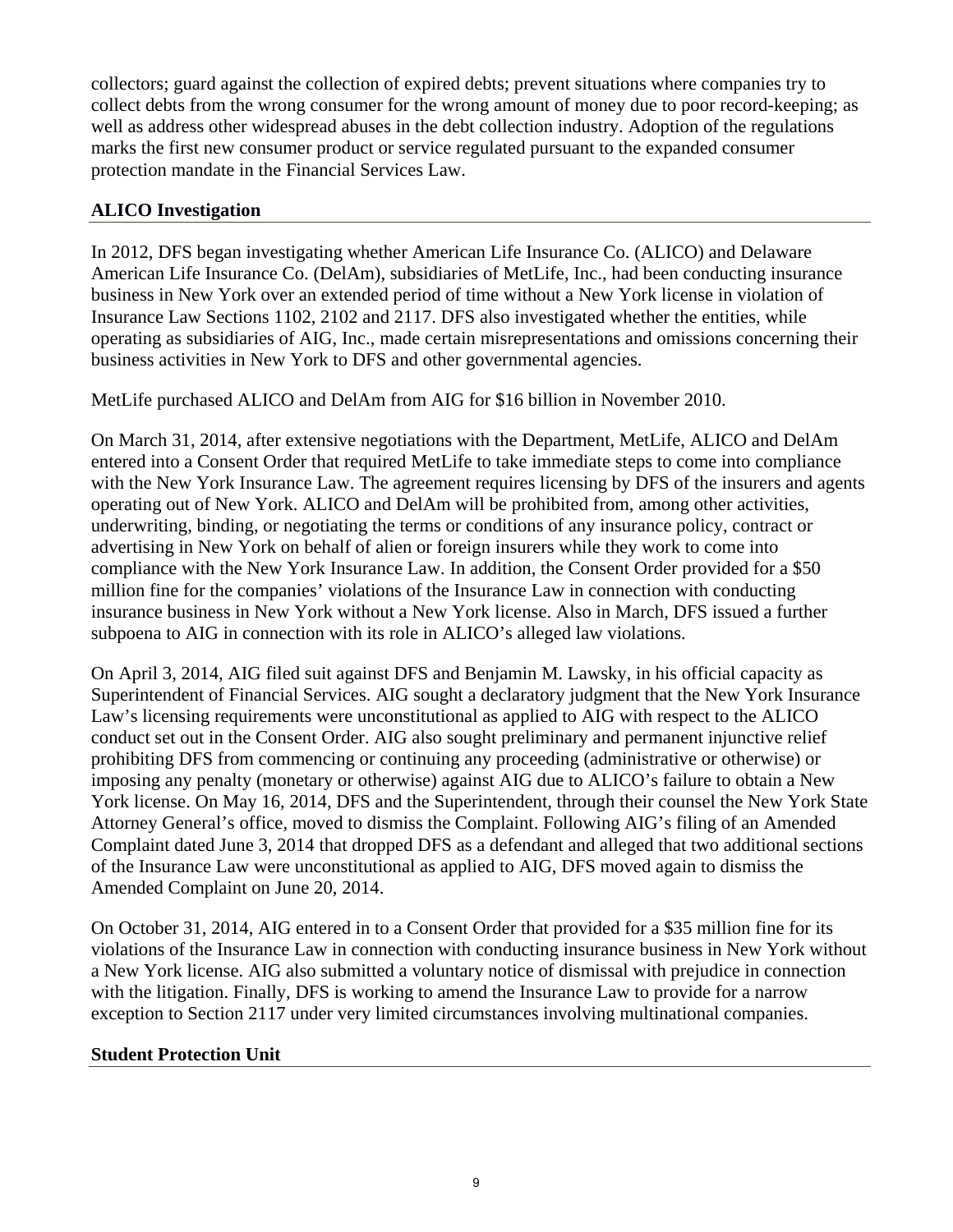collectors; guard against the collection of expired debts; prevent situations where companies try to collect debts from the wrong consumer for the wrong amount of money due to poor record-keeping; as well as address other widespread abuses in the debt collection industry. Adoption of the regulations marks the first new consumer product or service regulated pursuant to the expanded consumer protection mandate in the Financial Services Law.

## **ALICO Investigation**

In 2012, DFS began investigating whether American Life Insurance Co. (ALICO) and Delaware American Life Insurance Co. (DelAm), subsidiaries of MetLife, Inc., had been conducting insurance business in New York over an extended period of time without a New York license in violation of Insurance Law Sections 1102, 2102 and 2117. DFS also investigated whether the entities, while operating as subsidiaries of AIG, Inc., made certain misrepresentations and omissions concerning their business activities in New York to DFS and other governmental agencies.

MetLife purchased ALICO and DelAm from AIG for \$16 billion in November 2010.

On March 31, 2014, after extensive negotiations with the Department, MetLife, ALICO and DelAm entered into a Consent Order that required MetLife to take immediate steps to come into compliance with the New York Insurance Law. The agreement requires licensing by DFS of the insurers and agents operating out of New York. ALICO and DelAm will be prohibited from, among other activities, underwriting, binding, or negotiating the terms or conditions of any insurance policy, contract or advertising in New York on behalf of alien or foreign insurers while they work to come into compliance with the New York Insurance Law. In addition, the Consent Order provided for a \$50 million fine for the companies' violations of the Insurance Law in connection with conducting insurance business in New York without a New York license. Also in March, DFS issued a further subpoena to AIG in connection with its role in ALICO's alleged law violations.

On April 3, 2014, AIG filed suit against DFS and Benjamin M. Lawsky, in his official capacity as Superintendent of Financial Services. AIG sought a declaratory judgment that the New York Insurance Law's licensing requirements were unconstitutional as applied to AIG with respect to the ALICO conduct set out in the Consent Order. AIG also sought preliminary and permanent injunctive relief prohibiting DFS from commencing or continuing any proceeding (administrative or otherwise) or imposing any penalty (monetary or otherwise) against AIG due to ALICO's failure to obtain a New York license. On May 16, 2014, DFS and the Superintendent, through their counsel the New York State Attorney General's office, moved to dismiss the Complaint. Following AIG's filing of an Amended Complaint dated June 3, 2014 that dropped DFS as a defendant and alleged that two additional sections of the Insurance Law were unconstitutional as applied to AIG, DFS moved again to dismiss the Amended Complaint on June 20, 2014.

On October 31, 2014, AIG entered in to a Consent Order that provided for a \$35 million fine for its violations of the Insurance Law in connection with conducting insurance business in New York without a New York license. AIG also submitted a voluntary notice of dismissal with prejudice in connection with the litigation. Finally, DFS is working to amend the Insurance Law to provide for a narrow exception to Section 2117 under very limited circumstances involving multinational companies.

## **Student Protection Unit**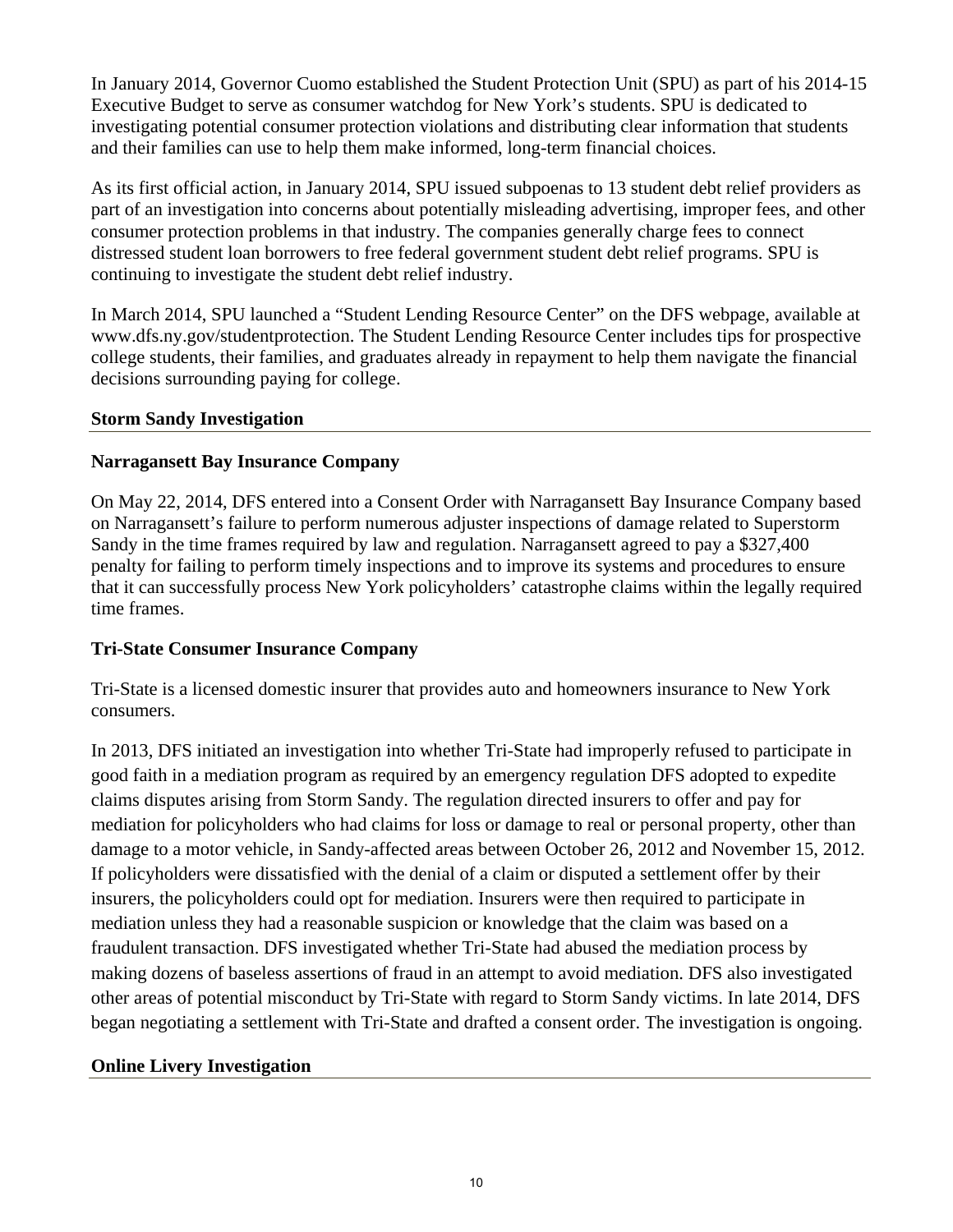In January 2014, Governor Cuomo established the Student Protection Unit (SPU) as part of his 2014-15 Executive Budget to serve as consumer watchdog for New York's students. SPU is dedicated to investigating potential consumer protection violations and distributing clear information that students and their families can use to help them make informed, long-term financial choices.

As its first official action, in January 2014, SPU issued subpoenas to 13 student debt relief providers as part of an investigation into concerns about potentially misleading advertising, improper fees, and other consumer protection problems in that industry. The companies generally charge fees to connect distressed student loan borrowers to free federal government student debt relief programs. SPU is continuing to investigate the student debt relief industry.

In March 2014, SPU launched a "Student Lending Resource Center" on the DFS webpage, available at www.dfs.ny.gov/studentprotection. The Student Lending Resource Center includes tips for prospective college students, their families, and graduates already in repayment to help them navigate the financial decisions surrounding paying for college.

#### **Storm Sandy Investigation**

## **Narragansett Bay Insurance Company**

On May 22, 2014, DFS entered into a Consent Order with Narragansett Bay Insurance Company based on Narragansett's failure to perform numerous adjuster inspections of damage related to Superstorm Sandy in the time frames required by law and regulation. Narragansett agreed to pay a \$327,400 penalty for failing to perform timely inspections and to improve its systems and procedures to ensure that it can successfully process New York policyholders' catastrophe claims within the legally required time frames.

## **Tri-State Consumer Insurance Company**

Tri-State is a licensed domestic insurer that provides auto and homeowners insurance to New York consumers.

In 2013, DFS initiated an investigation into whether Tri-State had improperly refused to participate in good faith in a mediation program as required by an emergency regulation DFS adopted to expedite claims disputes arising from Storm Sandy. The regulation directed insurers to offer and pay for mediation for policyholders who had claims for loss or damage to real or personal property, other than damage to a motor vehicle, in Sandy-affected areas between October 26, 2012 and November 15, 2012. If policyholders were dissatisfied with the denial of a claim or disputed a settlement offer by their insurers, the policyholders could opt for mediation. Insurers were then required to participate in mediation unless they had a reasonable suspicion or knowledge that the claim was based on a fraudulent transaction. DFS investigated whether Tri-State had abused the mediation process by making dozens of baseless assertions of fraud in an attempt to avoid mediation. DFS also investigated other areas of potential misconduct by Tri-State with regard to Storm Sandy victims. In late 2014, DFS began negotiating a settlement with Tri-State and drafted a consent order. The investigation is ongoing.

#### **Online Livery Investigation**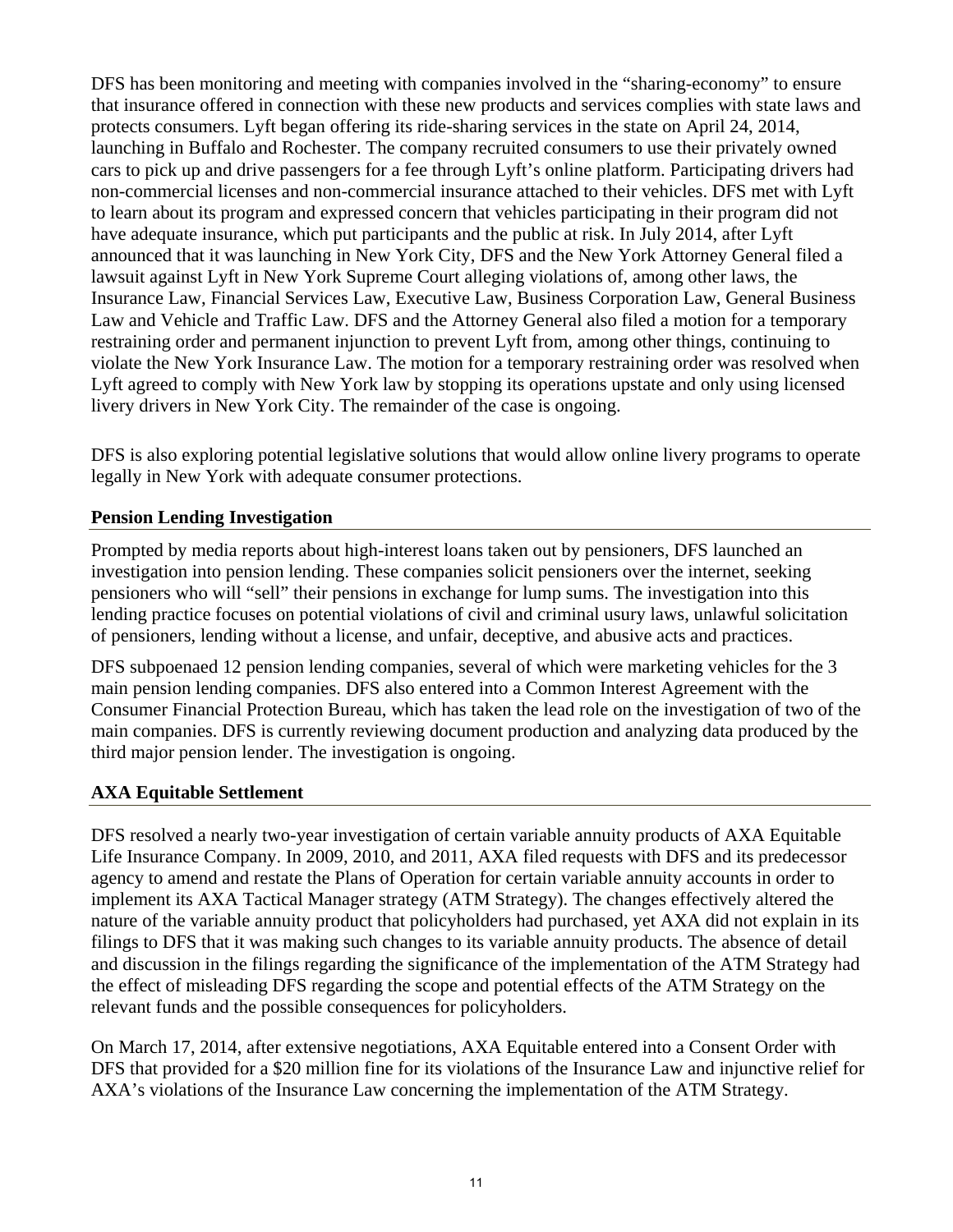DFS has been monitoring and meeting with companies involved in the "sharing-economy" to ensure that insurance offered in connection with these new products and services complies with state laws and protects consumers. Lyft began offering its ride-sharing services in the state on April 24, 2014, launching in Buffalo and Rochester. The company recruited consumers to use their privately owned cars to pick up and drive passengers for a fee through Lyft's online platform. Participating drivers had non-commercial licenses and non-commercial insurance attached to their vehicles. DFS met with Lyft to learn about its program and expressed concern that vehicles participating in their program did not have adequate insurance, which put participants and the public at risk. In July 2014, after Lyft announced that it was launching in New York City, DFS and the New York Attorney General filed a lawsuit against Lyft in New York Supreme Court alleging violations of, among other laws, the Insurance Law, Financial Services Law, Executive Law, Business Corporation Law, General Business Law and Vehicle and Traffic Law. DFS and the Attorney General also filed a motion for a temporary restraining order and permanent injunction to prevent Lyft from, among other things, continuing to violate the New York Insurance Law. The motion for a temporary restraining order was resolved when Lyft agreed to comply with New York law by stopping its operations upstate and only using licensed livery drivers in New York City. The remainder of the case is ongoing.

DFS is also exploring potential legislative solutions that would allow online livery programs to operate legally in New York with adequate consumer protections.

## **Pension Lending Investigation**

Prompted by media reports about high-interest loans taken out by pensioners, DFS launched an investigation into pension lending. These companies solicit pensioners over the internet, seeking pensioners who will "sell" their pensions in exchange for lump sums. The investigation into this lending practice focuses on potential violations of civil and criminal usury laws, unlawful solicitation of pensioners, lending without a license, and unfair, deceptive, and abusive acts and practices.

DFS subpoenaed 12 pension lending companies, several of which were marketing vehicles for the 3 main pension lending companies. DFS also entered into a Common Interest Agreement with the Consumer Financial Protection Bureau, which has taken the lead role on the investigation of two of the main companies. DFS is currently reviewing document production and analyzing data produced by the third major pension lender. The investigation is ongoing.

## **AXA Equitable Settlement**

DFS resolved a nearly two-year investigation of certain variable annuity products of AXA Equitable Life Insurance Company. In 2009, 2010, and 2011, AXA filed requests with DFS and its predecessor agency to amend and restate the Plans of Operation for certain variable annuity accounts in order to implement its AXA Tactical Manager strategy (ATM Strategy). The changes effectively altered the nature of the variable annuity product that policyholders had purchased, yet AXA did not explain in its filings to DFS that it was making such changes to its variable annuity products. The absence of detail and discussion in the filings regarding the significance of the implementation of the ATM Strategy had the effect of misleading DFS regarding the scope and potential effects of the ATM Strategy on the relevant funds and the possible consequences for policyholders.

On March 17, 2014, after extensive negotiations, AXA Equitable entered into a Consent Order with DFS that provided for a \$20 million fine for its violations of the Insurance Law and injunctive relief for AXA's violations of the Insurance Law concerning the implementation of the ATM Strategy.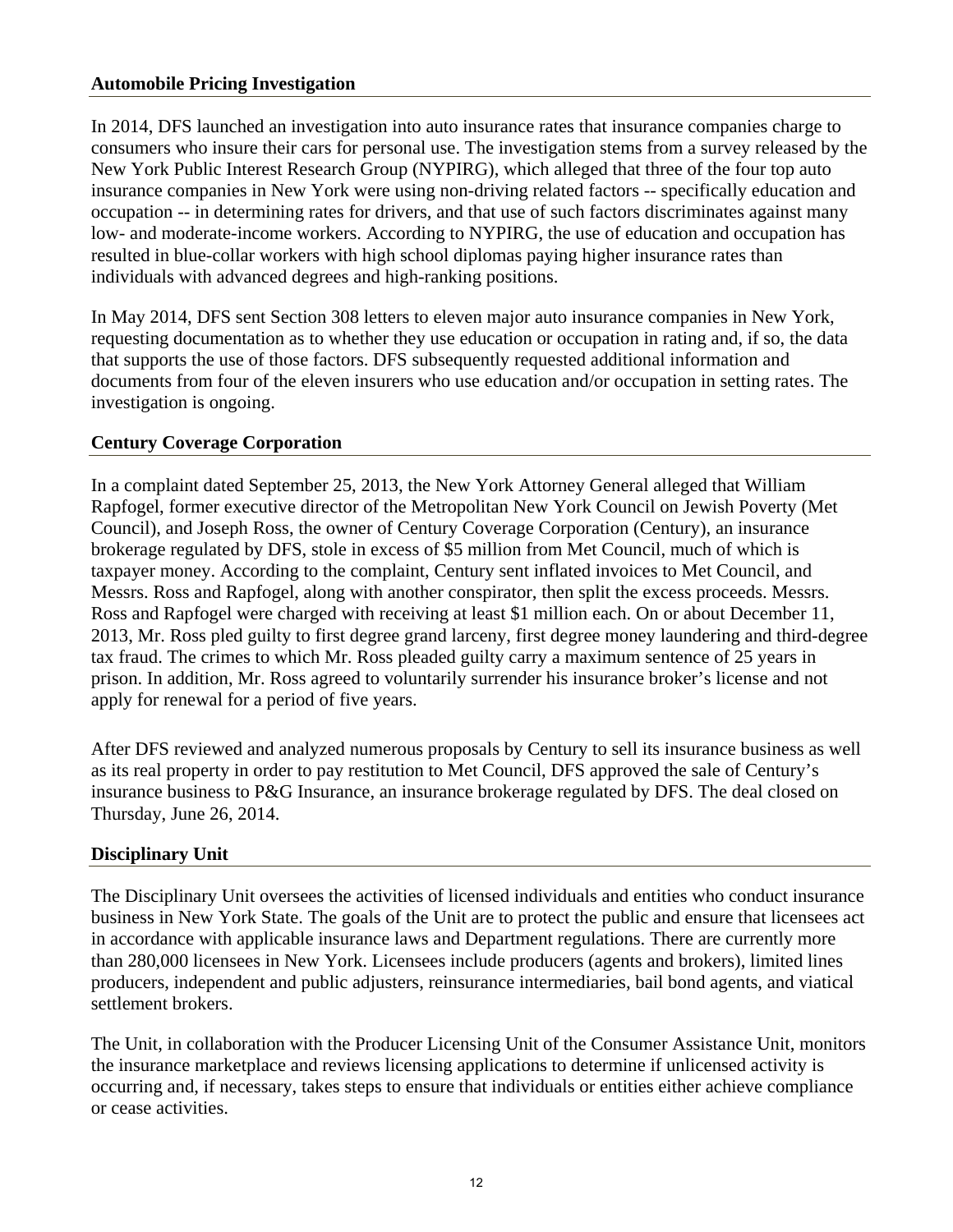#### **Automobile Pricing Investigation**

In 2014, DFS launched an investigation into auto insurance rates that insurance companies charge to consumers who insure their cars for personal use. The investigation stems from a survey released by the New York Public Interest Research Group (NYPIRG), which alleged that three of the four top auto insurance companies in New York were using non-driving related factors -- specifically education and occupation -- in determining rates for drivers, and that use of such factors discriminates against many low- and moderate-income workers. According to NYPIRG, the use of education and occupation has resulted in blue-collar workers with high school diplomas paying higher insurance rates than individuals with advanced degrees and high-ranking positions.

In May 2014, DFS sent Section 308 letters to eleven major auto insurance companies in New York, requesting documentation as to whether they use education or occupation in rating and, if so, the data that supports the use of those factors. DFS subsequently requested additional information and documents from four of the eleven insurers who use education and/or occupation in setting rates. The investigation is ongoing.

#### **Century Coverage Corporation**

In a complaint dated September 25, 2013, the New York Attorney General alleged that William Rapfogel, former executive director of the Metropolitan New York Council on Jewish Poverty (Met Council), and Joseph Ross, the owner of Century Coverage Corporation (Century), an insurance brokerage regulated by DFS, stole in excess of \$5 million from Met Council, much of which is taxpayer money. According to the complaint, Century sent inflated invoices to Met Council, and Messrs. Ross and Rapfogel, along with another conspirator, then split the excess proceeds. Messrs. Ross and Rapfogel were charged with receiving at least \$1 million each. On or about December 11, 2013, Mr. Ross pled guilty to first degree grand larceny, first degree money laundering and third-degree tax fraud. The crimes to which Mr. Ross pleaded guilty carry a maximum sentence of 25 years in prison. In addition, Mr. Ross agreed to voluntarily surrender his insurance broker's license and not apply for renewal for a period of five years.

After DFS reviewed and analyzed numerous proposals by Century to sell its insurance business as well as its real property in order to pay restitution to Met Council, DFS approved the sale of Century's insurance business to P&G Insurance, an insurance brokerage regulated by DFS. The deal closed on Thursday, June 26, 2014.

#### **Disciplinary Unit**

The Disciplinary Unit oversees the activities of licensed individuals and entities who conduct insurance business in New York State. The goals of the Unit are to protect the public and ensure that licensees act in accordance with applicable insurance laws and Department regulations. There are currently more than 280,000 licensees in New York. Licensees include producers (agents and brokers), limited lines producers, independent and public adjusters, reinsurance intermediaries, bail bond agents, and viatical settlement brokers.

The Unit, in collaboration with the Producer Licensing Unit of the Consumer Assistance Unit, monitors the insurance marketplace and reviews licensing applications to determine if unlicensed activity is occurring and, if necessary, takes steps to ensure that individuals or entities either achieve compliance or cease activities.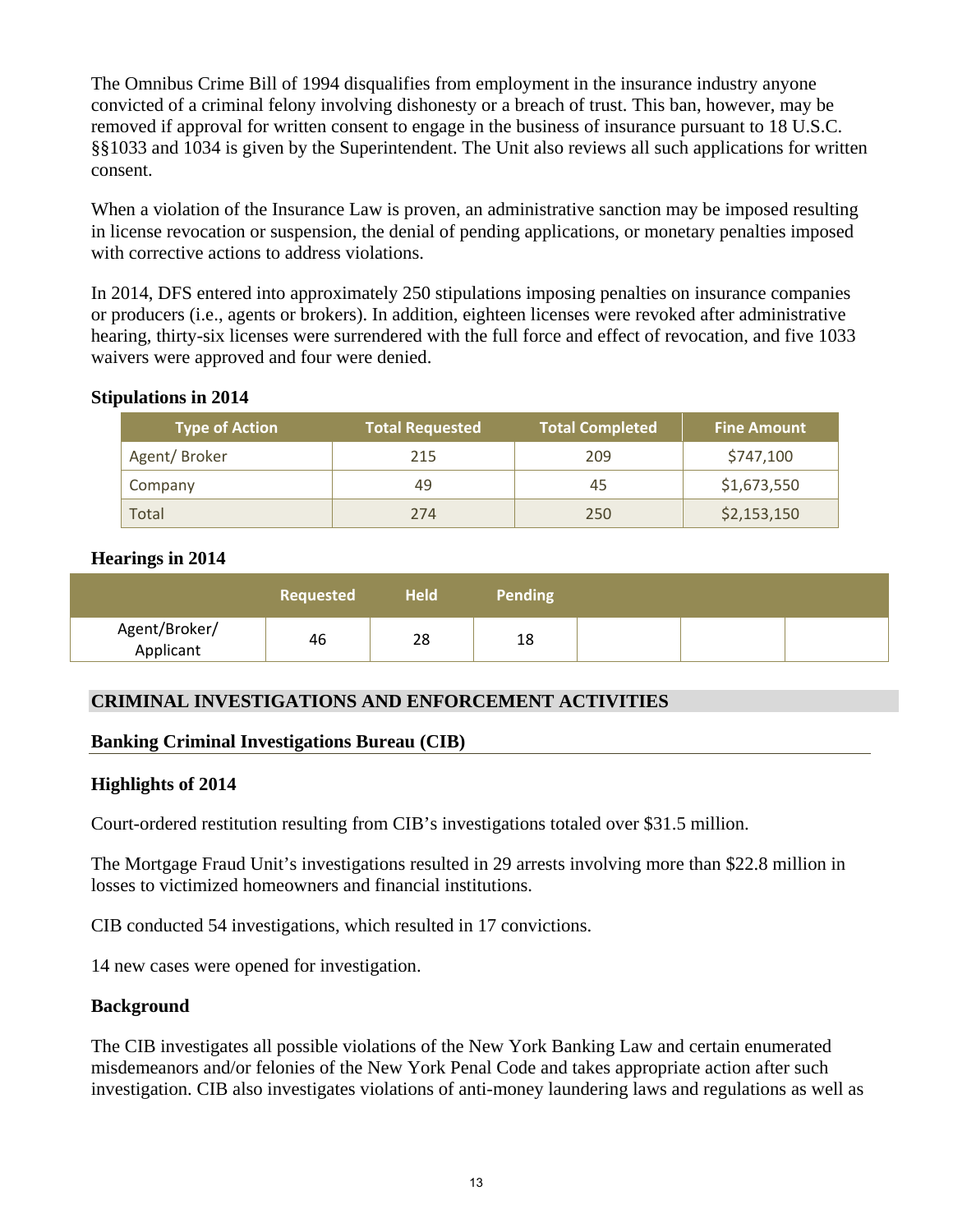The Omnibus Crime Bill of 1994 disqualifies from employment in the insurance industry anyone convicted of a criminal felony involving dishonesty or a breach of trust. This ban, however, may be removed if approval for written consent to engage in the business of insurance pursuant to 18 U.S.C. §§1033 and 1034 is given by the Superintendent. The Unit also reviews all such applications for written consent.

When a violation of the Insurance Law is proven, an administrative sanction may be imposed resulting in license revocation or suspension, the denial of pending applications, or monetary penalties imposed with corrective actions to address violations.

In 2014, DFS entered into approximately 250 stipulations imposing penalties on insurance companies or producers (i.e., agents or brokers). In addition, eighteen licenses were revoked after administrative hearing, thirty-six licenses were surrendered with the full force and effect of revocation, and five 1033 waivers were approved and four were denied.

#### **Stipulations in 2014**

| <b>Type of Action</b> | <b>Total Requested</b> | <b>Total Completed</b> | <b>Fine Amount</b> |
|-----------------------|------------------------|------------------------|--------------------|
| Agent/Broker          | 215                    | 209                    | \$747,100          |
| Company               | 49                     | 45                     | \$1,673,550        |
| Total                 | 274                    | 250                    | \$2,153,150        |

#### **Hearings in 2014**

|                            | Requested | Held | <b>Pending</b> |  |  |
|----------------------------|-----------|------|----------------|--|--|
| Agent/Broker/<br>Applicant | 46        | 28   | 18             |  |  |

## **CRIMINAL INVESTIGATIONS AND ENFORCEMENT ACTIVITIES**

## **Banking Criminal Investigations Bureau (CIB)**

#### **Highlights of 2014**

Court-ordered restitution resulting from CIB's investigations totaled over \$31.5 million.

The Mortgage Fraud Unit's investigations resulted in 29 arrests involving more than \$22.8 million in losses to victimized homeowners and financial institutions.

CIB conducted 54 investigations, which resulted in 17 convictions.

14 new cases were opened for investigation.

#### **Background**

The CIB investigates all possible violations of the New York Banking Law and certain enumerated misdemeanors and/or felonies of the New York Penal Code and takes appropriate action after such investigation. CIB also investigates violations of anti-money laundering laws and regulations as well as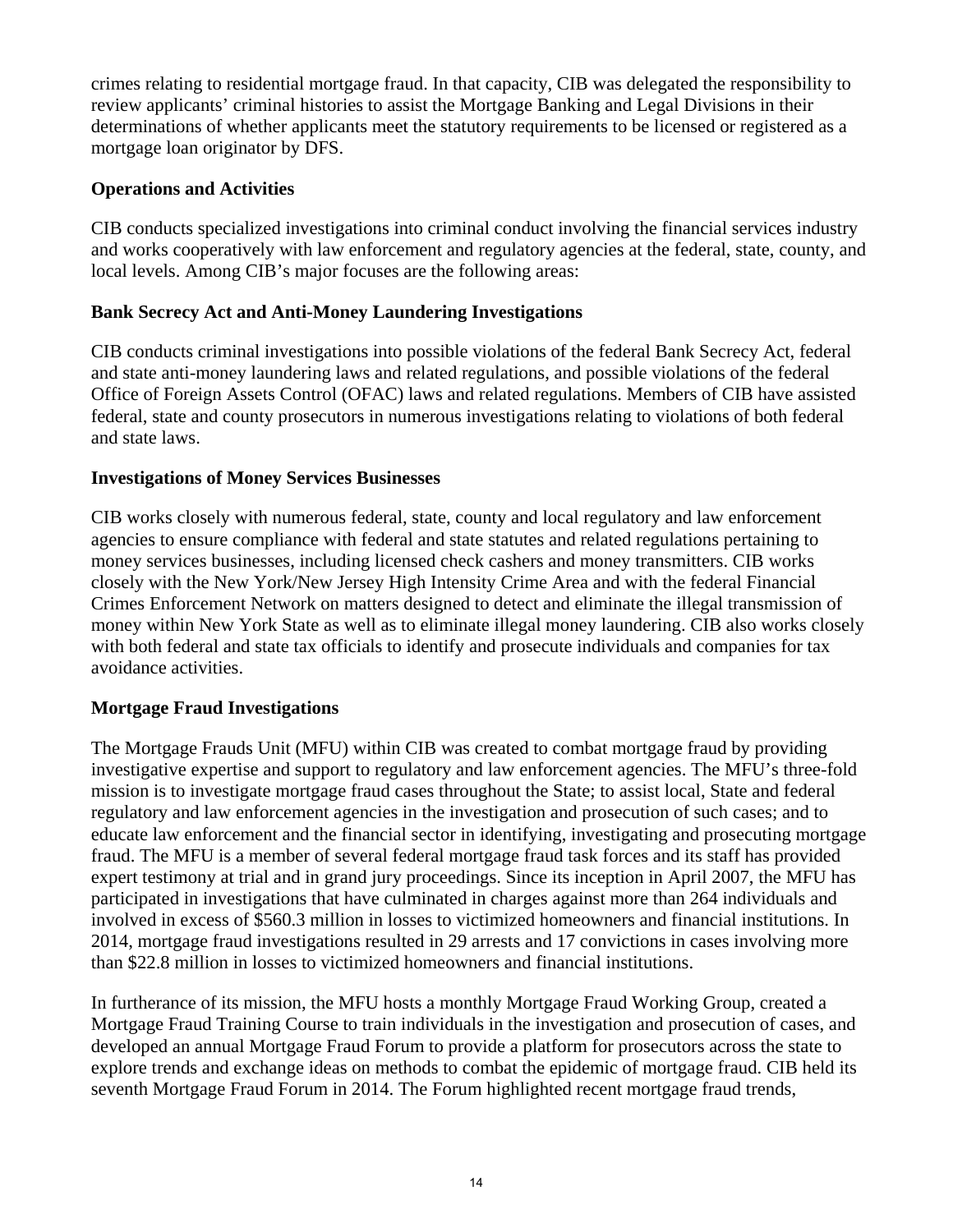crimes relating to residential mortgage fraud. In that capacity, CIB was delegated the responsibility to review applicants' criminal histories to assist the Mortgage Banking and Legal Divisions in their determinations of whether applicants meet the statutory requirements to be licensed or registered as a mortgage loan originator by DFS.

## **Operations and Activities**

CIB conducts specialized investigations into criminal conduct involving the financial services industry and works cooperatively with law enforcement and regulatory agencies at the federal, state, county, and local levels. Among CIB's major focuses are the following areas:

## **Bank Secrecy Act and Anti-Money Laundering Investigations**

CIB conducts criminal investigations into possible violations of the federal Bank Secrecy Act, federal and state anti-money laundering laws and related regulations, and possible violations of the federal Office of Foreign Assets Control (OFAC) laws and related regulations. Members of CIB have assisted federal, state and county prosecutors in numerous investigations relating to violations of both federal and state laws.

## **Investigations of Money Services Businesses**

CIB works closely with numerous federal, state, county and local regulatory and law enforcement agencies to ensure compliance with federal and state statutes and related regulations pertaining to money services businesses, including licensed check cashers and money transmitters. CIB works closely with the New York/New Jersey High Intensity Crime Area and with the federal Financial Crimes Enforcement Network on matters designed to detect and eliminate the illegal transmission of money within New York State as well as to eliminate illegal money laundering. CIB also works closely with both federal and state tax officials to identify and prosecute individuals and companies for tax avoidance activities.

## **Mortgage Fraud Investigations**

The Mortgage Frauds Unit (MFU) within CIB was created to combat mortgage fraud by providing investigative expertise and support to regulatory and law enforcement agencies. The MFU's three-fold mission is to investigate mortgage fraud cases throughout the State; to assist local, State and federal regulatory and law enforcement agencies in the investigation and prosecution of such cases; and to educate law enforcement and the financial sector in identifying, investigating and prosecuting mortgage fraud. The MFU is a member of several federal mortgage fraud task forces and its staff has provided expert testimony at trial and in grand jury proceedings. Since its inception in April 2007, the MFU has participated in investigations that have culminated in charges against more than 264 individuals and involved in excess of \$560.3 million in losses to victimized homeowners and financial institutions. In 2014, mortgage fraud investigations resulted in 29 arrests and 17 convictions in cases involving more than \$22.8 million in losses to victimized homeowners and financial institutions.

In furtherance of its mission, the MFU hosts a monthly Mortgage Fraud Working Group, created a Mortgage Fraud Training Course to train individuals in the investigation and prosecution of cases, and developed an annual Mortgage Fraud Forum to provide a platform for prosecutors across the state to explore trends and exchange ideas on methods to combat the epidemic of mortgage fraud. CIB held its seventh Mortgage Fraud Forum in 2014. The Forum highlighted recent mortgage fraud trends,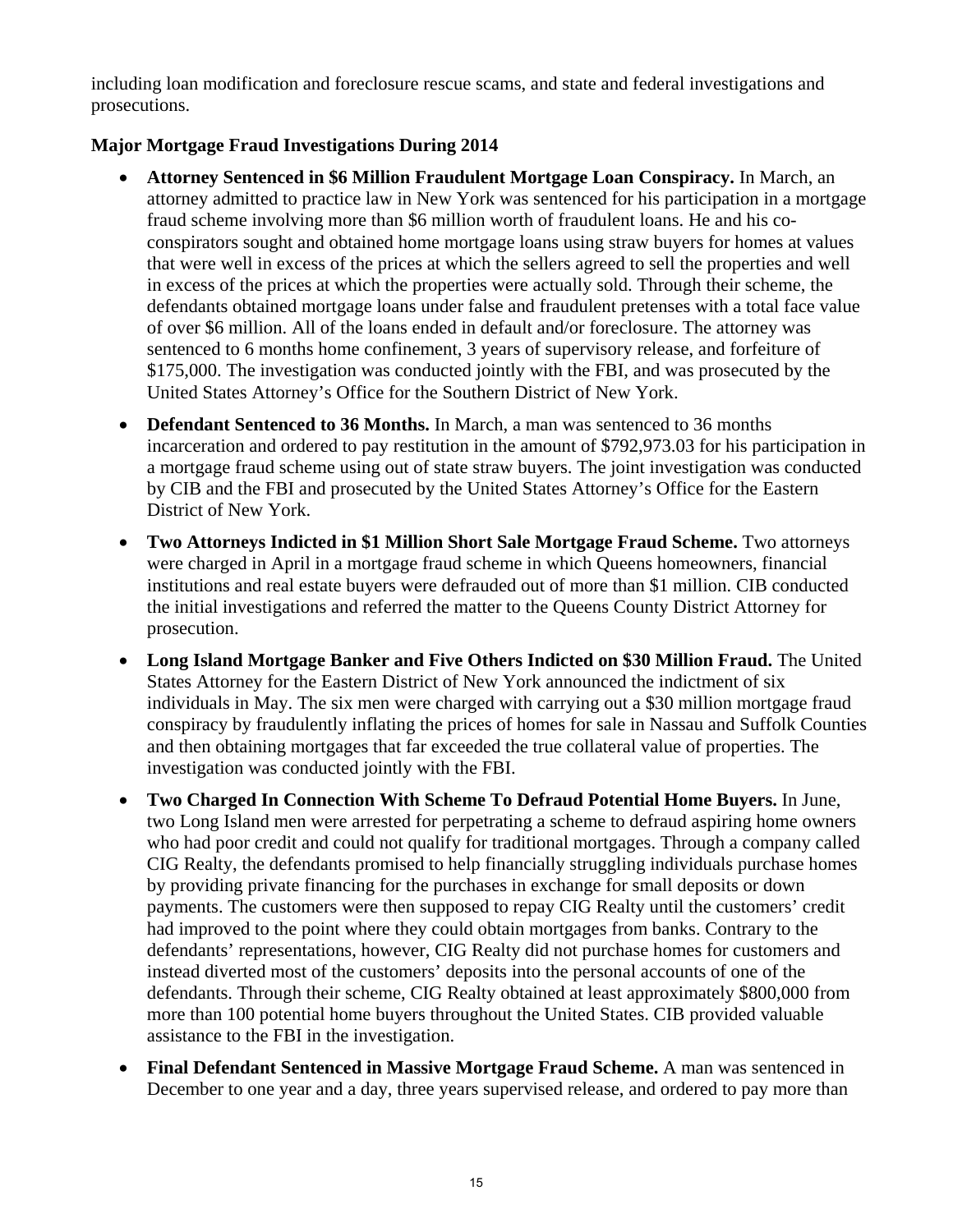including loan modification and foreclosure rescue scams, and state and federal investigations and prosecutions.

## **Major Mortgage Fraud Investigations During 2014**

- **Attorney Sentenced in \$6 Million Fraudulent Mortgage Loan Conspiracy.** In March, an attorney admitted to practice law in New York was sentenced for his participation in a mortgage fraud scheme involving more than \$6 million worth of fraudulent loans. He and his coconspirators sought and obtained home mortgage loans using straw buyers for homes at values that were well in excess of the prices at which the sellers agreed to sell the properties and well in excess of the prices at which the properties were actually sold. Through their scheme, the defendants obtained mortgage loans under false and fraudulent pretenses with a total face value of over \$6 million. All of the loans ended in default and/or foreclosure. The attorney was sentenced to 6 months home confinement, 3 years of supervisory release, and forfeiture of \$175,000. The investigation was conducted jointly with the FBI, and was prosecuted by the United States Attorney's Office for the Southern District of New York.
- **Defendant Sentenced to 36 Months.** In March, a man was sentenced to 36 months incarceration and ordered to pay restitution in the amount of \$792,973.03 for his participation in a mortgage fraud scheme using out of state straw buyers. The joint investigation was conducted by CIB and the FBI and prosecuted by the United States Attorney's Office for the Eastern District of New York.
- **Two Attorneys Indicted in \$1 Million Short Sale Mortgage Fraud Scheme.** Two attorneys were charged in April in a mortgage fraud scheme in which Queens homeowners, financial institutions and real estate buyers were defrauded out of more than \$1 million. CIB conducted the initial investigations and referred the matter to the Queens County District Attorney for prosecution.
- **Long Island Mortgage Banker and Five Others Indicted on \$30 Million Fraud.** The United States Attorney for the Eastern District of New York announced the indictment of six individuals in May. The six men were charged with carrying out a \$30 million mortgage fraud conspiracy by fraudulently inflating the prices of homes for sale in Nassau and Suffolk Counties and then obtaining mortgages that far exceeded the true collateral value of properties. The investigation was conducted jointly with the FBI.
- **Two Charged In Connection With Scheme To Defraud Potential Home Buyers.** In June, two Long Island men were arrested for perpetrating a scheme to defraud aspiring home owners who had poor credit and could not qualify for traditional mortgages. Through a company called CIG Realty, the defendants promised to help financially struggling individuals purchase homes by providing private financing for the purchases in exchange for small deposits or down payments. The customers were then supposed to repay CIG Realty until the customers' credit had improved to the point where they could obtain mortgages from banks. Contrary to the defendants' representations, however, CIG Realty did not purchase homes for customers and instead diverted most of the customers' deposits into the personal accounts of one of the defendants. Through their scheme, CIG Realty obtained at least approximately \$800,000 from more than 100 potential home buyers throughout the United States. CIB provided valuable assistance to the FBI in the investigation.
- **Final Defendant Sentenced in Massive Mortgage Fraud Scheme.** A man was sentenced in December to one year and a day, three years supervised release, and ordered to pay more than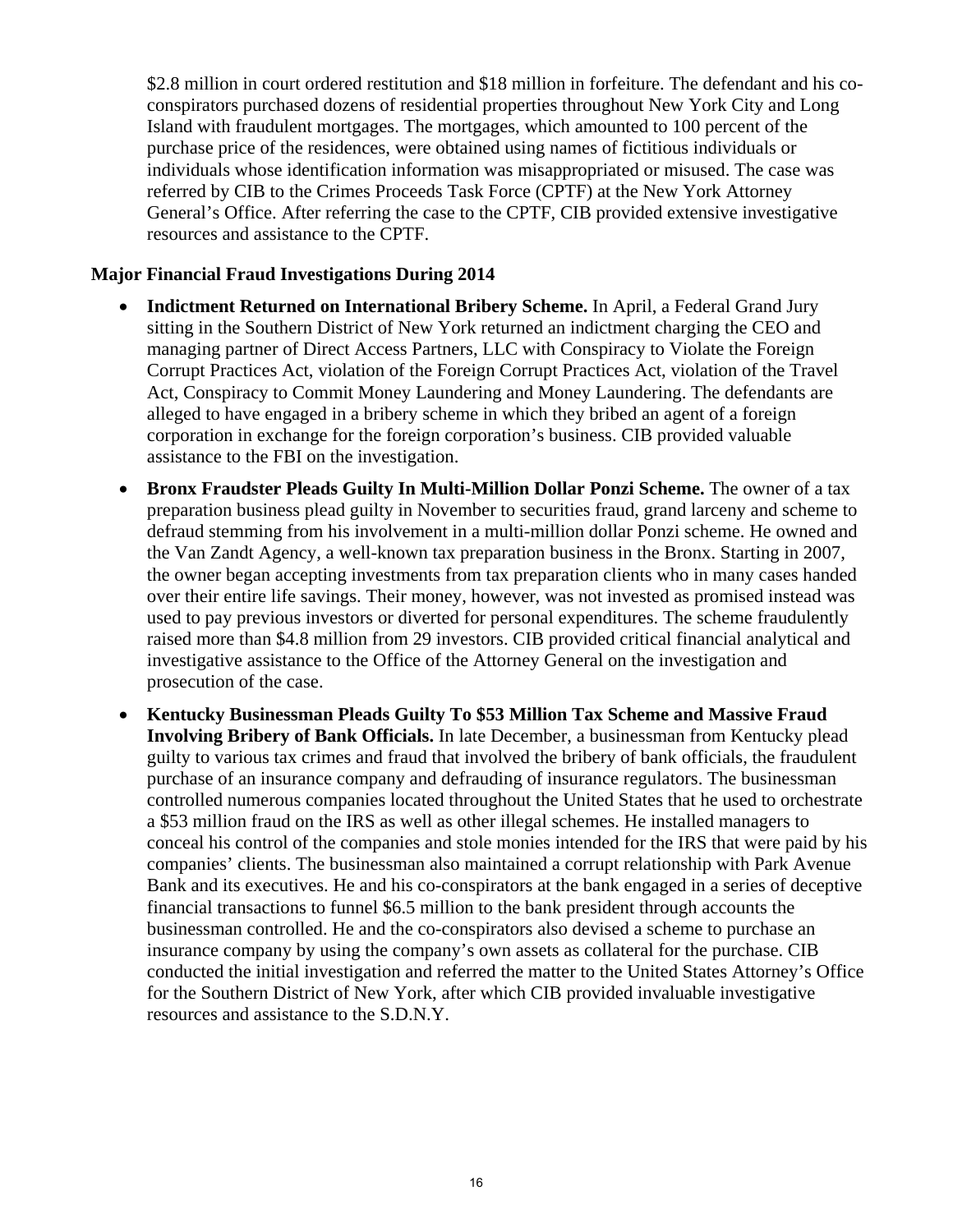\$2.8 million in court ordered restitution and \$18 million in forfeiture. The defendant and his coconspirators purchased dozens of residential properties throughout New York City and Long Island with fraudulent mortgages. The mortgages, which amounted to 100 percent of the purchase price of the residences, were obtained using names of fictitious individuals or individuals whose identification information was misappropriated or misused. The case was referred by CIB to the Crimes Proceeds Task Force (CPTF) at the New York Attorney General's Office. After referring the case to the CPTF, CIB provided extensive investigative resources and assistance to the CPTF.

#### **Major Financial Fraud Investigations During 2014**

- **Indictment Returned on International Bribery Scheme.** In April, a Federal Grand Jury sitting in the Southern District of New York returned an indictment charging the CEO and managing partner of Direct Access Partners, LLC with Conspiracy to Violate the Foreign Corrupt Practices Act, violation of the Foreign Corrupt Practices Act, violation of the Travel Act, Conspiracy to Commit Money Laundering and Money Laundering. The defendants are alleged to have engaged in a bribery scheme in which they bribed an agent of a foreign corporation in exchange for the foreign corporation's business. CIB provided valuable assistance to the FBI on the investigation.
- **Bronx Fraudster Pleads Guilty In Multi-Million Dollar Ponzi Scheme.** The owner of a tax preparation business plead guilty in November to securities fraud, grand larceny and scheme to defraud stemming from his involvement in a multi-million dollar Ponzi scheme. He owned and the Van Zandt Agency, a well-known tax preparation business in the Bronx. Starting in 2007, the owner began accepting investments from tax preparation clients who in many cases handed over their entire life savings. Their money, however, was not invested as promised instead was used to pay previous investors or diverted for personal expenditures. The scheme fraudulently raised more than \$4.8 million from 29 investors. CIB provided critical financial analytical and investigative assistance to the Office of the Attorney General on the investigation and prosecution of the case.
- **Kentucky Businessman Pleads Guilty To \$53 Million Tax Scheme and Massive Fraud Involving Bribery of Bank Officials.** In late December, a businessman from Kentucky plead guilty to various tax crimes and fraud that involved the bribery of bank officials, the fraudulent purchase of an insurance company and defrauding of insurance regulators. The businessman controlled numerous companies located throughout the United States that he used to orchestrate a \$53 million fraud on the IRS as well as other illegal schemes. He installed managers to conceal his control of the companies and stole monies intended for the IRS that were paid by his companies' clients. The businessman also maintained a corrupt relationship with Park Avenue Bank and its executives. He and his co-conspirators at the bank engaged in a series of deceptive financial transactions to funnel \$6.5 million to the bank president through accounts the businessman controlled. He and the co-conspirators also devised a scheme to purchase an insurance company by using the company's own assets as collateral for the purchase. CIB conducted the initial investigation and referred the matter to the United States Attorney's Office for the Southern District of New York, after which CIB provided invaluable investigative resources and assistance to the S.D.N.Y.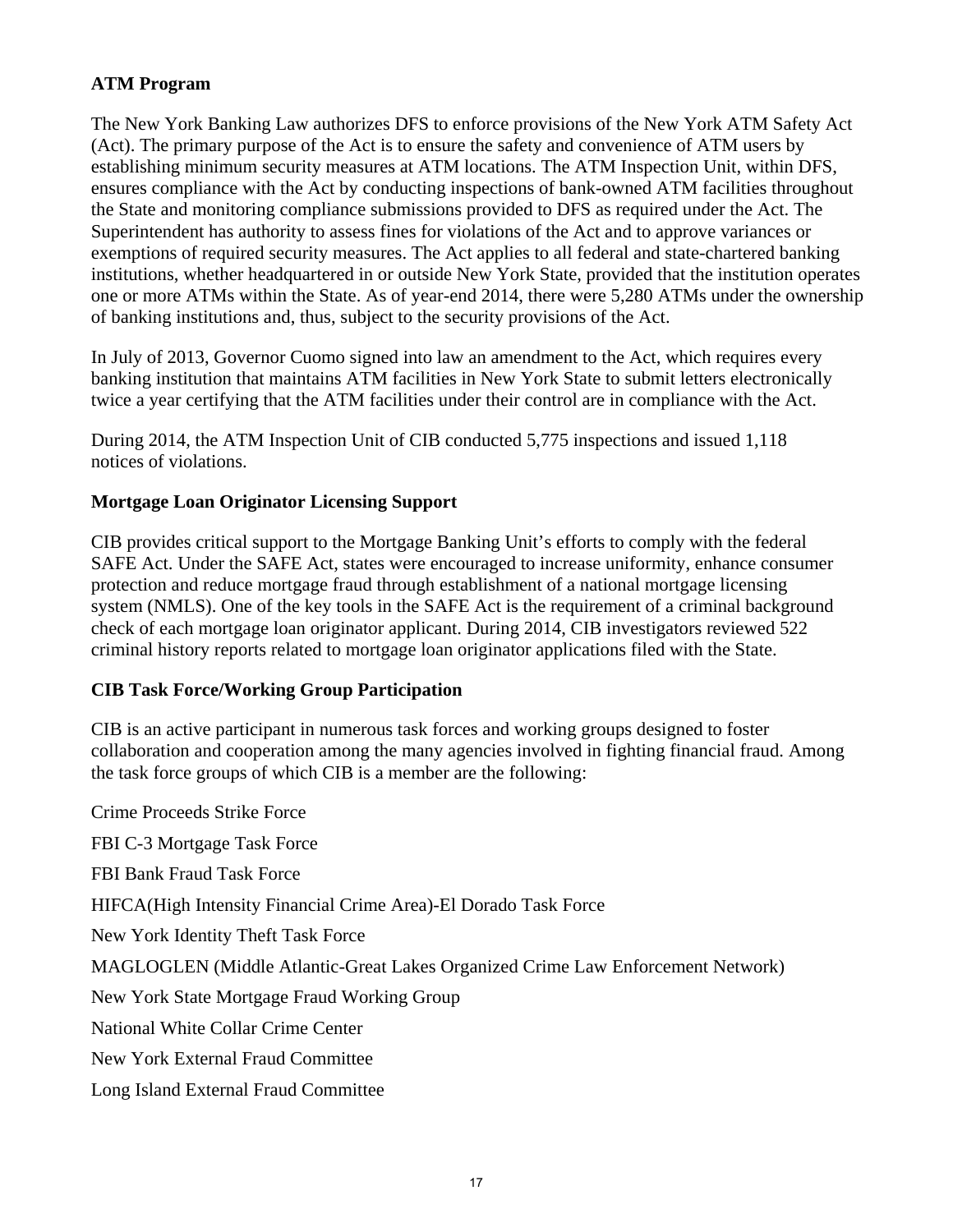## **ATM Program**

The New York Banking Law authorizes DFS to enforce provisions of the New York ATM Safety Act (Act). The primary purpose of the Act is to ensure the safety and convenience of ATM users by establishing minimum security measures at ATM locations. The ATM Inspection Unit, within DFS, ensures compliance with the Act by conducting inspections of bank-owned ATM facilities throughout the State and monitoring compliance submissions provided to DFS as required under the Act. The Superintendent has authority to assess fines for violations of the Act and to approve variances or exemptions of required security measures. The Act applies to all federal and state-chartered banking institutions, whether headquartered in or outside New York State, provided that the institution operates one or more ATMs within the State. As of year-end 2014, there were 5,280 ATMs under the ownership of banking institutions and, thus, subject to the security provisions of the Act.

In July of 2013, Governor Cuomo signed into law an amendment to the Act, which requires every banking institution that maintains ATM facilities in New York State to submit letters electronically twice a year certifying that the ATM facilities under their control are in compliance with the Act.

During 2014, the ATM Inspection Unit of CIB conducted 5,775 inspections and issued 1,118 notices of violations.

## **Mortgage Loan Originator Licensing Support**

CIB provides critical support to the Mortgage Banking Unit's efforts to comply with the federal SAFE Act. Under the SAFE Act, states were encouraged to increase uniformity, enhance consumer protection and reduce mortgage fraud through establishment of a national mortgage licensing system (NMLS). One of the key tools in the SAFE Act is the requirement of a criminal background check of each mortgage loan originator applicant. During 2014, CIB investigators reviewed 522 criminal history reports related to mortgage loan originator applications filed with the State.

## **CIB Task Force/Working Group Participation**

CIB is an active participant in numerous task forces and working groups designed to foster collaboration and cooperation among the many agencies involved in fighting financial fraud. Among the task force groups of which CIB is a member are the following:

Crime Proceeds Strike Force FBI C-3 Mortgage Task Force FBI Bank Fraud Task Force HIFCA(High Intensity Financial Crime Area)-El Dorado Task Force New York Identity Theft Task Force MAGLOGLEN (Middle Atlantic-Great Lakes Organized Crime Law Enforcement Network) New York State Mortgage Fraud Working Group National White Collar Crime Center New York External Fraud Committee Long Island External Fraud Committee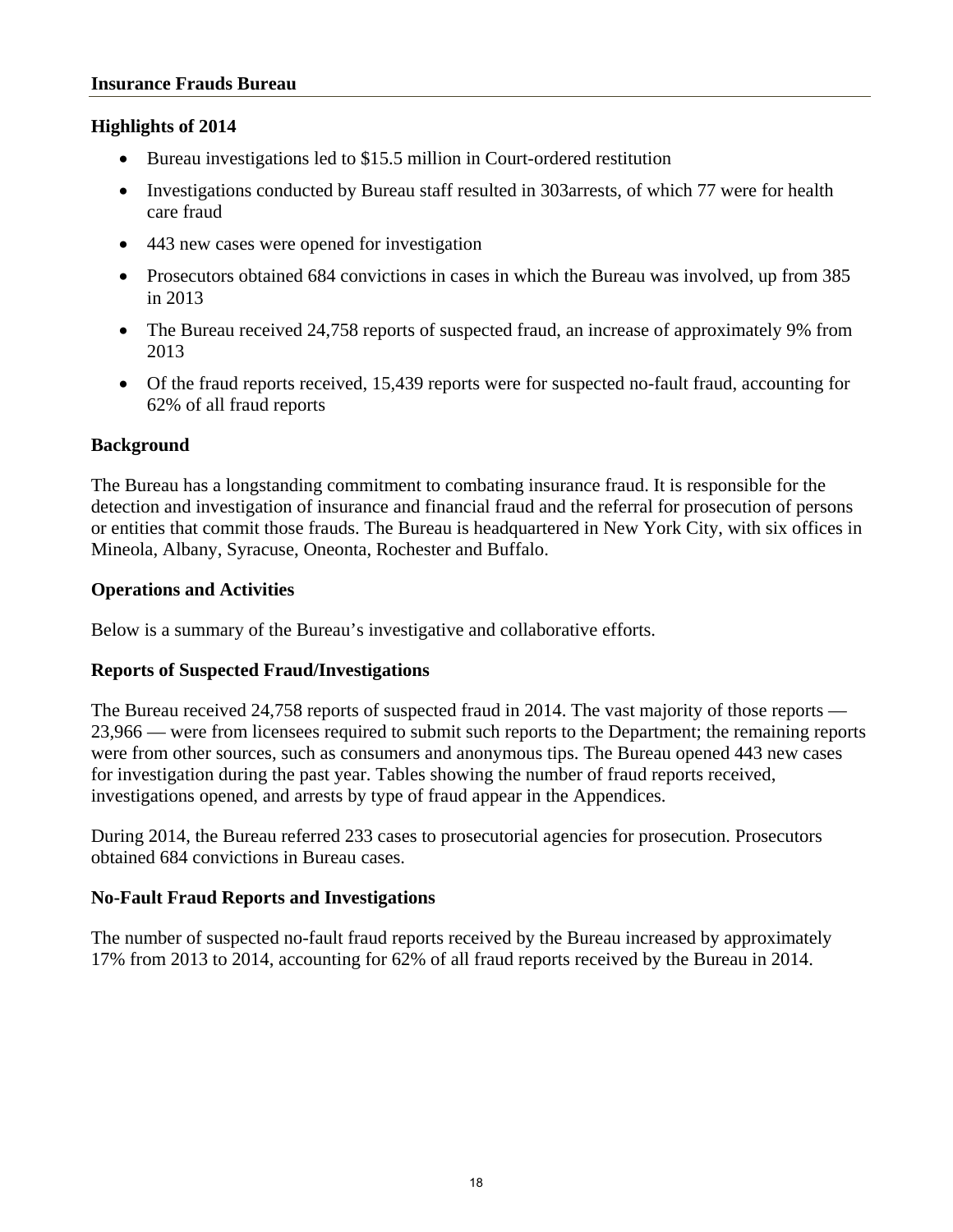#### **Highlights of 2014**

- Bureau investigations led to \$15.5 million in Court-ordered restitution
- Investigations conducted by Bureau staff resulted in 303 arrests, of which 77 were for health care fraud
- 443 new cases were opened for investigation
- Prosecutors obtained 684 convictions in cases in which the Bureau was involved, up from 385 in 2013
- The Bureau received 24,758 reports of suspected fraud, an increase of approximately 9% from 2013
- Of the fraud reports received, 15,439 reports were for suspected no-fault fraud, accounting for 62% of all fraud reports

#### **Background**

The Bureau has a longstanding commitment to combating insurance fraud. It is responsible for the detection and investigation of insurance and financial fraud and the referral for prosecution of persons or entities that commit those frauds. The Bureau is headquartered in New York City, with six offices in Mineola, Albany, Syracuse, Oneonta, Rochester and Buffalo.

#### **Operations and Activities**

Below is a summary of the Bureau's investigative and collaborative efforts.

## **Reports of Suspected Fraud/Investigations**

The Bureau received 24,758 reports of suspected fraud in 2014. The vast majority of those reports — 23,966 — were from licensees required to submit such reports to the Department; the remaining reports were from other sources, such as consumers and anonymous tips. The Bureau opened 443 new cases for investigation during the past year. Tables showing the number of fraud reports received, investigations opened, and arrests by type of fraud appear in the Appendices.

During 2014, the Bureau referred 233 cases to prosecutorial agencies for prosecution. Prosecutors obtained 684 convictions in Bureau cases.

## **No-Fault Fraud Reports and Investigations**

The number of suspected no-fault fraud reports received by the Bureau increased by approximately 17% from 2013 to 2014, accounting for 62% of all fraud reports received by the Bureau in 2014.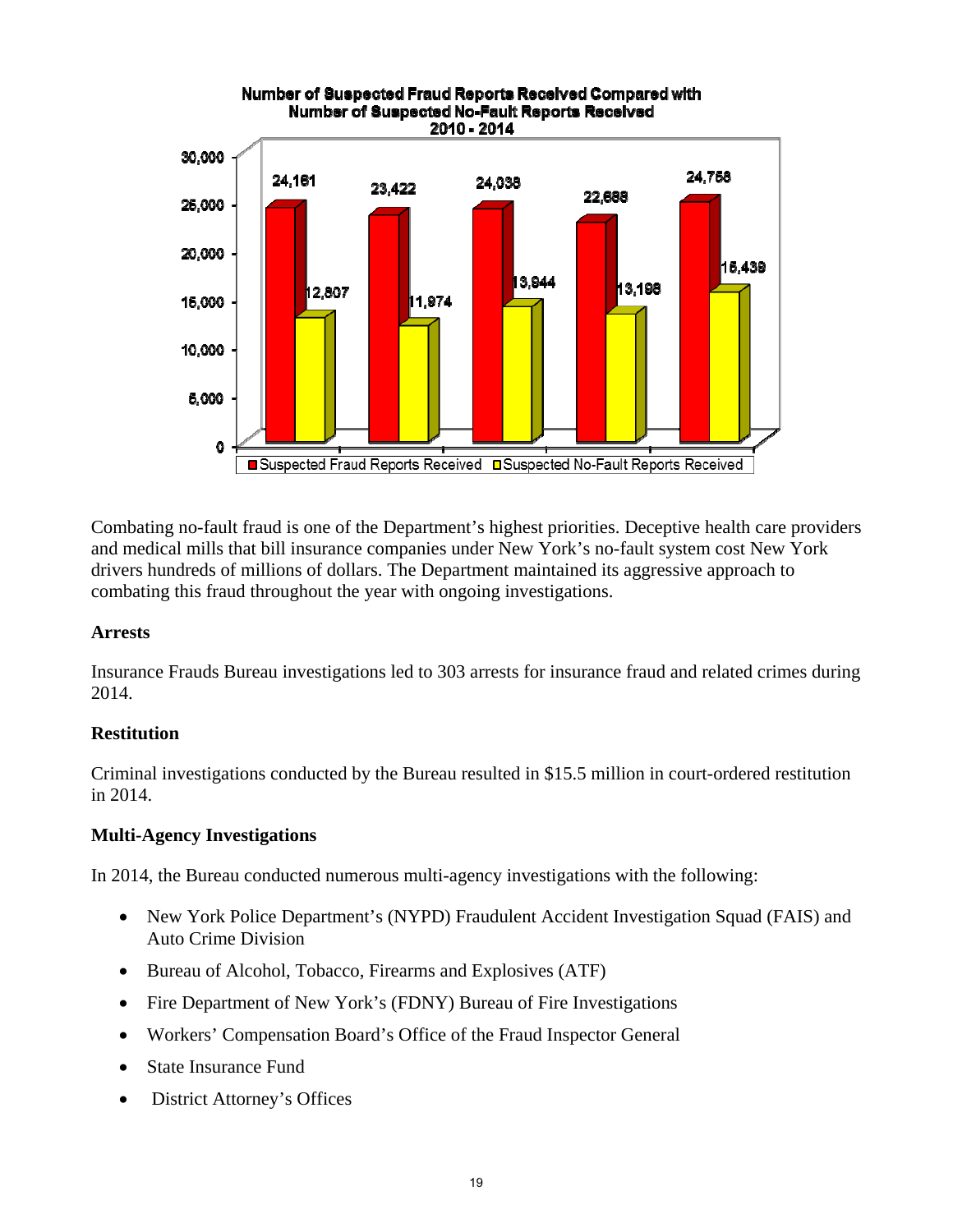

Combating no-fault fraud is one of the Department's highest priorities. Deceptive health care providers and medical mills that bill insurance companies under New York's no-fault system cost New York drivers hundreds of millions of dollars. The Department maintained its aggressive approach to combating this fraud throughout the year with ongoing investigations.

## **Arrests**

Insurance Frauds Bureau investigations led to 303 arrests for insurance fraud and related crimes during 2014.

## **Restitution**

Criminal investigations conducted by the Bureau resulted in \$15.5 million in court-ordered restitution in 2014.

#### **Multi-Agency Investigations**

In 2014, the Bureau conducted numerous multi-agency investigations with the following:

- New York Police Department's (NYPD) Fraudulent Accident Investigation Squad (FAIS) and Auto Crime Division
- Bureau of Alcohol, Tobacco, Firearms and Explosives (ATF)
- Fire Department of New York's (FDNY) Bureau of Fire Investigations
- Workers' Compensation Board's Office of the Fraud Inspector General
- State Insurance Fund
- District Attorney's Offices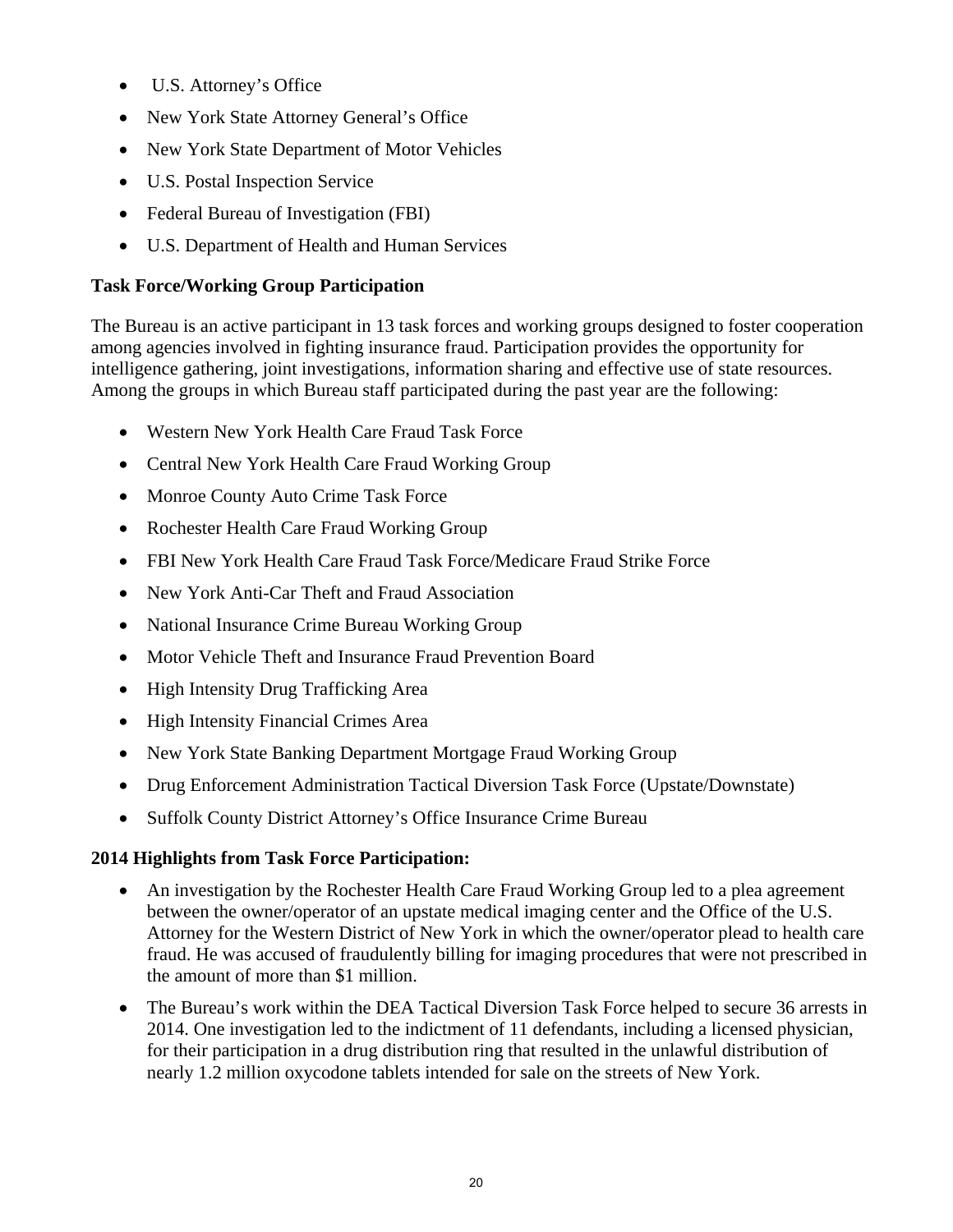- U.S. Attorney's Office
- New York State Attorney General's Office
- New York State Department of Motor Vehicles
- U.S. Postal Inspection Service
- Federal Bureau of Investigation (FBI)
- U.S. Department of Health and Human Services

## **Task Force/Working Group Participation**

The Bureau is an active participant in 13 task forces and working groups designed to foster cooperation among agencies involved in fighting insurance fraud. Participation provides the opportunity for intelligence gathering, joint investigations, information sharing and effective use of state resources. Among the groups in which Bureau staff participated during the past year are the following:

- Western New York Health Care Fraud Task Force
- Central New York Health Care Fraud Working Group
- Monroe County Auto Crime Task Force
- Rochester Health Care Fraud Working Group
- FBI New York Health Care Fraud Task Force/Medicare Fraud Strike Force
- New York Anti-Car Theft and Fraud Association
- National Insurance Crime Bureau Working Group
- Motor Vehicle Theft and Insurance Fraud Prevention Board
- High Intensity Drug Trafficking Area
- High Intensity Financial Crimes Area
- New York State Banking Department Mortgage Fraud Working Group
- Drug Enforcement Administration Tactical Diversion Task Force (Upstate/Downstate)
- Suffolk County District Attorney's Office Insurance Crime Bureau

## **2014 Highlights from Task Force Participation:**

- An investigation by the Rochester Health Care Fraud Working Group led to a plea agreement between the owner/operator of an upstate medical imaging center and the Office of the U.S. Attorney for the Western District of New York in which the owner/operator plead to health care fraud. He was accused of fraudulently billing for imaging procedures that were not prescribed in the amount of more than \$1 million.
- The Bureau's work within the DEA Tactical Diversion Task Force helped to secure 36 arrests in 2014. One investigation led to the indictment of 11 defendants, including a licensed physician, for their participation in a drug distribution ring that resulted in the unlawful distribution of nearly 1.2 million oxycodone tablets intended for sale on the streets of New York.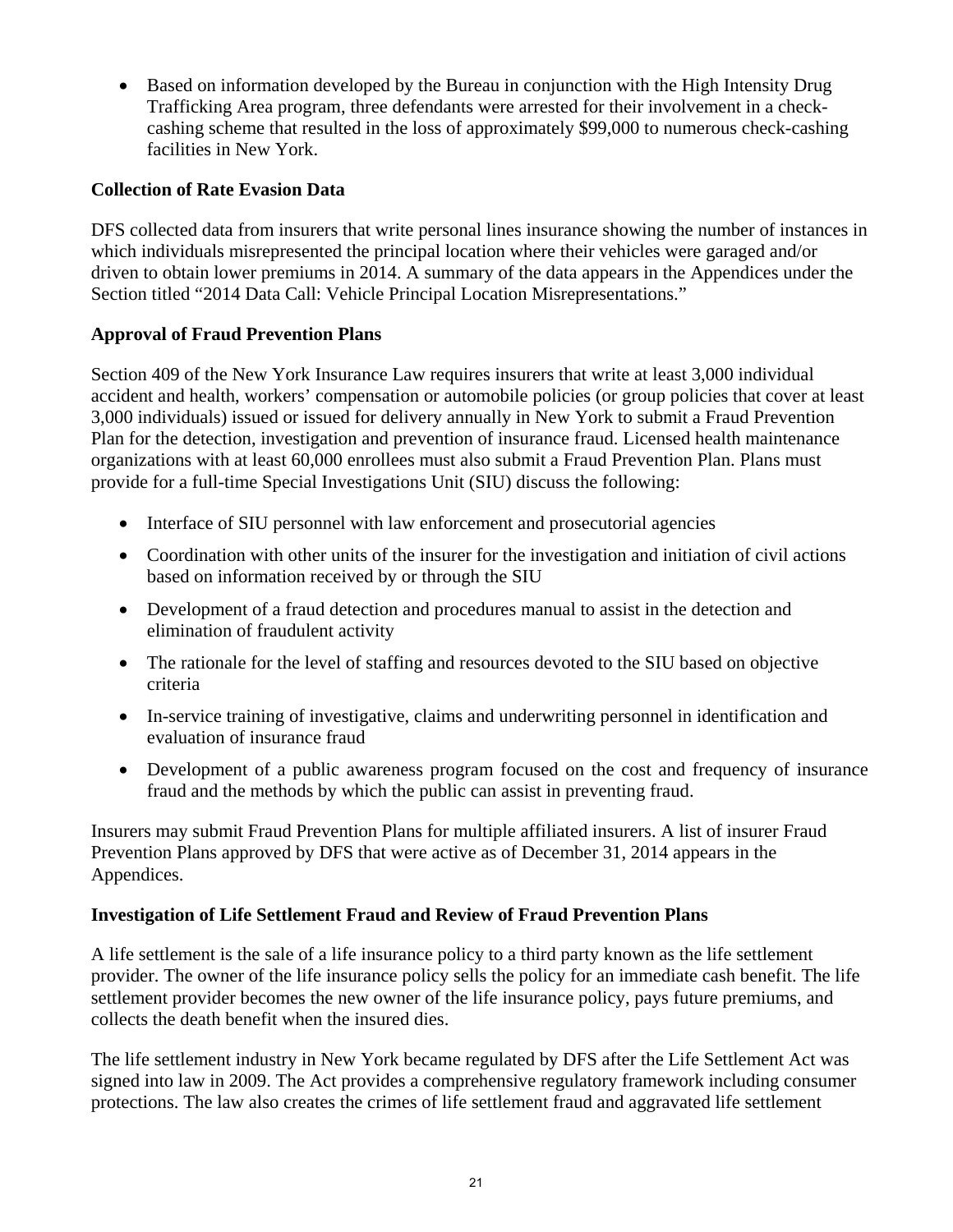• Based on information developed by the Bureau in conjunction with the High Intensity Drug Trafficking Area program, three defendants were arrested for their involvement in a checkcashing scheme that resulted in the loss of approximately \$99,000 to numerous check-cashing facilities in New York.

## **Collection of Rate Evasion Data**

DFS collected data from insurers that write personal lines insurance showing the number of instances in which individuals misrepresented the principal location where their vehicles were garaged and/or driven to obtain lower premiums in 2014. A summary of the data appears in the Appendices under the Section titled "2014 Data Call: Vehicle Principal Location Misrepresentations."

## **Approval of Fraud Prevention Plans**

Section 409 of the New York Insurance Law requires insurers that write at least 3,000 individual accident and health, workers' compensation or automobile policies (or group policies that cover at least 3,000 individuals) issued or issued for delivery annually in New York to submit a Fraud Prevention Plan for the detection, investigation and prevention of insurance fraud. Licensed health maintenance organizations with at least 60,000 enrollees must also submit a Fraud Prevention Plan. Plans must provide for a full-time Special Investigations Unit (SIU) discuss the following:

- Interface of SIU personnel with law enforcement and prosecutorial agencies
- Coordination with other units of the insurer for the investigation and initiation of civil actions based on information received by or through the SIU
- Development of a fraud detection and procedures manual to assist in the detection and elimination of fraudulent activity
- The rationale for the level of staffing and resources devoted to the SIU based on objective criteria
- In-service training of investigative, claims and underwriting personnel in identification and evaluation of insurance fraud
- Development of a public awareness program focused on the cost and frequency of insurance fraud and the methods by which the public can assist in preventing fraud.

Insurers may submit Fraud Prevention Plans for multiple affiliated insurers. A list of insurer Fraud Prevention Plans approved by DFS that were active as of December 31, 2014 appears in the Appendices.

## **Investigation of Life Settlement Fraud and Review of Fraud Prevention Plans**

A life settlement is the sale of a life insurance policy to a third party known as the life settlement provider. The owner of the life insurance policy sells the policy for an immediate cash benefit. The life settlement provider becomes the new owner of the life insurance policy, pays future premiums, and collects the death benefit when the insured dies.

The life settlement industry in New York became regulated by DFS after the Life Settlement Act was signed into law in 2009. The Act provides a comprehensive regulatory framework including consumer protections. The law also creates the crimes of life settlement fraud and aggravated life settlement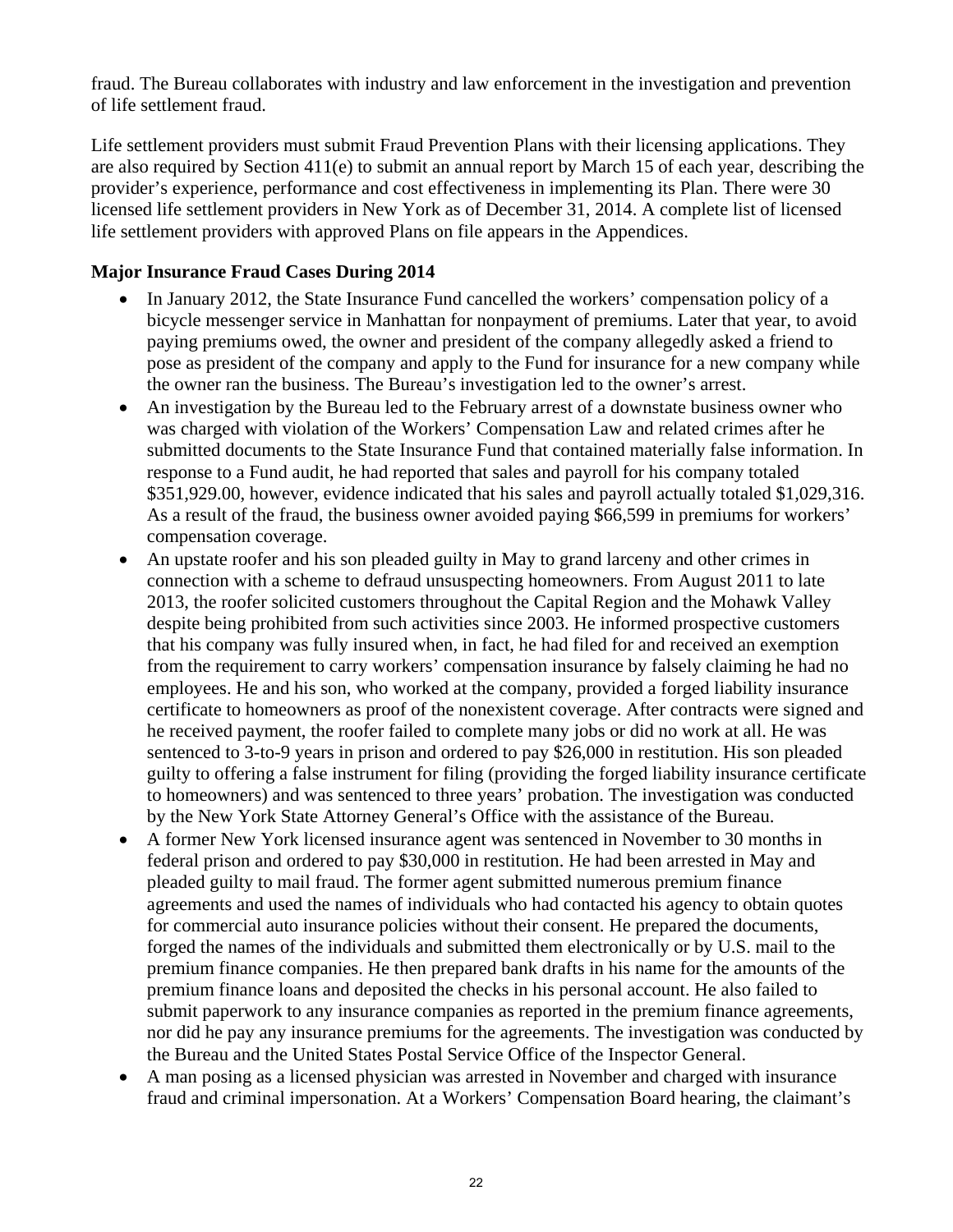fraud. The Bureau collaborates with industry and law enforcement in the investigation and prevention of life settlement fraud.

Life settlement providers must submit Fraud Prevention Plans with their licensing applications. They are also required by Section  $411(e)$  to submit an annual report by March 15 of each year, describing the provider's experience, performance and cost effectiveness in implementing its Plan. There were 30 licensed life settlement providers in New York as of December 31, 2014. A complete list of licensed life settlement providers with approved Plans on file appears in the Appendices.

## **Major Insurance Fraud Cases During 2014**

- In January 2012, the State Insurance Fund cancelled the workers' compensation policy of a bicycle messenger service in Manhattan for nonpayment of premiums. Later that year, to avoid paying premiums owed, the owner and president of the company allegedly asked a friend to pose as president of the company and apply to the Fund for insurance for a new company while the owner ran the business. The Bureau's investigation led to the owner's arrest.
- An investigation by the Bureau led to the February arrest of a downstate business owner who was charged with violation of the Workers' Compensation Law and related crimes after he submitted documents to the State Insurance Fund that contained materially false information. In response to a Fund audit, he had reported that sales and payroll for his company totaled \$351,929.00, however, evidence indicated that his sales and payroll actually totaled \$1,029,316. As a result of the fraud, the business owner avoided paying \$66,599 in premiums for workers' compensation coverage.
- An upstate roofer and his son pleaded guilty in May to grand larceny and other crimes in connection with a scheme to defraud unsuspecting homeowners. From August 2011 to late 2013, the roofer solicited customers throughout the Capital Region and the Mohawk Valley despite being prohibited from such activities since 2003. He informed prospective customers that his company was fully insured when, in fact, he had filed for and received an exemption from the requirement to carry workers' compensation insurance by falsely claiming he had no employees. He and his son, who worked at the company, provided a forged liability insurance certificate to homeowners as proof of the nonexistent coverage. After contracts were signed and he received payment, the roofer failed to complete many jobs or did no work at all. He was sentenced to 3-to-9 years in prison and ordered to pay \$26,000 in restitution. His son pleaded guilty to offering a false instrument for filing (providing the forged liability insurance certificate to homeowners) and was sentenced to three years' probation. The investigation was conducted by the New York State Attorney General's Office with the assistance of the Bureau.
- A former New York licensed insurance agent was sentenced in November to 30 months in federal prison and ordered to pay \$30,000 in restitution. He had been arrested in May and pleaded guilty to mail fraud. The former agent submitted numerous premium finance agreements and used the names of individuals who had contacted his agency to obtain quotes for commercial auto insurance policies without their consent. He prepared the documents, forged the names of the individuals and submitted them electronically or by U.S. mail to the premium finance companies. He then prepared bank drafts in his name for the amounts of the premium finance loans and deposited the checks in his personal account. He also failed to submit paperwork to any insurance companies as reported in the premium finance agreements, nor did he pay any insurance premiums for the agreements. The investigation was conducted by the Bureau and the United States Postal Service Office of the Inspector General.
- A man posing as a licensed physician was arrested in November and charged with insurance fraud and criminal impersonation. At a Workers' Compensation Board hearing, the claimant's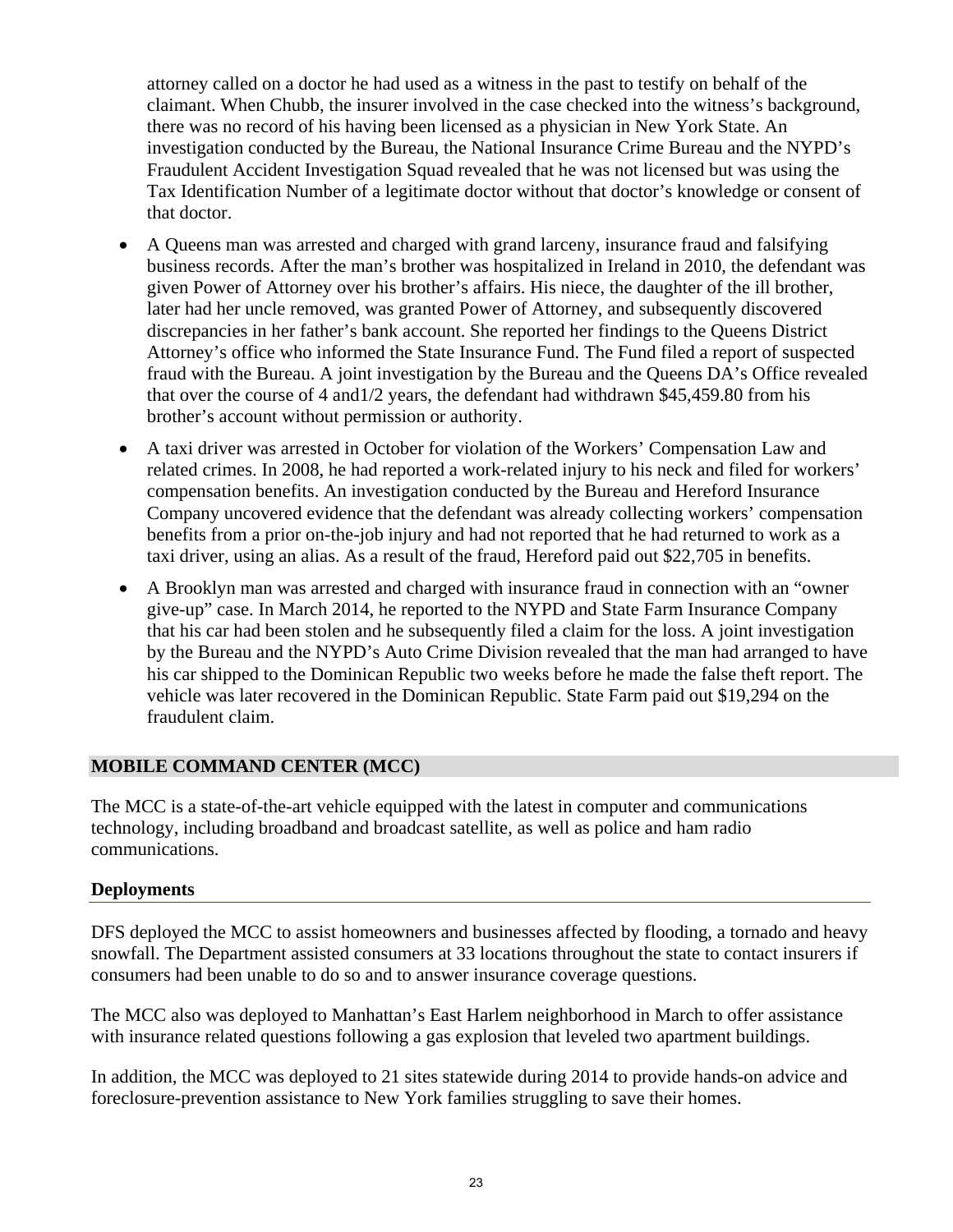attorney called on a doctor he had used as a witness in the past to testify on behalf of the claimant. When Chubb, the insurer involved in the case checked into the witness's background, there was no record of his having been licensed as a physician in New York State. An investigation conducted by the Bureau, the National Insurance Crime Bureau and the NYPD's Fraudulent Accident Investigation Squad revealed that he was not licensed but was using the Tax Identification Number of a legitimate doctor without that doctor's knowledge or consent of that doctor.

- A Queens man was arrested and charged with grand larceny, insurance fraud and falsifying business records. After the man's brother was hospitalized in Ireland in 2010, the defendant was given Power of Attorney over his brother's affairs. His niece, the daughter of the ill brother, later had her uncle removed, was granted Power of Attorney, and subsequently discovered discrepancies in her father's bank account. She reported her findings to the Queens District Attorney's office who informed the State Insurance Fund. The Fund filed a report of suspected fraud with the Bureau. A joint investigation by the Bureau and the Queens DA's Office revealed that over the course of 4 and1/2 years, the defendant had withdrawn \$45,459.80 from his brother's account without permission or authority.
- related crimes. In 2008, he had reported a work-related injury to his neck and filed for workers' A taxi driver was arrested in October for violation of the Workers' Compensation Law and compensation benefits. An investigation conducted by the Bureau and Hereford Insurance Company uncovered evidence that the defendant was already collecting workers' compensation benefits from a prior on-the-job injury and had not reported that he had returned to work as a taxi driver, using an alias. As a result of the fraud, Hereford paid out \$22,705 in benefits.
- fraudulent claim. A Brooklyn man was arrested and charged with insurance fraud in connection with an "owner give-up" case. In March 2014, he reported to the NYPD and State Farm Insurance Company that his car had been stolen and he subsequently filed a claim for the loss. A joint investigation by the Bureau and the NYPD's Auto Crime Division revealed that the man had arranged to have his car shipped to the Dominican Republic two weeks before he made the false theft report. The vehicle was later recovered in the Dominican Republic. State Farm paid out \$19,294 on the

## **MOBILE COMMAND CENTER (MCC)**

The MCC is a state-of-the-art vehicle equipped with the latest in computer and communications technology, including broadband and broadcast satellite, as well as police and ham radio communications.

## **Deployments**

DFS deployed the MCC to assist homeowners and businesses affected by flooding, a tornado and heavy snowfall. The Department assisted consumers at 33 locations throughout the state to contact insurers if consumers had been unable to do so and to answer insurance coverage questions.

The MCC also was deployed to Manhattan's East Harlem neighborhood in March to offer assistance with insurance related questions following a gas explosion that leveled two apartment buildings.

In addition, the MCC was deployed to 21 sites statewide during 2014 to provide hands-on advice and foreclosure-prevention assistance to New York families struggling to save their homes.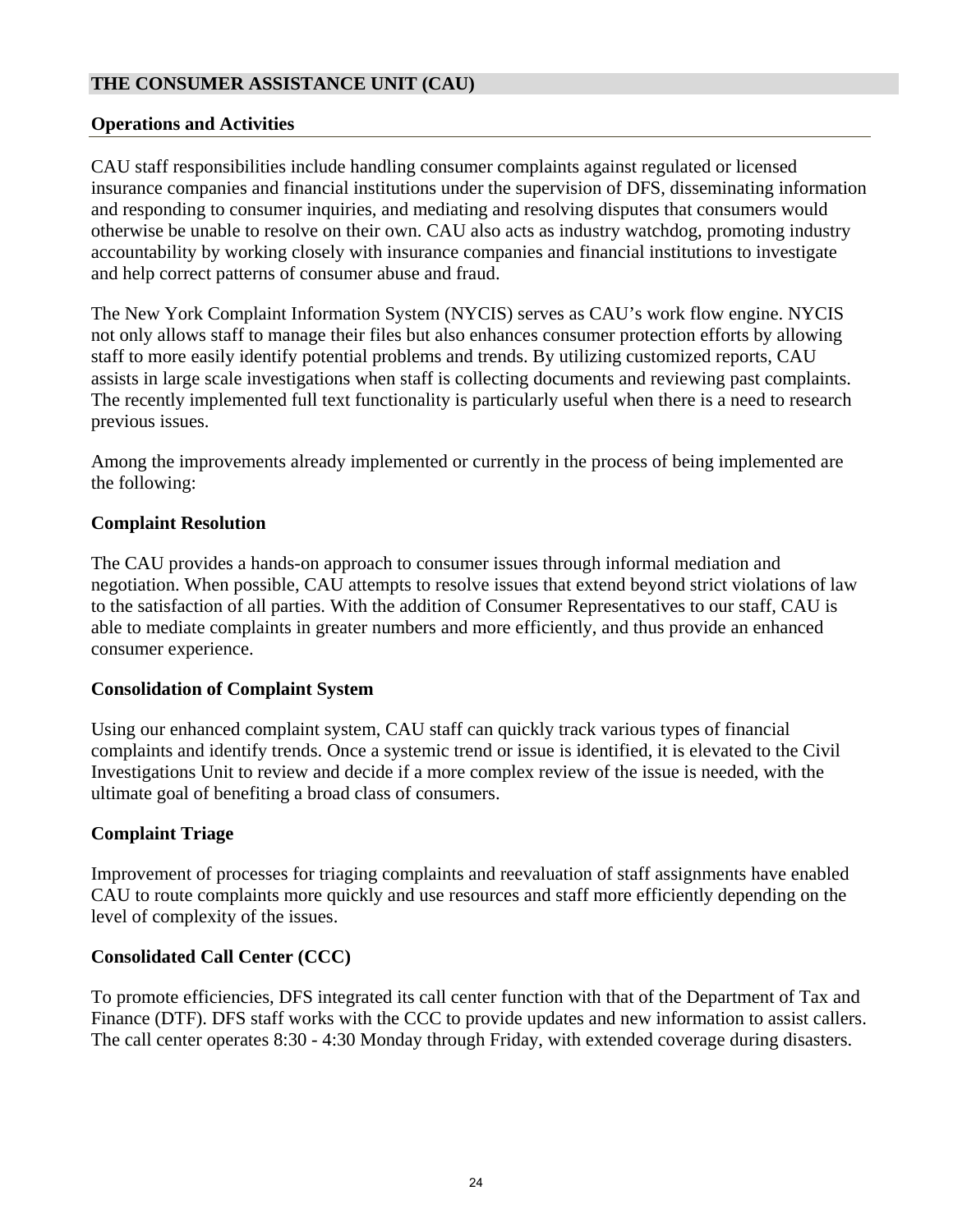#### **THE CONSUMER ASSISTANCE UNIT (CAU)**

#### **Operations and Activities**

CAU staff responsibilities include handling consumer complaints against regulated or licensed insurance companies and financial institutions under the supervision of DFS, disseminating information and responding to consumer inquiries, and mediating and resolving disputes that consumers would otherwise be unable to resolve on their own. CAU also acts as industry watchdog, promoting industry accountability by working closely with insurance companies and financial institutions to investigate and help correct patterns of consumer abuse and fraud.

The New York Complaint Information System (NYCIS) serves as CAU's work flow engine. NYCIS not only allows staff to manage their files but also enhances consumer protection efforts by allowing staff to more easily identify potential problems and trends. By utilizing customized reports, CAU assists in large scale investigations when staff is collecting documents and reviewing past complaints. The recently implemented full text functionality is particularly useful when there is a need to research previous issues.

Among the improvements already implemented or currently in the process of being implemented are the following:

#### **Complaint Resolution**

The CAU provides a hands-on approach to consumer issues through informal mediation and negotiation. When possible, CAU attempts to resolve issues that extend beyond strict violations of law to the satisfaction of all parties. With the addition of Consumer Representatives to our staff, CAU is able to mediate complaints in greater numbers and more efficiently, and thus provide an enhanced consumer experience.

#### **Consolidation of Complaint System**

Using our enhanced complaint system, CAU staff can quickly track various types of financial complaints and identify trends. Once a systemic trend or issue is identified, it is elevated to the Civil Investigations Unit to review and decide if a more complex review of the issue is needed, with the ultimate goal of benefiting a broad class of consumers.

## **Complaint Triage**

Improvement of processes for triaging complaints and reevaluation of staff assignments have enabled CAU to route complaints more quickly and use resources and staff more efficiently depending on the level of complexity of the issues.

## **Consolidated Call Center (CCC)**

To promote efficiencies, DFS integrated its call center function with that of the Department of Tax and Finance (DTF). DFS staff works with the CCC to provide updates and new information to assist callers. The call center operates 8:30 - 4:30 Monday through Friday, with extended coverage during disasters.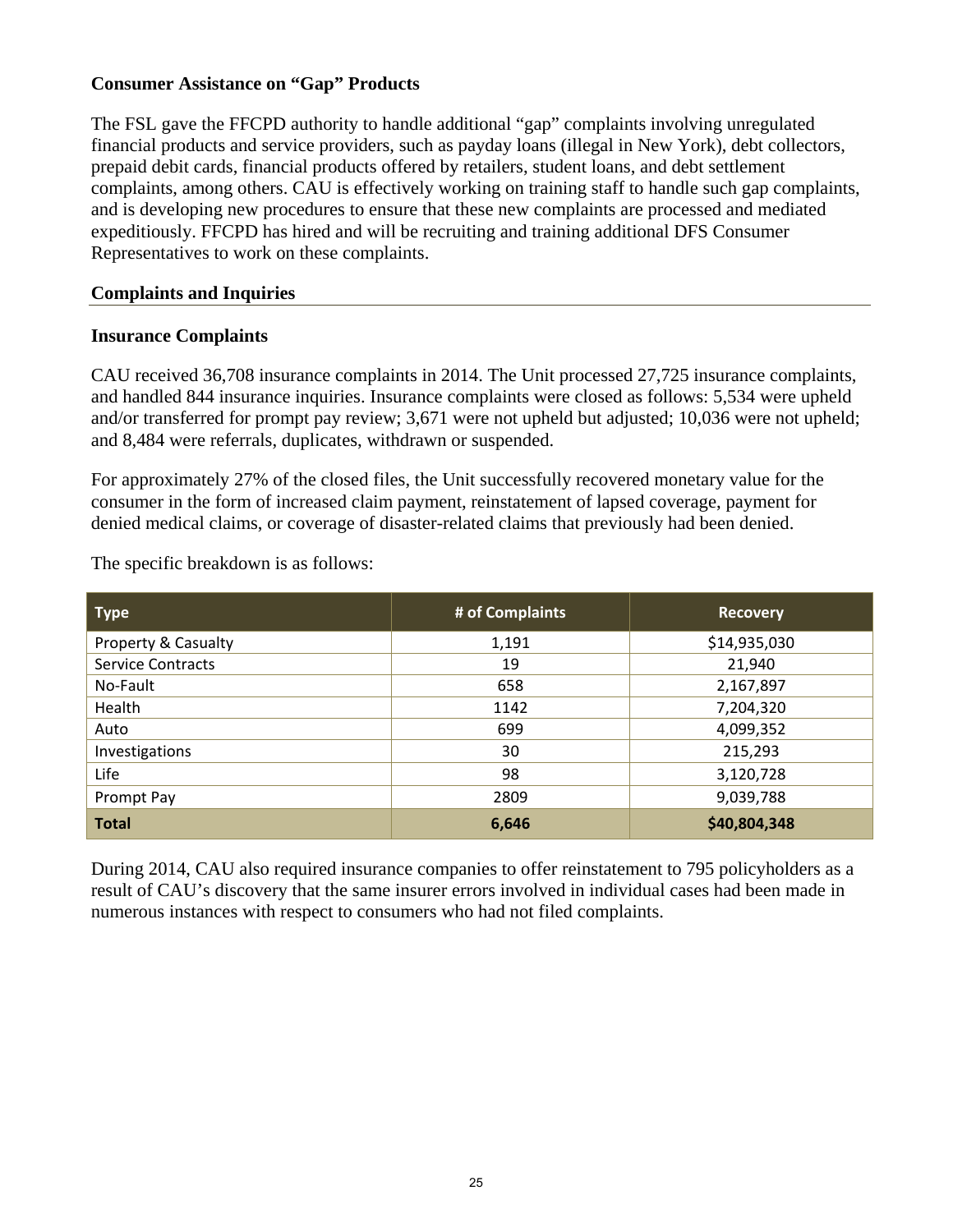#### **Consumer Assistance on "Gap" Products**

The FSL gave the FFCPD authority to handle additional "gap" complaints involving unregulated financial products and service providers, such as payday loans (illegal in New York), debt collectors, prepaid debit cards, financial products offered by retailers, student loans, and debt settlement complaints, among others. CAU is effectively working on training staff to handle such gap complaints, and is developing new procedures to ensure that these new complaints are processed and mediated expeditiously. FFCPD has hired and will be recruiting and training additional DFS Consumer Representatives to work on these complaints.

#### **Complaints and Inquiries**

#### **Insurance Complaints**

CAU received 36,708 insurance complaints in 2014. The Unit processed 27,725 insurance complaints, and handled 844 insurance inquiries. Insurance complaints were closed as follows: 5,534 were upheld and/or transferred for prompt pay review; 3,671 were not upheld but adjusted; 10,036 were not upheld; and 8,484 were referrals, duplicates, withdrawn or suspended.

For approximately 27% of the closed files, the Unit successfully recovered monetary value for the consumer in the form of increased claim payment, reinstatement of lapsed coverage, payment for denied medical claims, or coverage of disaster-related claims that previously had been denied.

The specific breakdown is as follows:

| <b>Type</b>              | # of Complaints | <b>Recovery</b> |
|--------------------------|-----------------|-----------------|
| Property & Casualty      | 1,191           | \$14,935,030    |
| <b>Service Contracts</b> | 19              | 21,940          |
| No-Fault                 | 658             | 2,167,897       |
| Health                   | 1142            | 7,204,320       |
| Auto                     | 699             | 4,099,352       |
| Investigations           | 30              | 215,293         |
| Life                     | 98              | 3,120,728       |
| Prompt Pay               | 2809            | 9,039,788       |
| <b>Total</b>             | 6,646           | \$40,804,348    |

During 2014, CAU also required insurance companies to offer reinstatement to 795 policyholders as a result of CAU's discovery that the same insurer errors involved in individual cases had been made in numerous instances with respect to consumers who had not filed complaints.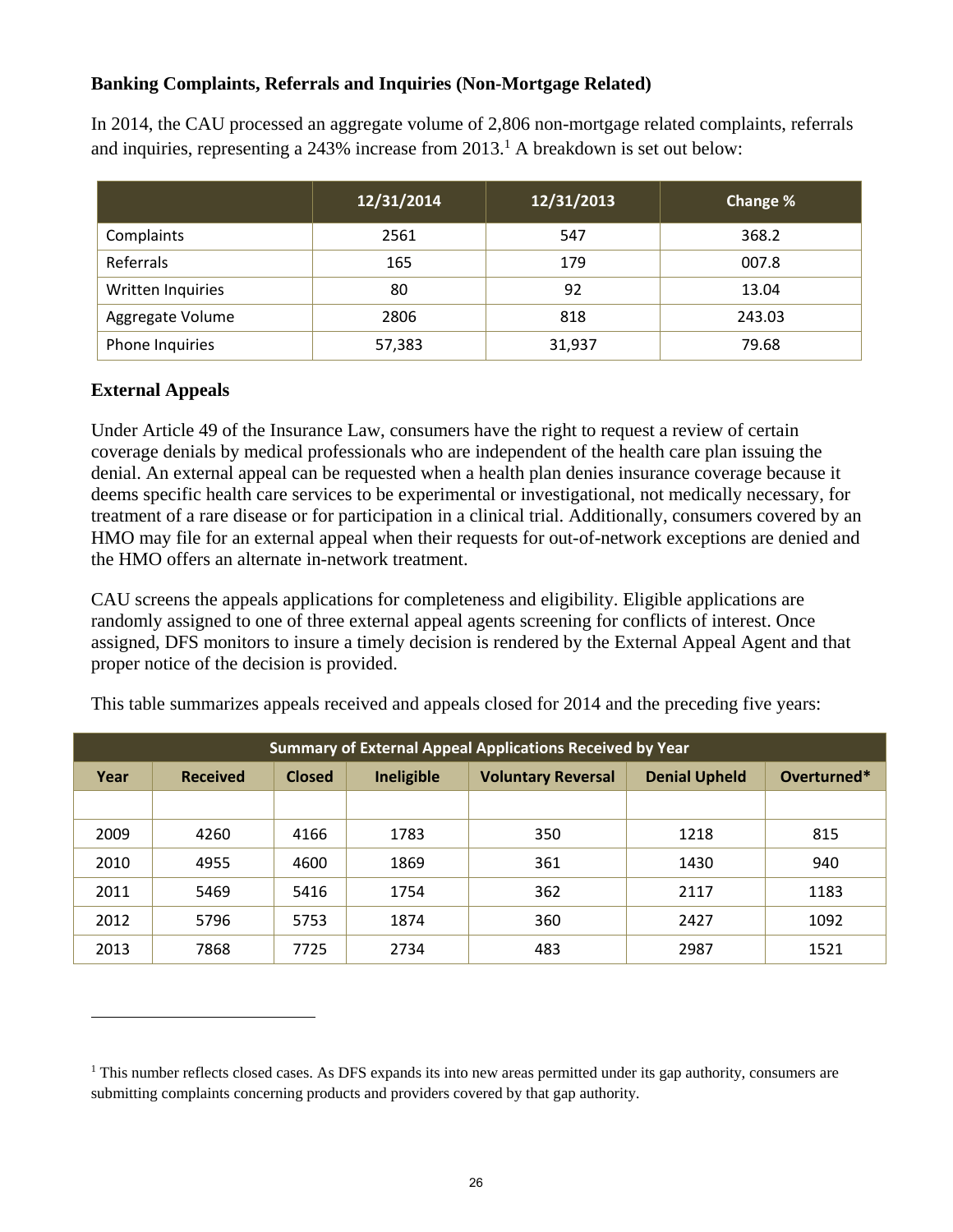## **Banking Complaints, Referrals and Inquiries (Non-Mortgage Related)**

In 2014, the CAU processed an aggregate volume of 2,806 non-mortgage related complaints, referrals and inquiries, representing a  $243\%$  increase from  $2013$ .<sup>1</sup> A breakdown is set out below:

|                   | 12/31/2014 | 12/31/2013 | Change % |
|-------------------|------------|------------|----------|
| Complaints        | 2561       | 547        | 368.2    |
| Referrals         | 165        | 179        | 007.8    |
| Written Inquiries | 80         | 92         | 13.04    |
| Aggregate Volume  | 2806       | 818        | 243.03   |
| Phone Inquiries   | 57,383     | 31,937     | 79.68    |

## **External Appeals**

 $\overline{a}$ 

Under Article 49 of the Insurance Law, consumers have the right to request a review of certain coverage denials by medical professionals who are independent of the health care plan issuing the denial. An external appeal can be requested when a health plan denies insurance coverage because it deems specific health care services to be experimental or investigational, not medically necessary, for treatment of a rare disease or for participation in a clinical trial. Additionally, consumers covered by an HMO may file for an external appeal when their requests for out-of-network exceptions are denied and the HMO offers an alternate in-network treatment.

CAU screens the appeals applications for completeness and eligibility. Eligible applications are randomly assigned to one of three external appeal agents screening for conflicts of interest. Once assigned, DFS monitors to insure a timely decision is rendered by the External Appeal Agent and that proper notice of the decision is provided.

| This table summarizes appeals received and appeals closed for 2014 and the preceding five years: |  |
|--------------------------------------------------------------------------------------------------|--|
|                                                                                                  |  |

| <b>Summary of External Appeal Applications Received by Year</b> |                 |               |            |                           |                      |             |
|-----------------------------------------------------------------|-----------------|---------------|------------|---------------------------|----------------------|-------------|
| Year                                                            | <b>Received</b> | <b>Closed</b> | Ineligible | <b>Voluntary Reversal</b> | <b>Denial Upheld</b> | Overturned* |
|                                                                 |                 |               |            |                           |                      |             |
| 2009                                                            | 4260            | 4166          | 1783       | 350                       | 1218                 | 815         |
| 2010                                                            | 4955            | 4600          | 1869       | 361                       | 1430                 | 940         |
| 2011                                                            | 5469            | 5416          | 1754       | 362                       | 2117                 | 1183        |
| 2012                                                            | 5796            | 5753          | 1874       | 360                       | 2427                 | 1092        |
| 2013                                                            | 7868            | 7725          | 2734       | 483                       | 2987                 | 1521        |

<sup>&</sup>lt;sup>1</sup> This number reflects closed cases. As DFS expands its into new areas permitted under its gap authority, consumers are submitting complaints concerning products and providers covered by that gap authority.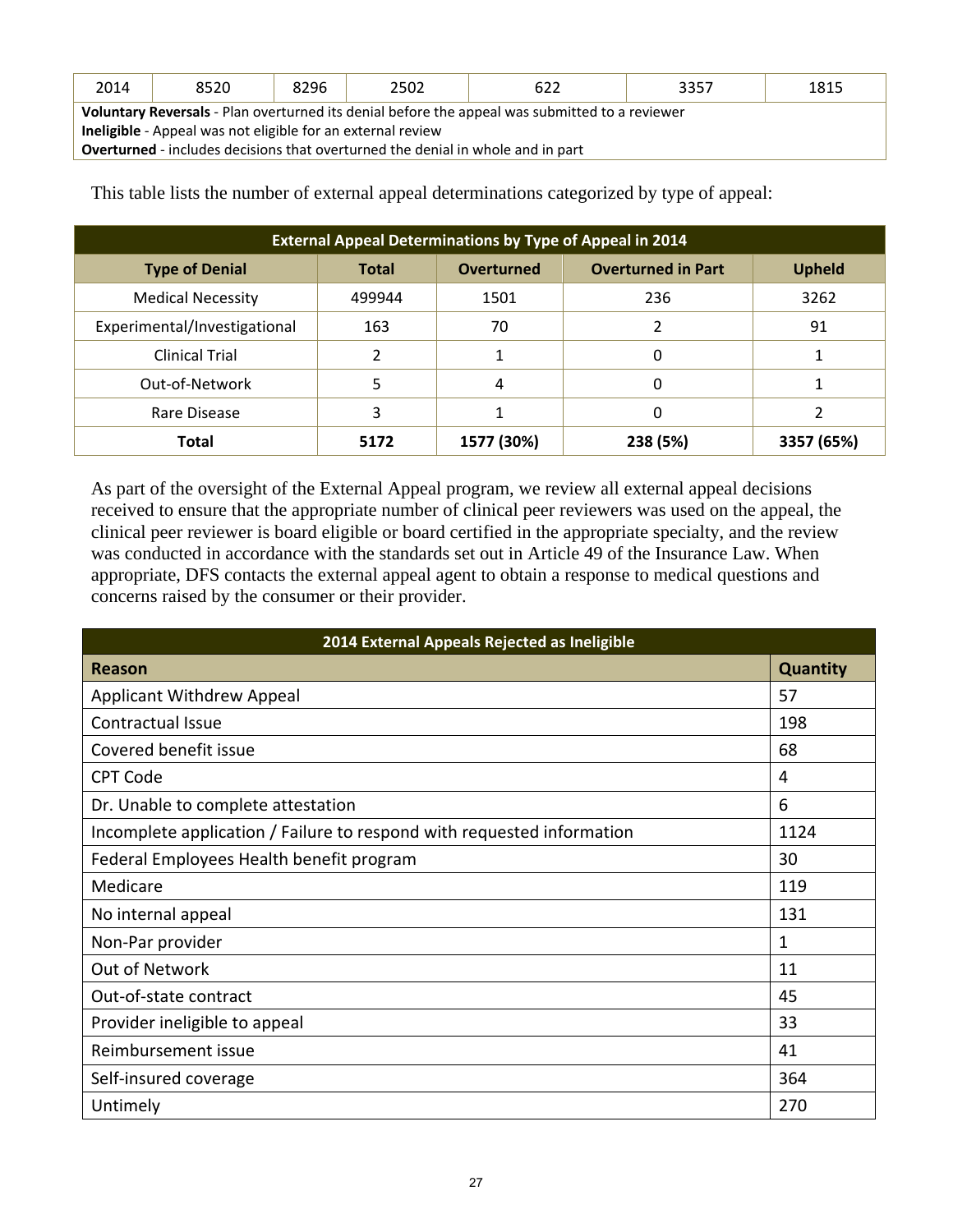| 2014                                                                                           | 8520 | 8296 | 2502 | 622 | 3357 | 1815 |
|------------------------------------------------------------------------------------------------|------|------|------|-----|------|------|
| Voluntary Reversals - Plan overturned its denial before the appeal was submitted to a reviewer |      |      |      |     |      |      |
| <b>Ineligible</b> - Appeal was not eligible for an external review                             |      |      |      |     |      |      |
| <b>Overturned</b> - includes decisions that overturned the denial in whole and in part         |      |      |      |     |      |      |

This table lists the number of external appeal determinations categorized by type of appeal:

| <b>External Appeal Determinations by Type of Appeal in 2014</b> |              |                   |                           |               |
|-----------------------------------------------------------------|--------------|-------------------|---------------------------|---------------|
| <b>Type of Denial</b>                                           | <b>Total</b> | <b>Overturned</b> | <b>Overturned in Part</b> | <b>Upheld</b> |
| <b>Medical Necessity</b>                                        | 499944       | 1501              | 236                       | 3262          |
| Experimental/Investigational                                    | 163          | 70                |                           | 91            |
| <b>Clinical Trial</b>                                           |              |                   | 0                         |               |
| Out-of-Network                                                  | 5            | 4                 | 0                         |               |
| Rare Disease                                                    | 3            |                   | 0                         |               |
| <b>Total</b>                                                    | 5172         | 1577 (30%)        | 238 (5%)                  | 3357 (65%)    |

As part of the oversight of the External Appeal program, we review all external appeal decisions received to ensure that the appropriate number of clinical peer reviewers was used on the appeal, the clinical peer reviewer is board eligible or board certified in the appropriate specialty, and the review was conducted in accordance with the standards set out in Article 49 of the Insurance Law. When appropriate, DFS contacts the external appeal agent to obtain a response to medical questions and concerns raised by the consumer or their provider.

| 2014 External Appeals Rejected as Ineligible                           |                 |  |  |  |
|------------------------------------------------------------------------|-----------------|--|--|--|
| Reason                                                                 | <b>Quantity</b> |  |  |  |
| <b>Applicant Withdrew Appeal</b>                                       | 57              |  |  |  |
| Contractual Issue                                                      | 198             |  |  |  |
| Covered benefit issue                                                  | 68              |  |  |  |
| <b>CPT Code</b>                                                        | 4               |  |  |  |
| Dr. Unable to complete attestation                                     | 6               |  |  |  |
| Incomplete application / Failure to respond with requested information | 1124            |  |  |  |
| Federal Employees Health benefit program                               |                 |  |  |  |
| Medicare                                                               | 119             |  |  |  |
| No internal appeal                                                     | 131             |  |  |  |
| Non-Par provider                                                       | 1               |  |  |  |
| Out of Network                                                         | 11              |  |  |  |
| Out-of-state contract                                                  | 45              |  |  |  |
| Provider ineligible to appeal                                          | 33              |  |  |  |
| Reimbursement issue                                                    | 41              |  |  |  |
| Self-insured coverage                                                  | 364             |  |  |  |
| Untimely                                                               | 270             |  |  |  |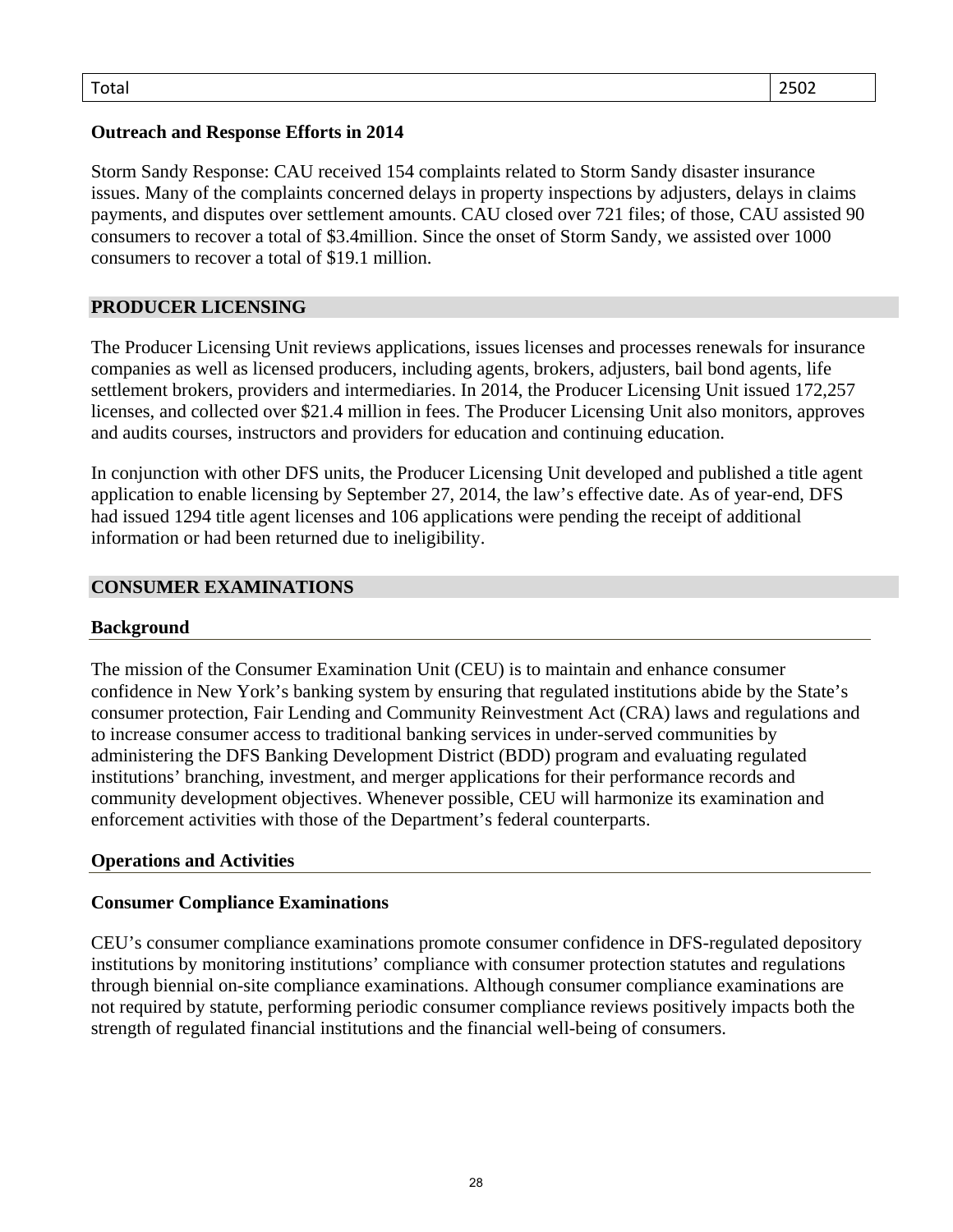## **Outreach and Response Efforts in 2014**

Storm Sandy Response: CAU received 154 complaints related to Storm Sandy disaster insurance issues. Many of the complaints concerned delays in property inspections by adjusters, delays in claims payments, and disputes over settlement amounts. CAU closed over 721 files; of those, CAU assisted 90 consumers to recover a total of \$3.4million. Since the onset of Storm Sandy, we assisted over 1000 consumers to recover a total of \$19.1 million.

## **PRODUCER LICENSING**

The Producer Licensing Unit reviews applications, issues licenses and processes renewals for insurance companies as well as licensed producers, including agents, brokers, adjusters, bail bond agents, life settlement brokers, providers and intermediaries. In 2014, the Producer Licensing Unit issued 172,257 licenses, and collected over \$21.4 million in fees. The Producer Licensing Unit also monitors, approves and audits courses, instructors and providers for education and continuing education.

In conjunction with other DFS units, the Producer Licensing Unit developed and published a title agent application to enable licensing by September 27, 2014, the law's effective date. As of year-end, DFS had issued 1294 title agent licenses and 106 applications were pending the receipt of additional information or had been returned due to ineligibility.

#### **CONSUMER EXAMINATIONS**

#### **Background**

The mission of the Consumer Examination Unit (CEU) is to maintain and enhance consumer confidence in New York's banking system by ensuring that regulated institutions abide by the State's consumer protection, Fair Lending and Community Reinvestment Act (CRA) laws and regulations and to increase consumer access to traditional banking services in under-served communities by administering the DFS Banking Development District (BDD) program and evaluating regulated institutions' branching, investment, and merger applications for their performance records and community development objectives. Whenever possible, CEU will harmonize its examination and enforcement activities with those of the Department's federal counterparts.

#### **Operations and Activities**

#### **Consumer Compliance Examinations**

CEU's consumer compliance examinations promote consumer confidence in DFS-regulated depository institutions by monitoring institutions' compliance with consumer protection statutes and regulations through biennial on-site compliance examinations. Although consumer compliance examinations are not required by statute, performing periodic consumer compliance reviews positively impacts both the strength of regulated financial institutions and the financial well-being of consumers.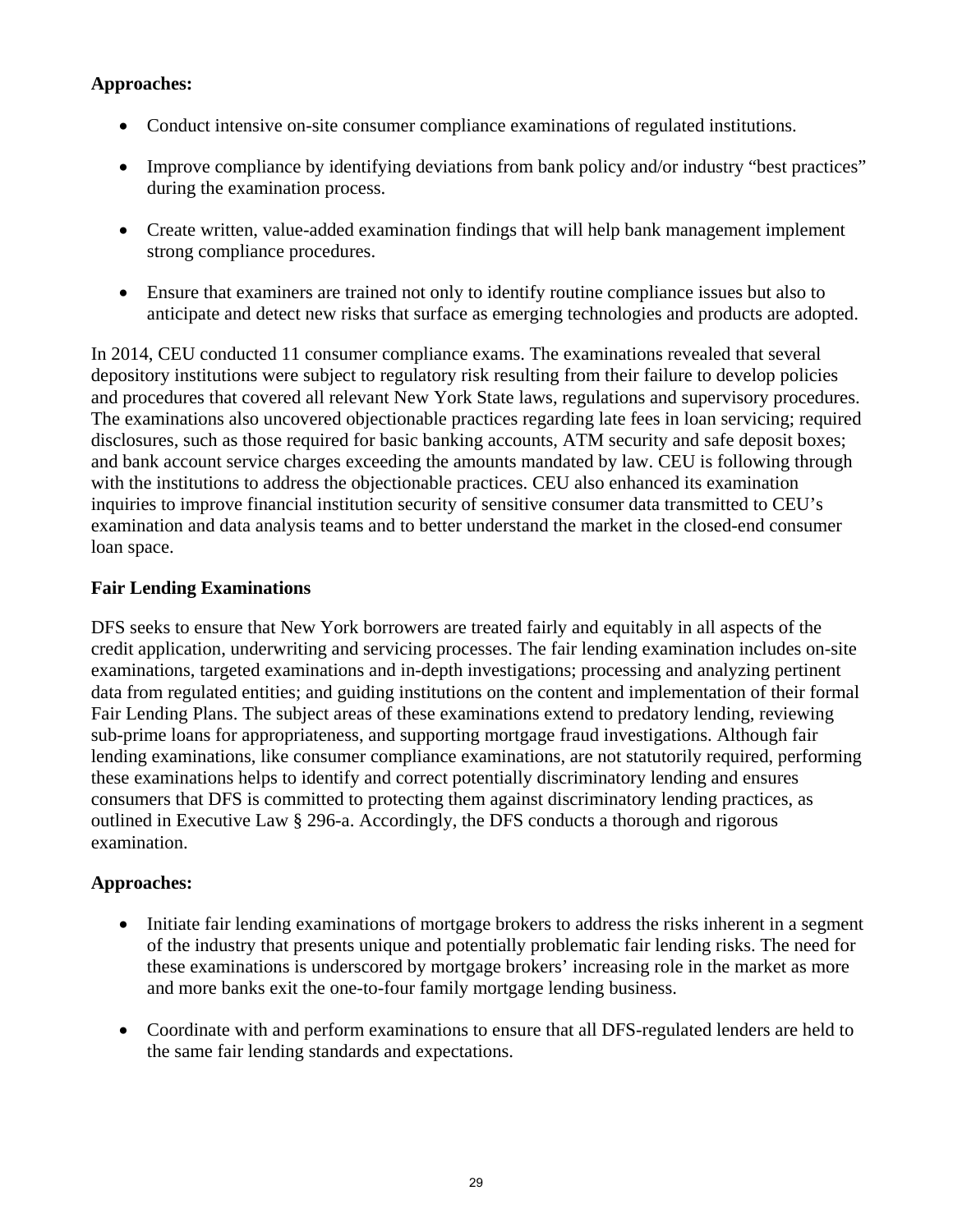## **Approaches:**

- Conduct intensive on-site consumer compliance examinations of regulated institutions.
- Improve compliance by identifying deviations from bank policy and/or industry "best practices" during the examination process.
- Create written, value-added examination findings that will help bank management implement strong compliance procedures.
- Ensure that examiners are trained not only to identify routine compliance issues but also to anticipate and detect new risks that surface as emerging technologies and products are adopted.

In 2014, CEU conducted 11 consumer compliance exams. The examinations revealed that several depository institutions were subject to regulatory risk resulting from their failure to develop policies and procedures that covered all relevant New York State laws, regulations and supervisory procedures. The examinations also uncovered objectionable practices regarding late fees in loan servicing; required disclosures, such as those required for basic banking accounts, ATM security and safe deposit boxes; and bank account service charges exceeding the amounts mandated by law. CEU is following through with the institutions to address the objectionable practices. CEU also enhanced its examination inquiries to improve financial institution security of sensitive consumer data transmitted to CEU's examination and data analysis teams and to better understand the market in the closed-end consumer loan space.

## **Fair Lending Examinations**

DFS seeks to ensure that New York borrowers are treated fairly and equitably in all aspects of the credit application, underwriting and servicing processes. The fair lending examination includes on-site examinations, targeted examinations and in-depth investigations; processing and analyzing pertinent data from regulated entities; and guiding institutions on the content and implementation of their formal Fair Lending Plans. The subject areas of these examinations extend to predatory lending, reviewing sub-prime loans for appropriateness, and supporting mortgage fraud investigations. Although fair lending examinations, like consumer compliance examinations, are not statutorily required, performing these examinations helps to identify and correct potentially discriminatory lending and ensures consumers that DFS is committed to protecting them against discriminatory lending practices, as outlined in Executive Law § 296-a. Accordingly, the DFS conducts a thorough and rigorous examination.

## **Approaches:**

- Initiate fair lending examinations of mortgage brokers to address the risks inherent in a segment of the industry that presents unique and potentially problematic fair lending risks. The need for these examinations is underscored by mortgage brokers' increasing role in the market as more and more banks exit the one-to-four family mortgage lending business.
- Coordinate with and perform examinations to ensure that all DFS-regulated lenders are held to the same fair lending standards and expectations.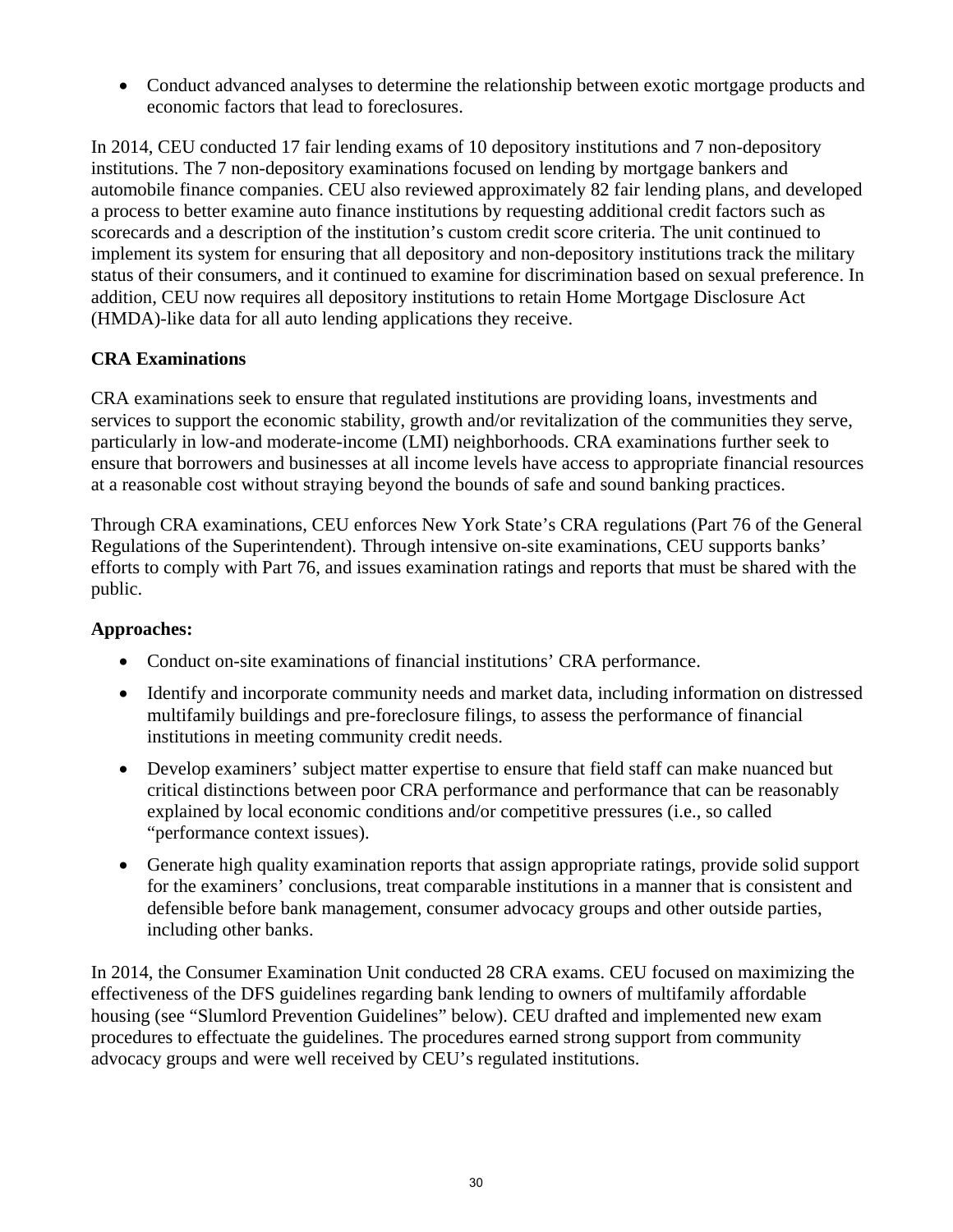Conduct advanced analyses to determine the relationship between exotic mortgage products and economic factors that lead to foreclosures.

In 2014, CEU conducted 17 fair lending exams of 10 depository institutions and 7 non-depository institutions. The 7 non-depository examinations focused on lending by mortgage bankers and automobile finance companies. CEU also reviewed approximately 82 fair lending plans, and developed a process to better examine auto finance institutions by requesting additional credit factors such as scorecards and a description of the institution's custom credit score criteria. The unit continued to implement its system for ensuring that all depository and non-depository institutions track the military status of their consumers, and it continued to examine for discrimination based on sexual preference. In addition, CEU now requires all depository institutions to retain Home Mortgage Disclosure Act (HMDA)-like data for all auto lending applications they receive.

## **CRA Examinations**

CRA examinations seek to ensure that regulated institutions are providing loans, investments and services to support the economic stability, growth and/or revitalization of the communities they serve, particularly in low-and moderate-income (LMI) neighborhoods. CRA examinations further seek to ensure that borrowers and businesses at all income levels have access to appropriate financial resources at a reasonable cost without straying beyond the bounds of safe and sound banking practices.

Through CRA examinations, CEU enforces New York State's CRA regulations (Part 76 of the General Regulations of the Superintendent). Through intensive on-site examinations, CEU supports banks' efforts to comply with Part 76, and issues examination ratings and reports that must be shared with the public.

## **Approaches:**

- Conduct on-site examinations of financial institutions' CRA performance.
- Identify and incorporate community needs and market data, including information on distressed multifamily buildings and pre-foreclosure filings, to assess the performance of financial institutions in meeting community credit needs.
- Develop examiners' subject matter expertise to ensure that field staff can make nuanced but critical distinctions between poor CRA performance and performance that can be reasonably explained by local economic conditions and/or competitive pressures (i.e., so called "performance context issues).
- Generate high quality examination reports that assign appropriate ratings, provide solid support for the examiners' conclusions, treat comparable institutions in a manner that is consistent and defensible before bank management, consumer advocacy groups and other outside parties, including other banks.

In 2014, the Consumer Examination Unit conducted 28 CRA exams. CEU focused on maximizing the effectiveness of the DFS guidelines regarding bank lending to owners of multifamily affordable housing (see "Slumlord Prevention Guidelines" below). CEU drafted and implemented new exam procedures to effectuate the guidelines. The procedures earned strong support from community advocacy groups and were well received by CEU's regulated institutions.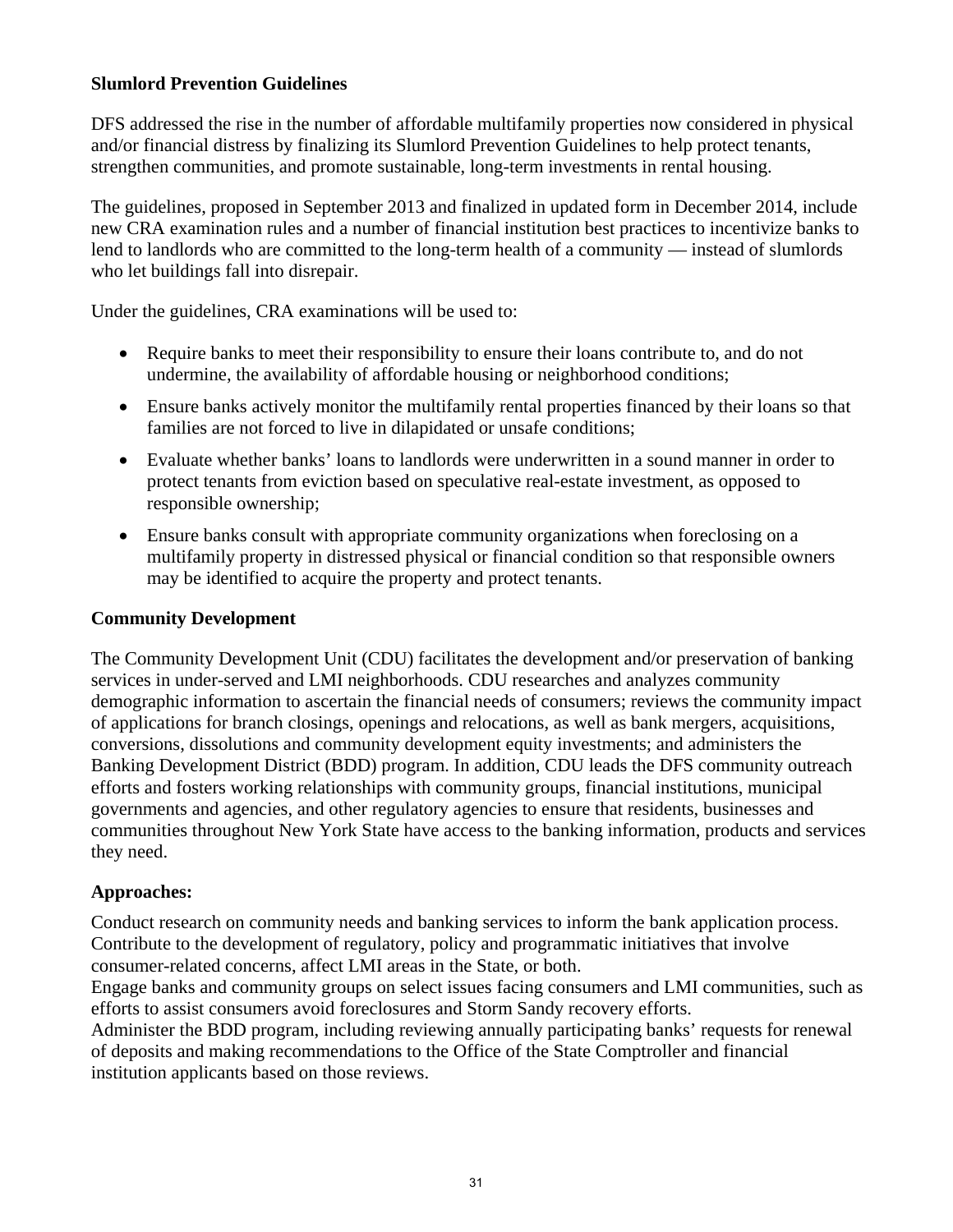#### **Slumlord Prevention Guidelines**

DFS addressed the rise in the number of affordable multifamily properties now considered in physical and/or financial distress by finalizing its Slumlord Prevention Guidelines to help protect tenants, strengthen communities, and promote sustainable, long-term investments in rental housing.

The guidelines, proposed in September 2013 and finalized in updated form in December 2014, include new CRA examination rules and a number of financial institution best practices to incentivize banks to lend to landlords who are committed to the long-term health of a community — instead of slumlords who let buildings fall into disrepair.

Under the guidelines, CRA examinations will be used to:

- Require banks to meet their responsibility to ensure their loans contribute to, and do not undermine, the availability of affordable housing or neighborhood conditions;
- Ensure banks actively monitor the multifamily rental properties financed by their loans so that families are not forced to live in dilapidated or unsafe conditions;
- Evaluate whether banks' loans to landlords were underwritten in a sound manner in order to protect tenants from eviction based on speculative real-estate investment, as opposed to responsible ownership;
- Ensure banks consult with appropriate community organizations when foreclosing on a multifamily property in distressed physical or financial condition so that responsible owners may be identified to acquire the property and protect tenants.

#### **Community Development**

The Community Development Unit (CDU) facilitates the development and/or preservation of banking services in under-served and LMI neighborhoods. CDU researches and analyzes community demographic information to ascertain the financial needs of consumers; reviews the community impact of applications for branch closings, openings and relocations, as well as bank mergers, acquisitions, conversions, dissolutions and community development equity investments; and administers the Banking Development District (BDD) program. In addition, CDU leads the DFS community outreach efforts and fosters working relationships with community groups, financial institutions, municipal governments and agencies, and other regulatory agencies to ensure that residents, businesses and communities throughout New York State have access to the banking information, products and services they need.

## **Approaches:**

Conduct research on community needs and banking services to inform the bank application process. Contribute to the development of regulatory, policy and programmatic initiatives that involve consumer-related concerns, affect LMI areas in the State, or both.

Engage banks and community groups on select issues facing consumers and LMI communities, such as efforts to assist consumers avoid foreclosures and Storm Sandy recovery efforts.

Administer the BDD program, including reviewing annually participating banks' requests for renewal of deposits and making recommendations to the Office of the State Comptroller and financial institution applicants based on those reviews.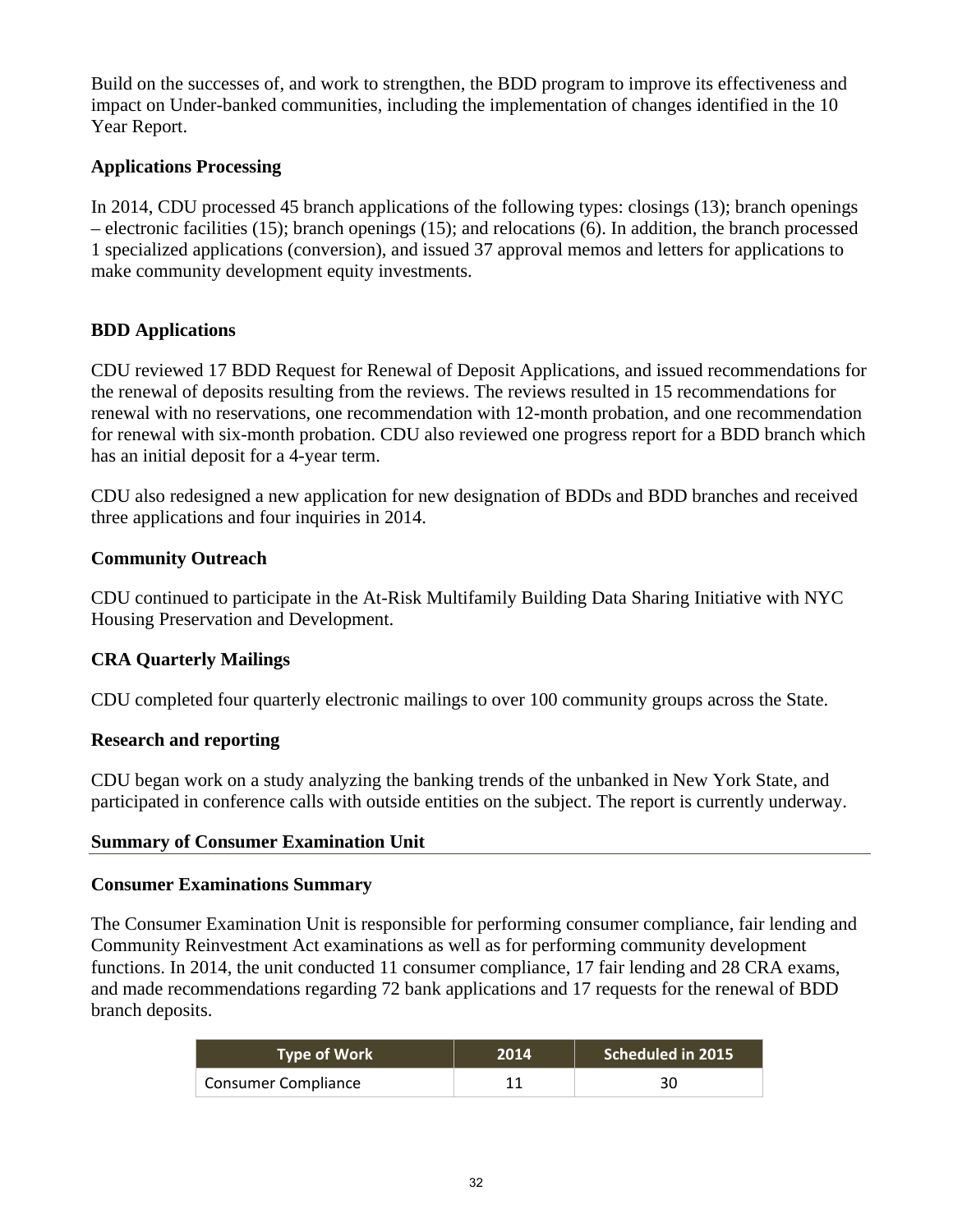Build on the successes of, and work to strengthen, the BDD program to improve its effectiveness and impact on Under-banked communities, including the implementation of changes identified in the 10 Year Report.

## **Applications Processing**

In 2014, CDU processed 45 branch applications of the following types: closings (13); branch openings – electronic facilities (15); branch openings (15); and relocations (6). In addition, the branch processed 1 specialized applications (conversion), and issued 37 approval memos and letters for applications to make community development equity investments.

## **BDD Applications**

CDU reviewed 17 BDD Request for Renewal of Deposit Applications, and issued recommendations for the renewal of deposits resulting from the reviews. The reviews resulted in 15 recommendations for renewal with no reservations, one recommendation with 12-month probation, and one recommendation for renewal with six-month probation. CDU also reviewed one progress report for a BDD branch which has an initial deposit for a 4-year term.

CDU also redesigned a new application for new designation of BDDs and BDD branches and received three applications and four inquiries in 2014.

## **Community Outreach**

CDU continued to participate in the At-Risk Multifamily Building Data Sharing Initiative with NYC Housing Preservation and Development.

## **CRA Quarterly Mailings**

CDU completed four quarterly electronic mailings to over 100 community groups across the State.

## **Research and reporting**

CDU began work on a study analyzing the banking trends of the unbanked in New York State, and participated in conference calls with outside entities on the subject. The report is currently underway.

## **Summary of Consumer Examination Unit**

## **Consumer Examinations Summary**

The Consumer Examination Unit is responsible for performing consumer compliance, fair lending and Community Reinvestment Act examinations as well as for performing community development functions. In 2014, the unit conducted 11 consumer compliance, 17 fair lending and 28 CRA exams, and made recommendations regarding 72 bank applications and 17 requests for the renewal of BDD branch deposits.

| <b>Type of Work</b>        | 2014 | Scheduled in 2015. |
|----------------------------|------|--------------------|
| <b>Consumer Compliance</b> |      | 30                 |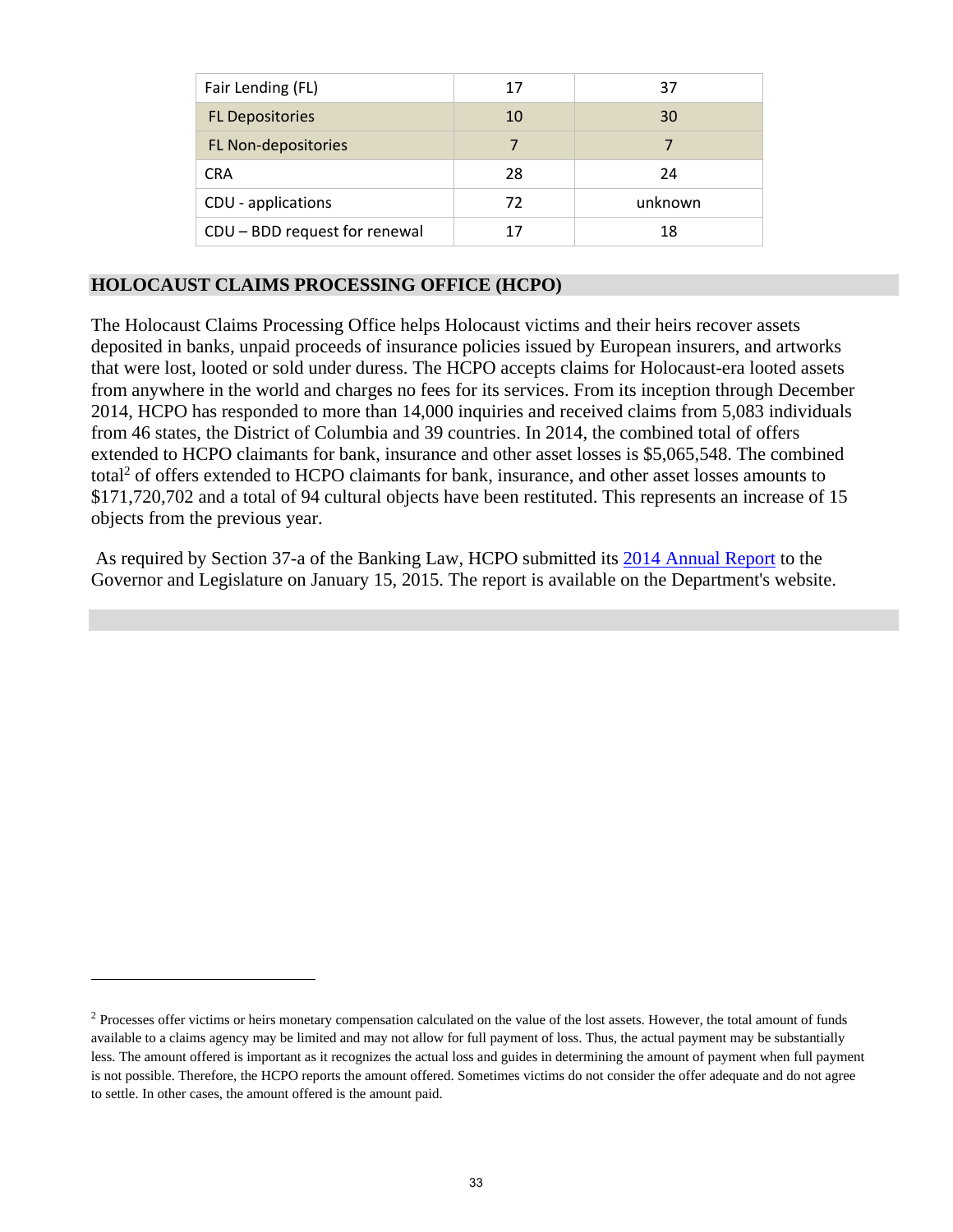| Fair Lending (FL)             | 17 | 37      |
|-------------------------------|----|---------|
| <b>FL Depositories</b>        | 10 | 30      |
| FL Non-depositories           | 7  | 7       |
| <b>CRA</b>                    | 28 | 24      |
| CDU - applications            | 72 | unknown |
| CDU - BDD request for renewal | 17 | 18      |

## **HOLOCAUST CLAIMS PROCESSING OFFICE (HCPO)**

 $\overline{a}$ 

The Holocaust Claims Processing Office helps Holocaust victims and their heirs recover assets deposited in banks, unpaid proceeds of insurance policies issued by European insurers, and artworks that were lost, looted or sold under duress. The HCPO accepts claims for Holocaust-era looted assets from anywhere in the world and charges no fees for its services. From its inception through December 2014, HCPO has responded to more than 14,000 inquiries and received claims from 5,083 individuals from 46 states, the District of Columbia and 39 countries. In 2014, the combined total of offers extended to HCPO claimants for bank, insurance and other asset losses is \$5,065,548. The combined total<sup>2</sup> of offers extended to HCPO claimants for bank, insurance, and other asset losses amounts to \$171,720,702 and a total of 94 cultural objects have been restituted. This represents an increase of 15 objects from the previous year.

 As required by Section 37-a of the Banking Law, HCPO submitted its 2014 Annual Report to the Governor and Legislature on January 15, 2015. The report is available on the Department's website.

<sup>&</sup>lt;sup>2</sup> Processes offer victims or heirs monetary compensation calculated on the value of the lost assets. However, the total amount of funds available to a claims agency may be limited and may not allow for full payment of loss. Thus, the actual payment may be substantially less. The amount offered is important as it recognizes the actual loss and guides in determining the amount of payment when full payment is not possible. Therefore, the HCPO reports the amount offered. Sometimes victims do not consider the offer adequate and do not agree to settle. In other cases, the amount offered is the amount paid.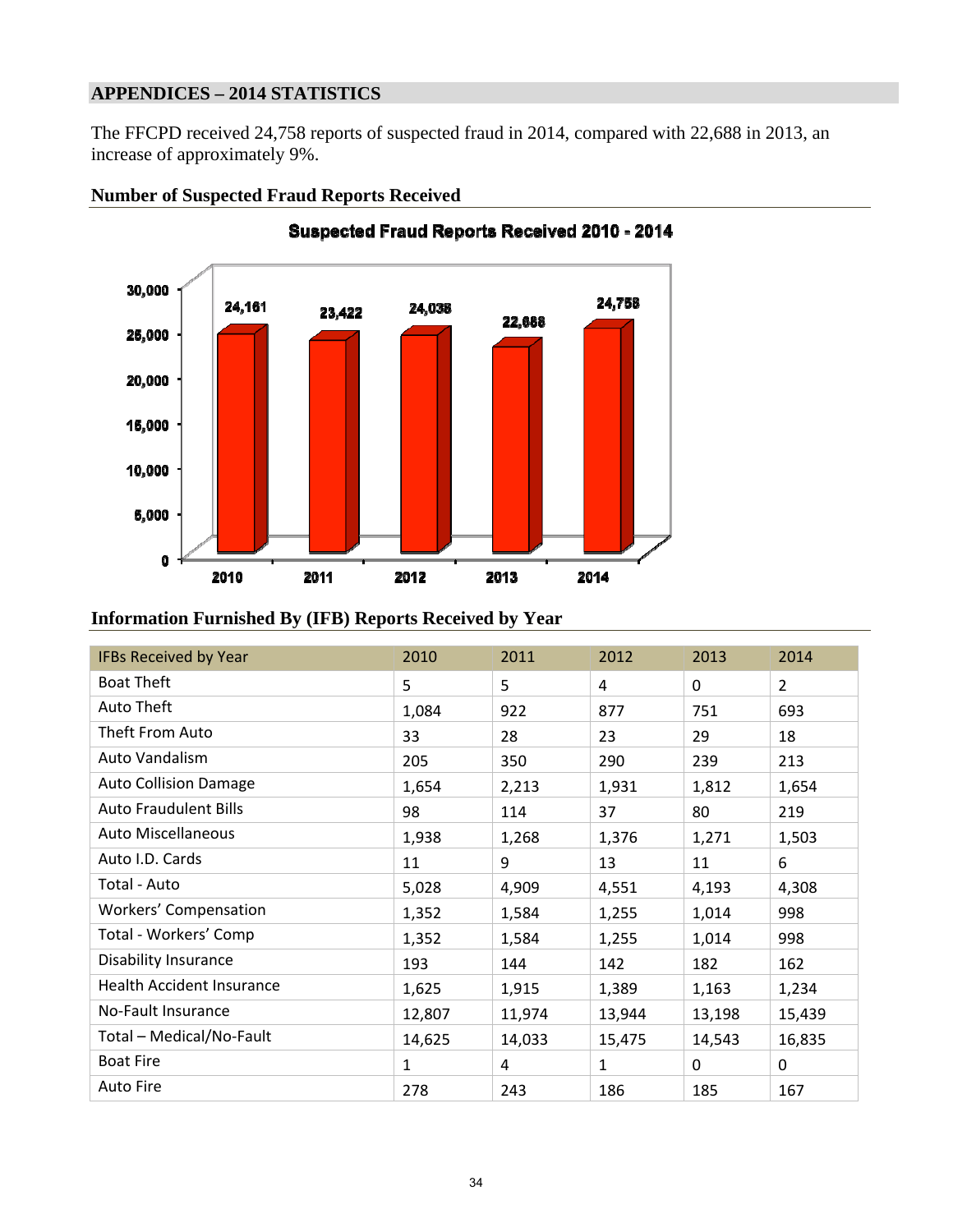## **APPENDICES – 2014 STATISTICS**

The FFCPD received 24,758 reports of suspected fraud in 2014, compared with 22,688 in 2013, an increase of approximately 9%.



#### **Number of Suspected Fraud Reports Received**

## **Information Furnished By (IFB) Reports Received by Year**

| <b>IFBs Received by Year</b> | 2010   | 2011   | 2012   | 2013     | 2014           |
|------------------------------|--------|--------|--------|----------|----------------|
| <b>Boat Theft</b>            | 5      | 5      | 4      | $\Omega$ | $\overline{2}$ |
| Auto Theft                   | 1,084  | 922    | 877    | 751      | 693            |
| Theft From Auto              | 33     | 28     | 23     | 29       | 18             |
| Auto Vandalism               | 205    | 350    | 290    | 239      | 213            |
| <b>Auto Collision Damage</b> | 1,654  | 2,213  | 1,931  | 1,812    | 1,654          |
| <b>Auto Fraudulent Bills</b> | 98     | 114    | 37     | 80       | 219            |
| <b>Auto Miscellaneous</b>    | 1,938  | 1,268  | 1,376  | 1,271    | 1,503          |
| Auto I.D. Cards              | 11     | 9      | 13     | 11       | 6              |
| Total - Auto                 | 5,028  | 4,909  | 4,551  | 4,193    | 4,308          |
| Workers' Compensation        | 1,352  | 1,584  | 1,255  | 1,014    | 998            |
| Total - Workers' Comp        | 1,352  | 1,584  | 1,255  | 1,014    | 998            |
| <b>Disability Insurance</b>  | 193    | 144    | 142    | 182      | 162            |
| Health Accident Insurance    | 1,625  | 1,915  | 1,389  | 1,163    | 1,234          |
| No-Fault Insurance           | 12,807 | 11,974 | 13,944 | 13,198   | 15,439         |
| Total - Medical/No-Fault     | 14,625 | 14,033 | 15,475 | 14,543   | 16,835         |
| <b>Boat Fire</b>             | 1      | 4      | 1      | $\Omega$ | $\mathbf{0}$   |
| <b>Auto Fire</b>             | 278    | 243    | 186    | 185      | 167            |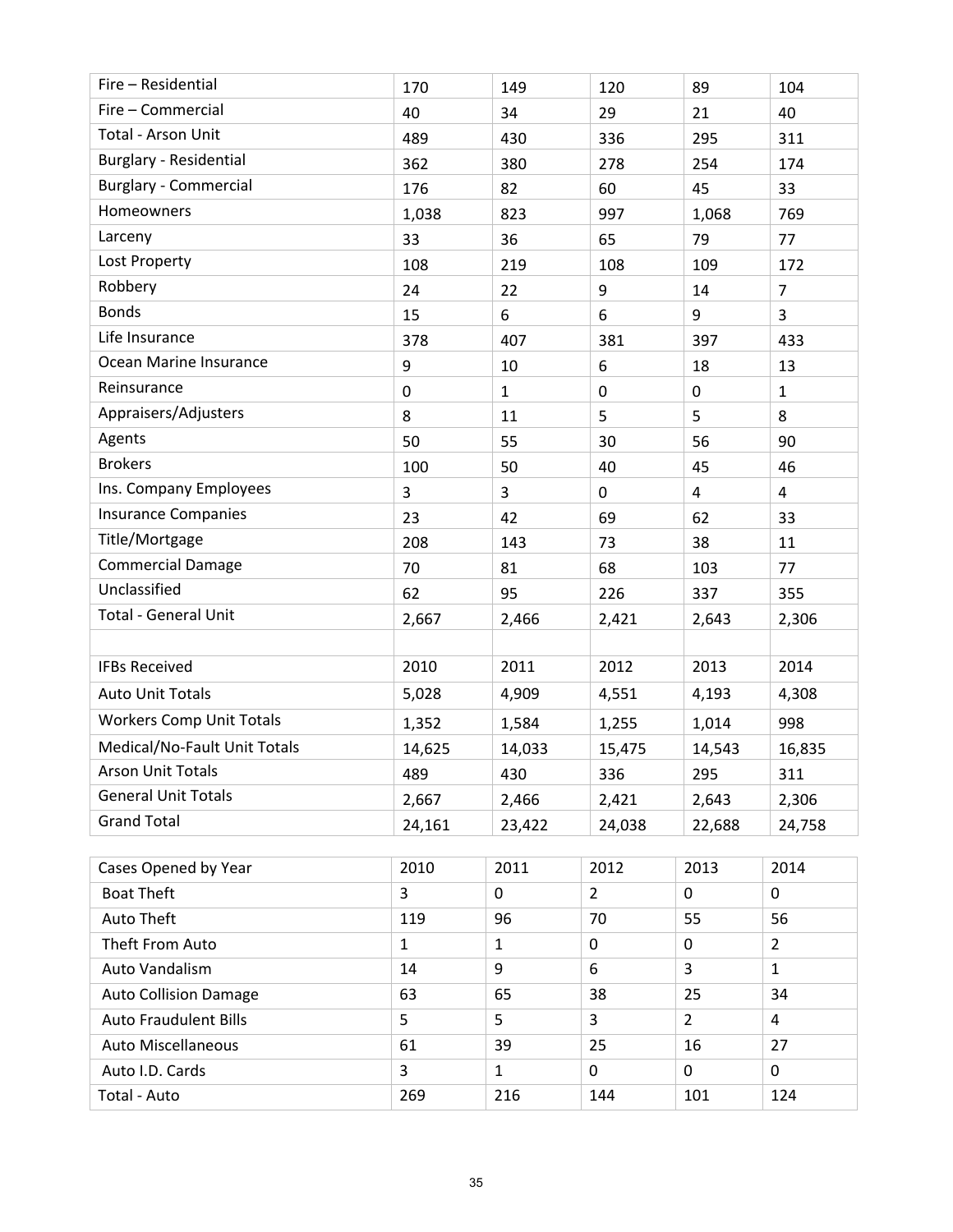| Fire - Residential              | 170          | 149          | 120            | 89             | 104            |
|---------------------------------|--------------|--------------|----------------|----------------|----------------|
| Fire - Commercial               | 40           | 34           | 29             | 21             | 40             |
| Total - Arson Unit              | 489          | 430          | 336            | 295            | 311            |
| Burglary - Residential          | 362          | 380          | 278            | 254            | 174            |
| <b>Burglary - Commercial</b>    | 176          | 82           | 60             | 45             | 33             |
| Homeowners                      | 1,038        | 823          | 997            | 1,068          | 769            |
| Larceny                         | 33           | 36           | 65             | 79             | 77             |
| Lost Property                   | 108          | 219          | 108            | 109            | 172            |
| Robbery                         | 24           | 22           | 9              | 14             | $\overline{7}$ |
| <b>Bonds</b>                    | 15           | 6            | 6              | 9              | $\overline{3}$ |
| Life Insurance                  | 378          | 407          | 381            | 397            | 433            |
| Ocean Marine Insurance          | 9            | 10           | 6              | 18             | 13             |
| Reinsurance                     | $\mathbf 0$  | $\mathbf{1}$ | $\mathbf 0$    | $\pmb{0}$      | $\mathbf{1}$   |
| Appraisers/Adjusters            | 8            | 11           | 5              | 5              | 8              |
| Agents                          | 50           | 55           | 30             | 56             | 90             |
| <b>Brokers</b>                  | 100          | 50           | 40             | 45             | 46             |
| Ins. Company Employees          | 3            | 3            | 0              | 4              | 4              |
| <b>Insurance Companies</b>      | 23           | 42           | 69             | 62             | 33             |
| Title/Mortgage                  | 208          | 143          | 73             | 38             | 11             |
| <b>Commercial Damage</b>        | 70           | 81           | 68             | 103            | 77             |
| Unclassified                    | 62           | 95           | 226            | 337            | 355            |
| <b>Total - General Unit</b>     | 2,667        | 2,466        | 2,421          | 2,643          | 2,306          |
|                                 |              |              |                |                |                |
| <b>IFBs Received</b>            | 2010         | 2011         | 2012           | 2013           | 2014           |
| <b>Auto Unit Totals</b>         | 5,028        | 4,909        | 4,551          | 4,193          | 4,308          |
| <b>Workers Comp Unit Totals</b> | 1,352        | 1,584        | 1,255          | 1,014          | 998            |
| Medical/No-Fault Unit Totals    | 14,625       | 14,033       | 15,475         | 14,543         | 16,835         |
| <b>Arson Unit Totals</b>        | 489          | 430          | 336            | 295            | 311            |
| <b>General Unit Totals</b>      | 2,667        | 2,466        | 2,421          | 2,643          | 2,306          |
| <b>Grand Total</b>              | 24,161       | 23,422       | 24,038         | 22,688         | 24,758         |
|                                 |              |              |                |                |                |
| Cases Opened by Year            | 2010         | 2011         | 2012           | 2013           | 2014           |
| <b>Boat Theft</b>               | 3            | $\Omega$     | $\overline{2}$ | 0              | 0              |
| Auto Theft                      | 119          | 96           | 70             | 55             | 56             |
| Theft From Auto                 | $\mathbf{1}$ | $\mathbf{1}$ | $\mathbf 0$    | $\mathbf 0$    | $\overline{2}$ |
| Auto Vandalism                  | 14           | 9            | 6              | 3              | $\mathbf{1}$   |
| <b>Auto Collision Damage</b>    | 63           | 65           | 38             | 25             | 34             |
| <b>Auto Fraudulent Bills</b>    | 5            | 5            | 3              | $\overline{2}$ | $\overline{4}$ |
| Auto Miscellaneous              | 61           | 39           | 25             | 16             | 27             |
| Auto I.D. Cards                 | 3            | $\mathbf{1}$ | 0              | 0              | 0              |
| Total - Auto                    | 269          | 216          | 144            | 101            | 124            |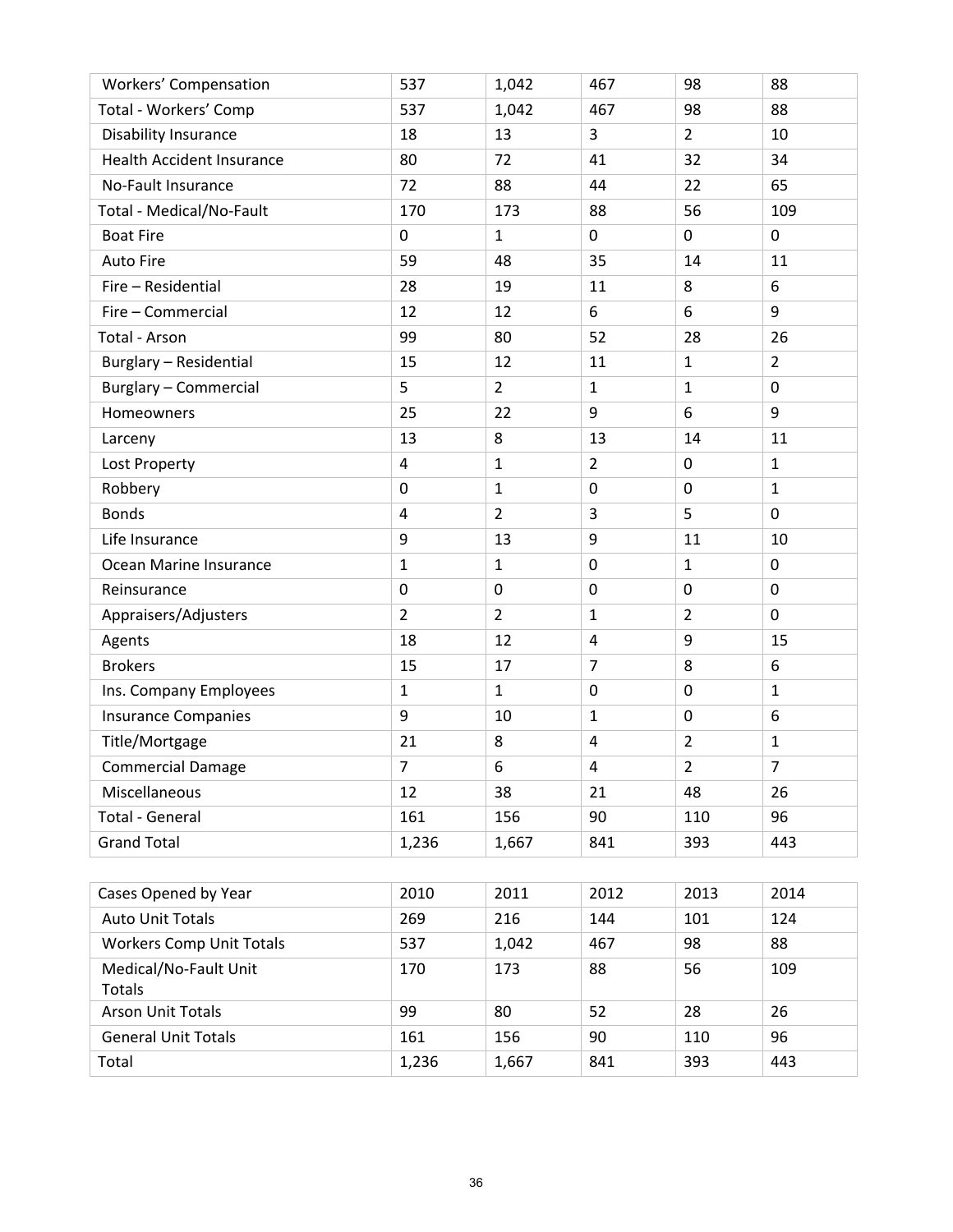| <b>Workers' Compensation</b>     | 537            | 1,042          | 467            | 98               | 88             |
|----------------------------------|----------------|----------------|----------------|------------------|----------------|
| Total - Workers' Comp            | 537            | 1,042          | 467            | 98               | 88             |
| Disability Insurance             | 18             | 13             | 3              | $\overline{2}$   | 10             |
| <b>Health Accident Insurance</b> | 80             | 72             | 41             | 32               | 34             |
| No-Fault Insurance               | 72             | 88             | 44             | 22               | 65             |
| Total - Medical/No-Fault         | 170            | 173            | 88             | 56               | 109            |
| <b>Boat Fire</b>                 | $\mathbf 0$    | $\mathbf{1}$   | $\mathbf 0$    | 0                | 0              |
| <b>Auto Fire</b>                 | 59             | 48             | 35             | 14               | 11             |
| Fire - Residential               | 28             | 19             | 11             | 8                | 6              |
| Fire - Commercial                | 12             | 12             | 6              | 6                | 9              |
| Total - Arson                    | 99             | 80             | 52             | 28               | 26             |
| Burglary - Residential           | 15             | 12             | 11             | $\mathbf{1}$     | $\overline{2}$ |
| <b>Burglary - Commercial</b>     | 5              | $\overline{2}$ | $\mathbf{1}$   | $\mathbf{1}$     | $\mathbf 0$    |
| Homeowners                       | 25             | 22             | 9              | 6                | 9              |
| Larceny                          | 13             | 8              | 13             | 14               | 11             |
| Lost Property                    | 4              | $\mathbf{1}$   | $\overline{2}$ | 0                | $\mathbf{1}$   |
| Robbery                          | $\mathbf 0$    | $\mathbf{1}$   | $\mathbf 0$    | $\mathbf 0$      | $\mathbf{1}$   |
| <b>Bonds</b>                     | 4              | $\overline{2}$ | 3              | 5                | $\mathbf 0$    |
| Life Insurance                   | 9              | 13             | 9              | 11               | 10             |
| Ocean Marine Insurance           | $\mathbf{1}$   | $\mathbf{1}$   | $\mathbf 0$    | $\mathbf{1}$     | $\mathbf 0$    |
| Reinsurance                      | $\mathbf 0$    | $\mathbf 0$    | $\mathbf 0$    | $\mathbf 0$      | $\mathbf 0$    |
| Appraisers/Adjusters             | $\overline{2}$ | $\overline{2}$ | $\mathbf{1}$   | $\overline{2}$   | $\mathbf 0$    |
| Agents                           | 18             | 12             | 4              | 9                | 15             |
| <b>Brokers</b>                   | 15             | 17             | $\overline{7}$ | 8                | 6              |
| Ins. Company Employees           | $\mathbf{1}$   | $\mathbf{1}$   | $\mathbf 0$    | $\boldsymbol{0}$ | $\mathbf{1}$   |
| <b>Insurance Companies</b>       | 9              | 10             | $\mathbf{1}$   | $\mathbf 0$      | 6              |
| Title/Mortgage                   | 21             | 8              | $\overline{4}$ | $\overline{2}$   | $\mathbf{1}$   |
| <b>Commercial Damage</b>         | 7              | 6              | 4              | $\overline{2}$   | $\overline{7}$ |
| Miscellaneous                    | 12             | 38             | 21             | 48               | 26             |
| <b>Total - General</b>           | 161            | 156            | 90             | 110              | 96             |
| <b>Grand Total</b>               | 1,236          | 1,667          | 841            | 393              | 443            |
|                                  |                |                |                |                  |                |
| Cases Opened by Year             | 2010           | 2011           | 2012           | 2013             | 2014           |
| <b>Auto Unit Totals</b>          | 269            | 216            | 144            | 101              | 124            |
| <b>Workers Comp Unit Totals</b>  | 537            | 1,042          | 467            | 98               | 88             |
| Medical/No-Fault Unit<br>Totals  | 170            | 173            | 88             | 56               | 109            |
| Arson Unit Totals                | 99             | 80             | 52             | 28               | 26             |
| <b>General Unit Totals</b>       | 161            | 156            | 90             | 110              | 96             |
| Total                            | 1,236          | 1,667          | 841            | 393              | 443            |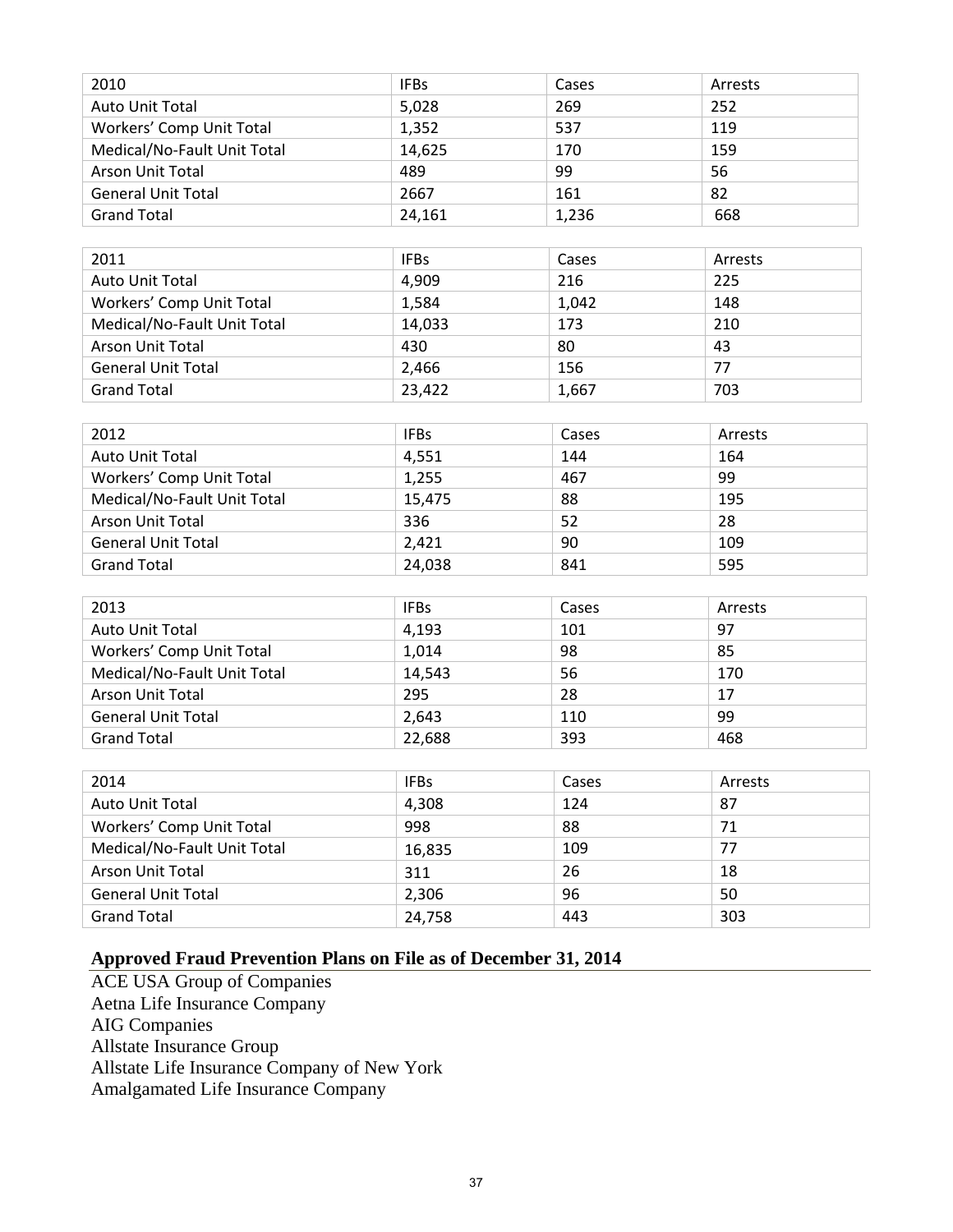| 2010                        | <b>IFBs</b> | Cases | Arrests |
|-----------------------------|-------------|-------|---------|
| Auto Unit Total             | 5,028       | 269   | 252     |
| Workers' Comp Unit Total    | 1,352       | 537   | 119     |
| Medical/No-Fault Unit Total | 14,625      | 170   | 159     |
| Arson Unit Total            | 489         | 99    | 56      |
| <b>General Unit Total</b>   | 2667        | 161   | 82      |
| <b>Grand Total</b>          | 24,161      | 1,236 | 668     |

| 2011                        | <b>IFBs</b> | Cases | Arrests |
|-----------------------------|-------------|-------|---------|
| <b>Auto Unit Total</b>      | 4,909       | 216   | 225     |
| Workers' Comp Unit Total    | 1,584       | 1.042 | 148     |
| Medical/No-Fault Unit Total | 14,033      | 173   | 210     |
| <b>Arson Unit Total</b>     | 430         | 80    | 43      |
| <b>General Unit Total</b>   | 2,466       | 156   | 77      |
| <b>Grand Total</b>          | 23,422      | 1,667 | 703     |

| 2012                        | <b>IFBs</b> | Cases | Arrests |
|-----------------------------|-------------|-------|---------|
| Auto Unit Total             | 4,551       | 144   | 164     |
| Workers' Comp Unit Total    | 1,255       | 467   | 99      |
| Medical/No-Fault Unit Total | 15,475      | 88    | 195     |
| <b>Arson Unit Total</b>     | 336         | 52    | 28      |
| <b>General Unit Total</b>   | 2,421       | 90    | 109     |
| <b>Grand Total</b>          | 24,038      | 841   | 595     |

| 2013                        | <b>IFBs</b> | Cases | Arrests |
|-----------------------------|-------------|-------|---------|
| Auto Unit Total             | 4,193       | 101   | 97      |
| Workers' Comp Unit Total    | 1,014       | 98    | 85      |
| Medical/No-Fault Unit Total | 14,543      | 56    | 170     |
| Arson Unit Total            | 295         | 28    | 17      |
| <b>General Unit Total</b>   | 2,643       | 110   | 99      |
| <b>Grand Total</b>          | 22,688      | 393   | 468     |

| 2014                        | <b>IFBs</b> | Cases | Arrests |
|-----------------------------|-------------|-------|---------|
| <b>Auto Unit Total</b>      | 4,308       | 124   | 87      |
| Workers' Comp Unit Total    | 998         | 88    | 71      |
| Medical/No-Fault Unit Total | 16,835      | 109   | 77      |
| <b>Arson Unit Total</b>     | 311         | 26    | 18      |
| <b>General Unit Total</b>   | 2,306       | 96    | 50      |
| <b>Grand Total</b>          | 24,758      | 443   | 303     |

## **Approved Fraud Prevention Plans on File as of December 31, 2014**

ACE USA Group of Companies Aetna Life Insurance Company AIG Companies Allstate Insurance Group Allstate Life Insurance Company of New York Amalgamated Life Insurance Company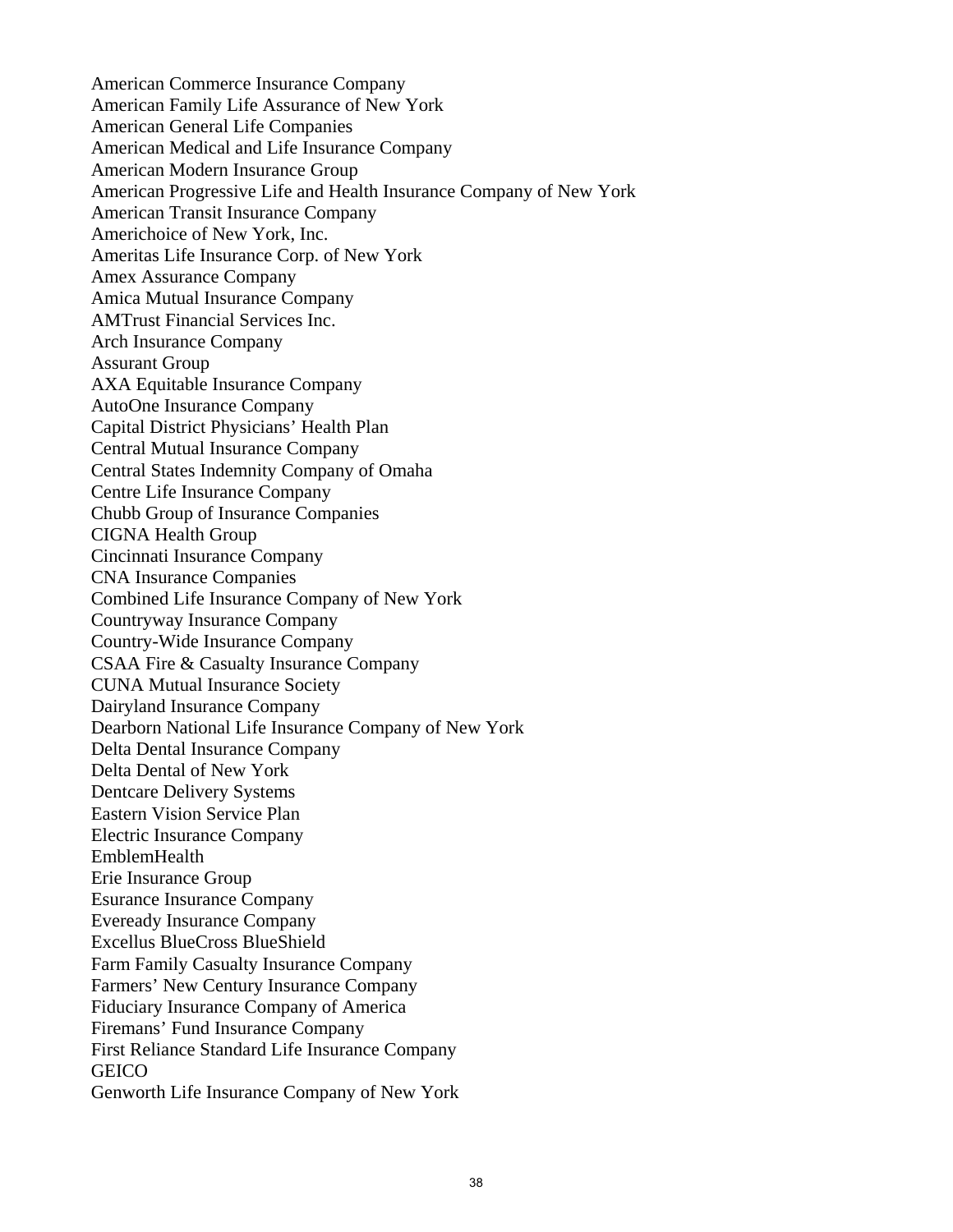EmblemHealth American Commerce Insurance Company American Family Life Assurance of New York American General Life Companies American Medical and Life Insurance Company American Modern Insurance Group American Progressive Life and Health Insurance Company of New York American Transit Insurance Company Americhoice of New York, Inc. Ameritas Life Insurance Corp. of New York Amex Assurance Company Amica Mutual Insurance Company AMTrust Financial Services Inc. Arch Insurance Company Assurant Group AXA Equitable Insurance Company AutoOne Insurance Company Capital District Physicians' Health Plan Central Mutual Insurance Company Central States Indemnity Company of Omaha Centre Life Insurance Company Chubb Group of Insurance Companies CIGNA Health Group Cincinnati Insurance Company CNA Insurance Companies Combined Life Insurance Company of New York Countryway Insurance Company Country-Wide Insurance Company CSAA Fire & Casualty Insurance Company CUNA Mutual Insurance Society Dairyland Insurance Company Dearborn National Life Insurance Company of New York Delta Dental Insurance Company Delta Dental of New York Dentcare Delivery Systems Eastern Vision Service Plan Electric Insurance Company Erie Insurance Group Esurance Insurance Company Eveready Insurance Company Excellus BlueCross BlueShield Farm Family Casualty Insurance Company Farmers' New Century Insurance Company Fiduciary Insurance Company of America Firemans' Fund Insurance Company First Reliance Standard Life Insurance Company **GEICO** Genworth Life Insurance Company of New York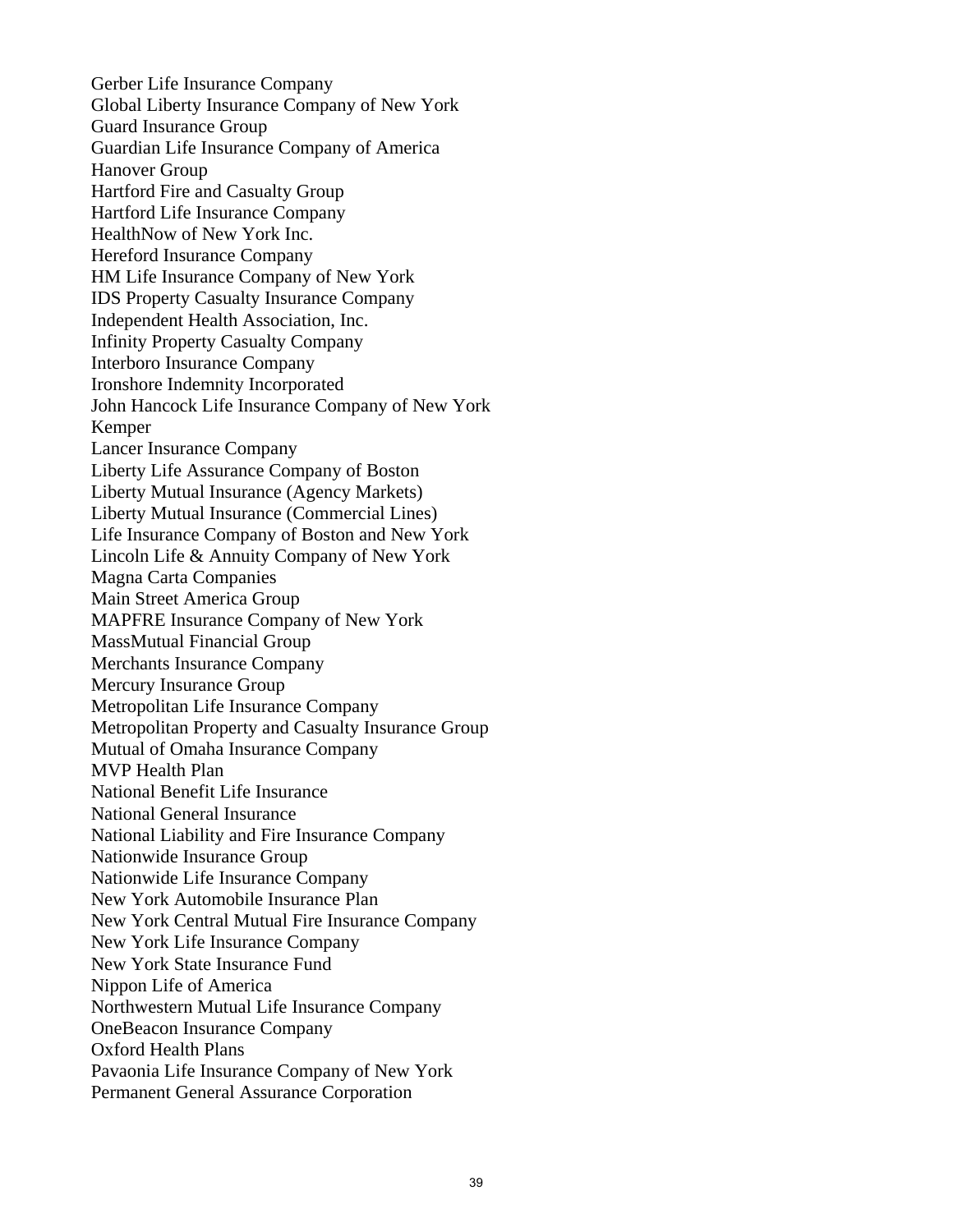Gerber Life Insurance Company Global Liberty Insurance Company of New York Guard Insurance Group Guardian Life Insurance Company of America Hanover Group Hartford Fire and Casualty Group Hartford Life Insurance Company HealthNow of New York Inc. Hereford Insurance Company HM Life Insurance Company of New York IDS Property Casualty Insurance Company Independent Health Association, Inc. Infinity Property Casualty Company Interboro Insurance Company Ironshore Indemnity Incorporated John Hancock Life Insurance Company of New York Kemper Lancer Insurance Company Liberty Life Assurance Company of Boston Liberty Mutual Insurance (Agency Markets) Liberty Mutual Insurance (Commercial Lines) Life Insurance Company of Boston and New York Lincoln Life & Annuity Company of New York Magna Carta Companies Main Street America Group MAPFRE Insurance Company of New York MassMutual Financial Group Merchants Insurance Company Mercury Insurance Group Metropolitan Life Insurance Company Metropolitan Property and Casualty Insurance Group Mutual of Omaha Insurance Company MVP Health Plan National Benefit Life Insurance National General Insurance National Liability and Fire Insurance Company Nationwide Insurance Group Nationwide Life Insurance Company New York Automobile Insurance Plan New York Central Mutual Fire Insurance Company New York Life Insurance Company New York State Insurance Fund Nippon Life of America Northwestern Mutual Life Insurance Company OneBeacon Insurance Company Oxford Health Plans Pavaonia Life Insurance Company of New York Permanent General Assurance Corporation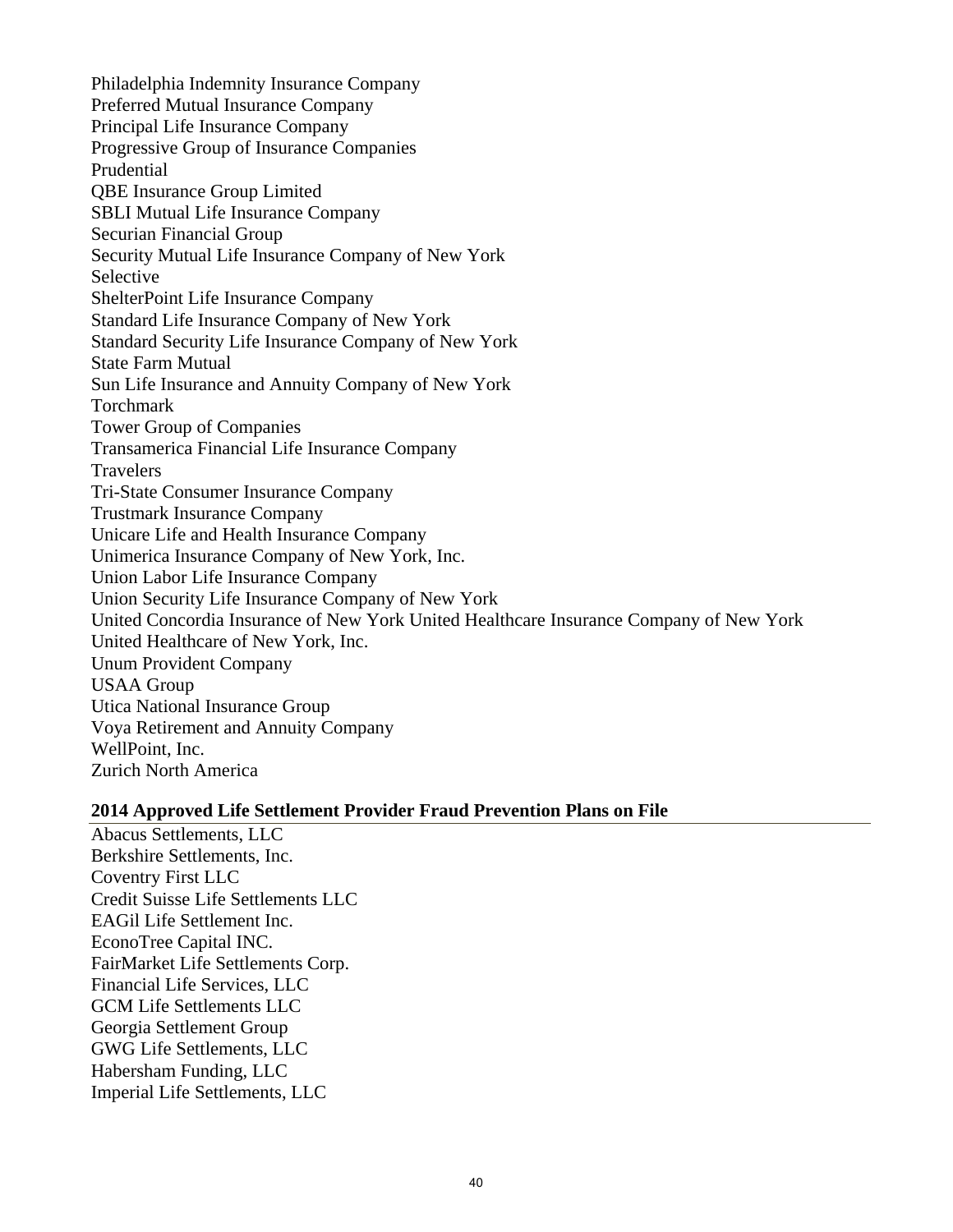Philadelphia Indemnity Insurance Company Preferred Mutual Insurance Company Principal Life Insurance Company Progressive Group of Insurance Companies Prudential QBE Insurance Group Limited SBLI Mutual Life Insurance Company Securian Financial Group Security Mutual Life Insurance Company of New York Selective ShelterPoint Life Insurance Company Standard Life Insurance Company of New York Standard Security Life Insurance Company of New York State Farm Mutual Sun Life Insurance and Annuity Company of New York Torchmark Tower Group of Companies Transamerica Financial Life Insurance Company **Travelers** Tri-State Consumer Insurance Company Trustmark Insurance Company Unicare Life and Health Insurance Company Unimerica Insurance Company of New York, Inc. Union Labor Life Insurance Company Union Security Life Insurance Company of New York United Concordia Insurance of New York United Healthcare Insurance Company of New York United Healthcare of New York, Inc. Unum Provident Company USAA Group Utica National Insurance Group Voya Retirement and Annuity Company WellPoint, Inc. Zurich North America

#### **2014 Approved Life Settlement Provider Fraud Prevention Plans on File**

Abacus Settlements, LLC Berkshire Settlements, Inc. Coventry First LLC Credit Suisse Life Settlements LLC EAGil Life Settlement Inc. EconoTree Capital INC. FairMarket Life Settlements Corp. Financial Life Services, LLC GCM Life Settlements LLC Georgia Settlement Group GWG Life Settlements, LLC Habersham Funding, LLC Imperial Life Settlements, LLC